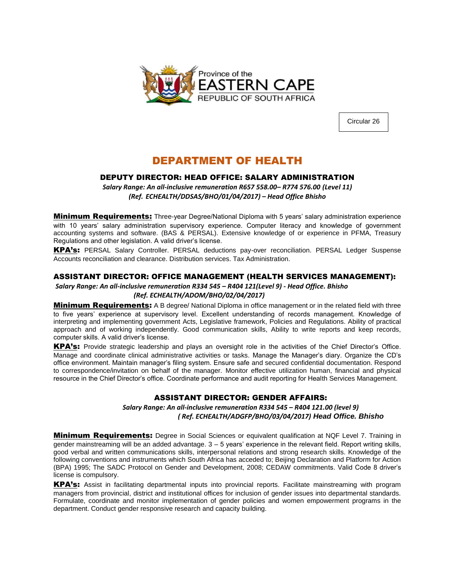

Circular 26

## DEPARTMENT OF HEALTH

## DEPUTY DIRECTOR: HEAD OFFICE: SALARY ADMINISTRATION

*Salary Range: An all-inclusive remuneration R657 558.00– R774 576.00 (Level 11) (Ref. ECHEALTH/DDSAS/BHO/01/04/2017) – Head Office Bhisho*

**Minimum Requirements:** Three-year Degree/National Diploma with 5 years' salary administration experience with 10 years' salary administration supervisory experience. Computer literacy and knowledge of government accounting systems and software. (BAS & PERSAL). Extensive knowledge of or experience in PFMA, Treasury Regulations and other legislation. A valid driver's license.

KPA's: PERSAL Salary Controller. PERSAL deductions pay-over reconciliation. PERSAL Ledger Suspense Accounts reconciliation and clearance. Distribution services. Tax Administration.

## ASSISTANT DIRECTOR: OFFICE MANAGEMENT (HEALTH SERVICES MANAGEMENT):

*Salary Range: An all-inclusive remuneration R334 545 – R404 121(Level 9) - Head Office. Bhisho (Ref. ECHEALTH/ADOM/BHO/02/04/2017)*

**Minimum Requirements:** A B degree/ National Diploma in office management or in the related field with three to five years' experience at supervisory level. Excellent understanding of records management. Knowledge of interpreting and implementing government Acts, Legislative framework, Policies and Regulations. Ability of practical approach and of working independently. Good communication skills, Ability to write reports and keep records, computer skills. A valid driver's license.

KPA's: Provide strategic leadership and plays an oversight role in the activities of the Chief Director's Office. Manage and coordinate clinical administrative activities or tasks. Manage the Manager's diary. Organize the CD's office environment. Maintain manager's filing system. Ensure safe and secured confidential documentation. Respond to correspondence/invitation on behalf of the manager. Monitor effective utilization human, financial and physical resource in the Chief Director's office. Coordinate performance and audit reporting for Health Services Management.

## ASSISTANT DIRECTOR: GENDER AFFAIRS:

*Salary Range: An all-inclusive remuneration R334 545 – R404 121.00 (level 9) ( Ref. ECHEALTH/ADGFP/BHO/03/04/2017) Head Office. Bhisho*

**Minimum Requirements:** Degree in Social Sciences or equivalent qualification at NQF Level 7. Training in gender mainstreaming will be an added advantage. 3 – 5 years' experience in the relevant field. Report writing skills, good verbal and written communications skills, interpersonal relations and strong research skills. Knowledge of the following conventions and instruments which South Africa has acceded to; Beijing Declaration and Platform for Action (BPA) 1995; The SADC Protocol on Gender and Development, 2008; CEDAW commitments. Valid Code 8 driver's license is compulsory.

KPA's: Assist in facilitating departmental inputs into provincial reports. Facilitate mainstreaming with program managers from provincial, district and institutional offices for inclusion of gender issues into departmental standards. Formulate, coordinate and monitor implementation of gender policies and women empowerment programs in the department. Conduct gender responsive research and capacity building.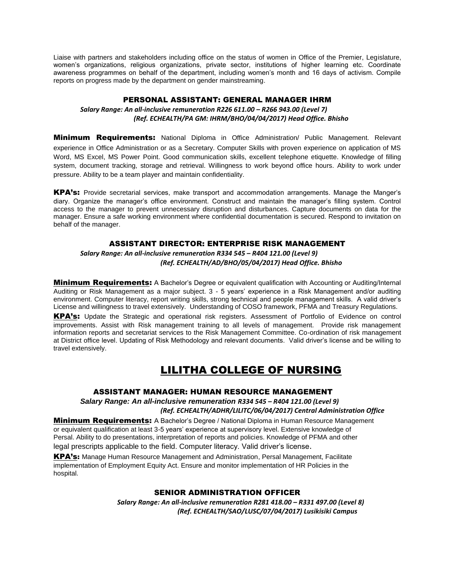Liaise with partners and stakeholders including office on the status of women in Office of the Premier, Legislature, women's organizations, religious organizations, private sector, institutions of higher learning etc. Coordinate awareness programmes on behalf of the department, including women's month and 16 days of activism. Compile reports on progress made by the department on gender mainstreaming.

## PERSONAL ASSISTANT: GENERAL MANAGER IHRM

## *Salary Range: An all-inclusive remuneration R226 611.00 – R266 943.00 (Level 7) (Ref. ECHEALTH/PA GM: IHRM/BHO/04/04/2017) Head Office. Bhisho*

**Minimum Requirements:** National Diploma in Office Administration/ Public Management. Relevant experience in Office Administration or as a Secretary. Computer Skills with proven experience on application of MS Word, MS Excel, MS Power Point. Good communication skills, excellent telephone etiquette. Knowledge of filling system, document tracking, storage and retrieval. Willingness to work beyond office hours. Ability to work under pressure. Ability to be a team player and maintain confidentiality.

KPA's: Provide secretarial services, make transport and accommodation arrangements. Manage the Manger's diary. Organize the manager's office environment. Construct and maintain the manager's filling system. Control access to the manager to prevent unnecessary disruption and disturbances. Capture documents on data for the manager. Ensure a safe working environment where confidential documentation is secured. Respond to invitation on behalf of the manager.

## ASSISTANT DIRECTOR: ENTERPRISE RISK MANAGEMENT

*Salary Range: An all-inclusive remuneration R334 545 – R404 121.00 (Level 9) (Ref. ECHEALTH/AD/BHO/05/04/2017) Head Office. Bhisho*

**Minimum Requirements:** A Bachelor's Degree or equivalent qualification with Accounting or Auditing/Internal Auditing or Risk Management as a major subject. 3 - 5 years' experience in a Risk Management and/or auditing environment. Computer literacy, report writing skills, strong technical and people management skills. A valid driver's License and willingness to travel extensively. Understanding of COSO framework, PFMA and Treasury Regulations.

KPA's: Update the Strategic and operational risk registers. Assessment of Portfolio of Evidence on control improvements. Assist with Risk management training to all levels of management. Provide risk management information reports and secretariat services to the Risk Management Committee. Co-ordination of risk management at District office level. Updating of Risk Methodology and relevant documents. Valid driver's license and be willing to travel extensively.

## LILITHA COLLEGE OF NURSING

## ASSISTANT MANAGER: HUMAN RESOURCE MANAGEMENT

*Salary Range: An all-inclusive remuneration R334 545 – R404 121.00 (Level 9) (Ref. ECHEALTH/ADHR/LILITC/06/04/2017) Central Administration Office*

**Minimum Requirements:** A Bachelor's Degree / National Diploma in Human Resource Management or equivalent qualification at least 3-5 years' experience at supervisory level. Extensive knowledge of Persal. Ability to do presentations, interpretation of reports and policies. Knowledge of PFMA and other legal prescripts applicable to the field. Computer literacy. Valid driver's license.

KPA's: Manage Human Resource Management and Administration, Persal Management, Facilitate implementation of Employment Equity Act. Ensure and monitor implementation of HR Policies in the hospital.

## SENIOR ADMINISTRATION OFFICER

*Salary Range: An all-inclusive remuneration R281 418.00 – R331 497.00 (Level 8) (Ref. ECHEALTH/SAO/LUSC/07/04/2017) Lusikisiki Campus*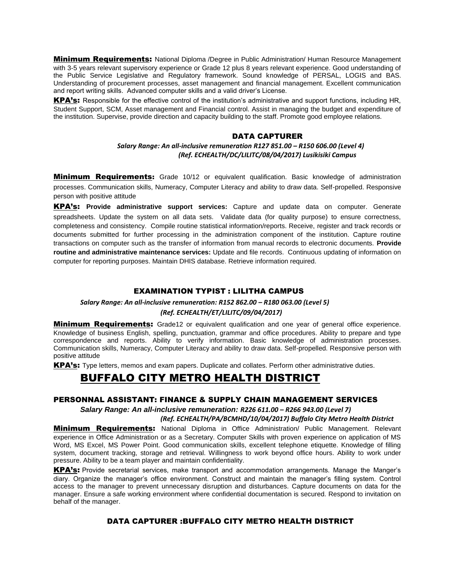**Minimum Requirements:** National Diploma /Degree in Public Administration/ Human Resource Management with 3-5 years relevant supervisory experience or Grade 12 plus 8 years relevant experience. Good understanding of the Public Service Legislative and Regulatory framework. Sound knowledge of PERSAL, LOGIS and BAS. Understanding of procurement processes, asset management and financial management. Excellent communication and report writing skills. Advanced computer skills and a valid driver's License.

KPA's: Responsible for the effective control of the institution's administrative and support functions, including HR, Student Support, SCM, Asset management and Financial control. Assist in managing the budget and expenditure of the institution. Supervise, provide direction and capacity building to the staff. Promote good employee relations.

#### DATA CAPTURER

## *Salary Range: An all-inclusive remuneration R127 851.00 – R150 606.00 (Level 4) (Ref. ECHEALTH/DC/LILITC/08/04/2017) Lusikisiki Campus*

**Minimum Requirements:** Grade 10/12 or equivalent qualification. Basic knowledge of administration processes. Communication skills, Numeracy, Computer Literacy and ability to draw data. Self-propelled. Responsive person with positive attitude

KPA's: **Provide administrative support services:** Capture and update data on computer. Generate spreadsheets. Update the system on all data sets. Validate data (for quality purpose) to ensure correctness, completeness and consistency. Compile routine statistical information/reports. Receive, register and track records or documents submitted for further processing in the administration component of the institution. Capture routine transactions on computer such as the transfer of information from manual records to electronic documents. **Provide routine and administrative maintenance services:** Update and file records. Continuous updating of information on computer for reporting purposes. Maintain DHIS database. Retrieve information required.

## EXAMINATION TYPIST : LILITHA CAMPUS

*Salary Range: An all-inclusive remuneration: R152 862.00 – R180 063.00 (Level 5)*

#### *(Ref. ECHEALTH/ET/LILITC/09/04/2017)*

**Minimum Requirements:** Grade12 or equivalent qualification and one year of general office experience. Knowledge of business English, spelling, punctuation, grammar and office procedures. Ability to prepare and type correspondence and reports. Ability to verify information. Basic knowledge of administration processes. Communication skills, Numeracy, Computer Literacy and ability to draw data. Self-propelled. Responsive person with positive attitude

KPA's: Type letters, memos and exam papers. Duplicate and collates. Perform other administrative duties.

## BUFFALO CITY METRO HEALTH DISTRICT

### PERSONNAL ASSISTANT: FINANCE & SUPPLY CHAIN MANAGEMENT SERVICES

*Salary Range: An all-inclusive remuneration: R226 611.00 – R266 943.00 (Level 7)*

#### *(Ref. ECHEALTH/PA/BCMHD/10/04/2017) Buffalo City Metro Health District*

**Minimum Requirements:** National Diploma in Office Administration/ Public Management. Relevant experience in Office Administration or as a Secretary. Computer Skills with proven experience on application of MS Word, MS Excel, MS Power Point. Good communication skills, excellent telephone etiquette. Knowledge of filling system, document tracking, storage and retrieval. Willingness to work beyond office hours. Ability to work under pressure. Ability to be a team player and maintain confidentiality.

KPA's: Provide secretarial services, make transport and accommodation arrangements. Manage the Manger's diary. Organize the manager's office environment. Construct and maintain the manager's filling system. Control access to the manager to prevent unnecessary disruption and disturbances. Capture documents on data for the manager. Ensure a safe working environment where confidential documentation is secured. Respond to invitation on behalf of the manager.

### DATA CAPTURER :BUFFALO CITY METRO HEALTH DISTRICT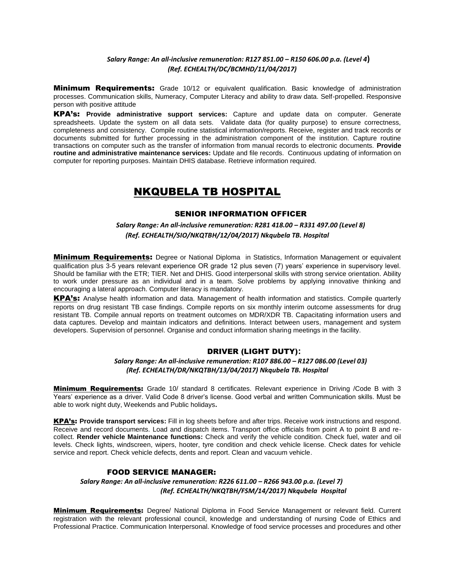### *Salary Range: An all-inclusive remuneration: R127 851.00 – R150 606.00 p.a. (Level 4***)**  *(Ref. ECHEALTH/DC/BCMHD/11/04/2017)*

**Minimum Requirements:** Grade 10/12 or equivalent qualification. Basic knowledge of administration processes. Communication skills, Numeracy, Computer Literacy and ability to draw data. Self-propelled. Responsive person with positive attitude

KPA's: **Provide administrative support services:** Capture and update data on computer. Generate spreadsheets. Update the system on all data sets. Validate data (for quality purpose) to ensure correctness, completeness and consistency. Compile routine statistical information/reports. Receive, register and track records or documents submitted for further processing in the administration component of the institution. Capture routine transactions on computer such as the transfer of information from manual records to electronic documents. **Provide routine and administrative maintenance services:** Update and file records. Continuous updating of information on computer for reporting purposes. Maintain DHIS database. Retrieve information required.

## NKQUBELA TB HOSPITAL

#### SENIOR INFORMATION OFFICER

### *Salary Range: An all-inclusive remuneration: R281 418.00 – R331 497.00 (Level 8) (Ref. ECHEALTH/SIO/NKQTBH/12/04/2017) Nkqubela TB. Hospital*

**Minimum Requirements:** Degree or National Diploma in Statistics, Information Management or equivalent qualification plus 3-5 years relevant experience OR grade 12 plus seven (7) years' experience in supervisory level. Should be familiar with the ETR; TIER. Net and DHIS. Good interpersonal skills with strong service orientation. Ability to work under pressure as an individual and in a team. Solve problems by applying innovative thinking and encouraging a lateral approach. Computer literacy is mandatory.

KPA's: Analyse health information and data. Management of health information and statistics. Compile quarterly reports on drug resistant TB case findings. Compile reports on six monthly interim outcome assessments for drug resistant TB. Compile annual reports on treatment outcomes on MDR/XDR TB. Capacitating information users and data captures. Develop and maintain indicators and definitions. Interact between users, management and system developers. Supervision of personnel. Organise and conduct information sharing meetings in the facility.

### DRIVER (LIGHT DUTY)**:**

#### *Salary Range: An all-inclusive remuneration: R107 886.00 – R127 086.00 (Level 03) (Ref. ECHEALTH/DR/NKQTBH/13/04/2017) Nkqubela TB. Hospital*

**Minimum Requirements:** Grade 10/ standard 8 certificates. Relevant experience in Driving /Code B with 3 Years' experience as a driver. Valid Code 8 driver's license. Good verbal and written Communication skills. Must be able to work night duty, Weekends and Public holidays**.**

KPA's: **Provide transport services:** Fill in log sheets before and after trips. Receive work instructions and respond. Receive and record documents. Load and dispatch items. Transport office officials from point A to point B and recollect. **Render vehicle Maintenance functions:** Check and verify the vehicle condition. Check fuel, water and oil levels. Check lights, windscreen, wipers, hooter, tyre condition and check vehicle license. Check dates for vehicle service and report. Check vehicle defects, dents and report. Clean and vacuum vehicle.

## FOOD SERVICE MANAGER:

### *Salary Range: An all-inclusive remuneration: R226 611.00 – R266 943.00 p.a. (Level 7) (Ref. ECHEALTH/NKQTBH/FSM/14/2017) Nkqubela Hospital*

**Minimum Requirements:** Degree/ National Diploma in Food Service Management or relevant field. Current registration with the relevant professional council, knowledge and understanding of nursing Code of Ethics and Professional Practice. Communication Interpersonal. Knowledge of food service processes and procedures and other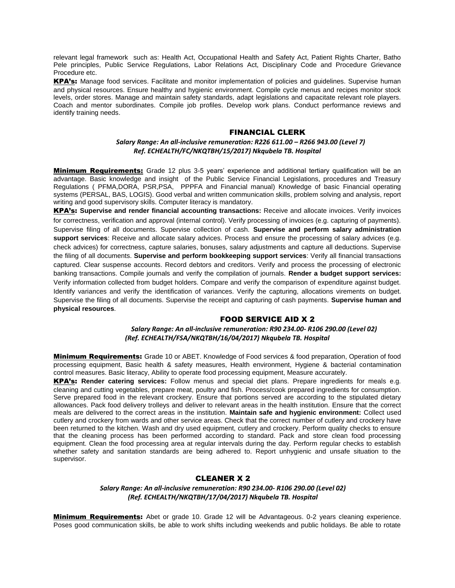relevant legal framework such as: Health Act, Occupational Health and Safety Act, Patient Rights Charter, Batho Pele principles, Public Service Regulations, Labor Relations Act, Disciplinary Code and Procedure Grievance Procedure etc.

KPA's: Manage food services. Facilitate and monitor implementation of policies and guidelines. Supervise human and physical resources. Ensure healthy and hygienic environment. Compile cycle menus and recipes monitor stock levels, order stores. Manage and maintain safety standards, adapt legislations and capacitate relevant role players. Coach and mentor subordinates. Compile job profiles. Develop work plans. Conduct performance reviews and identify training needs.

#### FINANCIAL CLERK

#### *Salary Range: An all-inclusive remuneration: R226 611.00 – R266 943.00 (Level 7) Ref. ECHEALTH/FC/NKQTBH/15/2017) Nkqubela TB. Hospital*

Minimum Requirements: Grade 12 plus 3-5 years' experience and additional tertiary qualification will be an advantage. Basic knowledge and insight of the Public Service Financial Legislations, procedures and Treasury Regulations ( PFMA,DORA, PSR,PSA, PPPFA and Financial manual) Knowledge of basic Financial operating systems (PERSAL, BAS, LOGIS). Good verbal and written communication skills, problem solving and analysis, report writing and good supervisory skills. Computer literacy is mandatory.

KPA's: **Supervise and render financial accounting transactions:** Receive and allocate invoices. Verify invoices for correctness, verification and approval (internal control). Verify processing of invoices (e.g. capturing of payments). Supervise filing of all documents. Supervise collection of cash. **Supervise and perform salary administration support services**: Receive and allocate salary advices. Process and ensure the processing of salary advices (e.g. check advices) for correctness, capture salaries, bonuses, salary adjustments and capture all deductions. Supervise the filing of all documents. **Supervise and perform bookkeeping support services**: Verify all financial transactions captured. Clear suspense accounts. Record debtors and creditors. Verify and process the processing of electronic banking transactions. Compile journals and verify the compilation of journals. **Render a budget support services:**  Verify information collected from budget holders. Compare and verify the comparison of expenditure against budget. Identify variances and verify the identification of variances. Verify the capturing, allocations virements on budget. Supervise the filing of all documents. Supervise the receipt and capturing of cash payments. **Supervise human and physical resources**.

### FOOD SERVICE AID X 2

*Salary Range: An all-inclusive remuneration: R90 234.00- R106 290.00 (Level 02) (Ref. ECHEALTH/FSA/NKQTBH/16/04/2017) Nkqubela TB. Hospital*

**Minimum Requirements:** Grade 10 or ABET. Knowledge of Food services & food preparation, Operation of food processing equipment, Basic health & safety measures, Health environment, Hygiene & bacterial contamination control measures. Basic literacy, Ability to operate food processing equipment, Measure accurately.

KPA's: **Render catering services:** Follow menus and special diet plans. Prepare ingredients for meals e.g. cleaning and cutting vegetables, prepare meat, poultry and fish. Process/cook prepared ingredients for consumption. Serve prepared food in the relevant crockery. Ensure that portions served are according to the stipulated dietary allowances. Pack food delivery trolleys and deliver to relevant areas in the health institution. Ensure that the correct meals are delivered to the correct areas in the institution. **Maintain safe and hygienic environment:** Collect used cutlery and crockery from wards and other service areas. Check that the correct number of cutlery and crockery have been returned to the kitchen. Wash and dry used equipment, cutlery and crockery. Perform quality checks to ensure that the cleaning process has been performed according to standard. Pack and store clean food processing equipment. Clean the food processing area at regular intervals during the day. Perform regular checks to establish whether safety and sanitation standards are being adhered to. Report unhygienic and unsafe situation to the supervisor.

### CLEANER X 2

*Salary Range: An all-inclusive remuneration: R90 234.00- R106 290.00 (Level 02) (Ref. ECHEALTH/NKQTBH/17/04/2017) Nkqubela TB. Hospital*

Minimum Requirements: Abet or grade 10. Grade 12 will be Advantageous. 0-2 years cleaning experience. Poses good communication skills, be able to work shifts including weekends and public holidays. Be able to rotate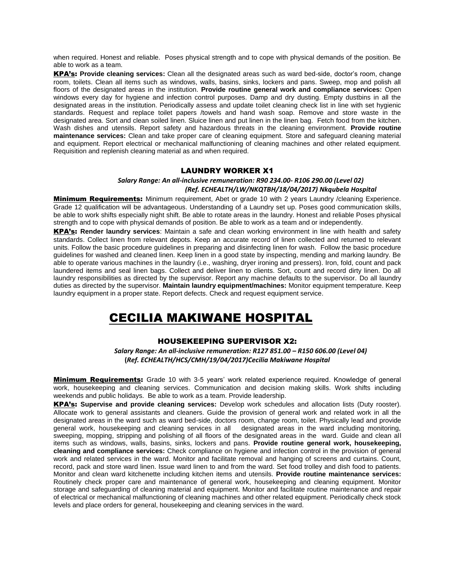when required. Honest and reliable. Poses physical strength and to cope with physical demands of the position. Be able to work as a team.

KPA's: **Provide cleaning services:** Clean all the designated areas such as ward bed-side, doctor's room, change room, toilets. Clean all items such as windows, walls, basins, sinks, lockers and pans. Sweep, mop and polish all floors of the designated areas in the institution. **Provide routine general work and compliance services:** Open windows every day for hygiene and infection control purposes. Damp and dry dusting. Empty dustbins in all the designated areas in the institution. Periodically assess and update toilet cleaning check list in line with set hygienic standards. Request and replace toilet papers /towels and hand wash soap. Remove and store waste in the designated area. Sort and clean soiled linen. Sluice linen and put linen in the linen bag. Fetch food from the kitchen. Wash dishes and utensils. Report safety and hazardous threats in the cleaning environment. **Provide routine maintenance services:** Clean and take proper care of cleaning equipment. Store and safeguard cleaning material and equipment. Report electrical or mechanical malfunctioning of cleaning machines and other related equipment. Requisition and replenish cleaning material as and when required.

#### LAUNDRY WORKER X1

#### *Salary Range: An all-inclusive remuneration: R90 234.00- R106 290.00 (Level 02) (Ref. ECHEALTH/LW/NKQTBH/18/04/2017) Nkqubela Hospital*

**Minimum Requirements:** Minimum requirement, Abet or grade 10 with 2 years Laundry /cleaning Experience. Grade 12 qualification will be advantageous. Understanding of a Laundry set up. Poses good communication skills, be able to work shifts especially night shift. Be able to rotate areas in the laundry. Honest and reliable Poses physical strength and to cope with physical demands of position. Be able to work as a team and or independently.

KPA's: **Render laundry services**: Maintain a safe and clean working environment in line with health and safety standards. Collect linen from relevant depots. Keep an accurate record of linen collected and returned to relevant units. Follow the basic procedure guidelines in preparing and disinfecting linen for wash. Follow the basic procedure guidelines for washed and cleaned linen. Keep linen in a good state by inspecting, mending and marking laundry. Be able to operate various machines in the laundry (i.e., washing, dryer ironing and pressers). Iron, fold, count and pack laundered items and seal linen bags. Collect and deliver linen to clients. Sort, count and record dirty linen. Do all laundry responsibilities as directed by the supervisor. Report any machine defaults to the supervisor. Do all laundry duties as directed by the supervisor. **Maintain laundry equipment/machines:** Monitor equipment temperature. Keep laundry equipment in a proper state. Report defects. Check and request equipment service.

# CECILIA MAKIWANE HOSPITAL

#### HOUSEKEEPING SUPERVISOR X2:

*Salary Range: An all-inclusive remuneration: R127 851.00 – R150 606.00 (Level 04)* **(***Ref. ECHEALTH/HCS/CMH/19/04/2017)Cecilia Makiwane Hospital*

**Minimum Requirements:** Grade 10 with 3-5 years' work related experience required. Knowledge of general work, housekeeping and cleaning services. Communication and decision making skills. Work shifts including weekends and public holidays. Be able to work as a team. Provide leadership.

KPA's: **Supervise and provide cleaning services:** Develop work schedules and allocation lists (Duty rooster). Allocate work to general assistants and cleaners. Guide the provision of general work and related work in all the designated areas in the ward such as ward bed-side, doctors room, change room, toilet. Physically lead and provide general work, housekeeping and cleaning services in all designated areas in the ward including monitoring, sweeping, mopping, stripping and polishing of all floors of the designated areas in the ward. Guide and clean all items such as windows, walls, basins, sinks, lockers and pans. **Provide routine general work, housekeeping, cleaning and compliance services:** Check compliance on hygiene and infection control in the provision of general work and related services in the ward. Monitor and facilitate removal and hanging of screens and curtains. Count, record, pack and store ward linen. Issue ward linen to and from the ward. Set food trolley and dish food to patients. Monitor and clean ward kitchenette including kitchen items and utensils. **Provide routine maintenance services:** Routinely check proper care and maintenance of general work, housekeeping and cleaning equipment. Monitor storage and safeguarding of cleaning material and equipment. Monitor and facilitate routine maintenance and repair of electrical or mechanical malfunctioning of cleaning machines and other related equipment. Periodically check stock levels and place orders for general, housekeeping and cleaning services in the ward.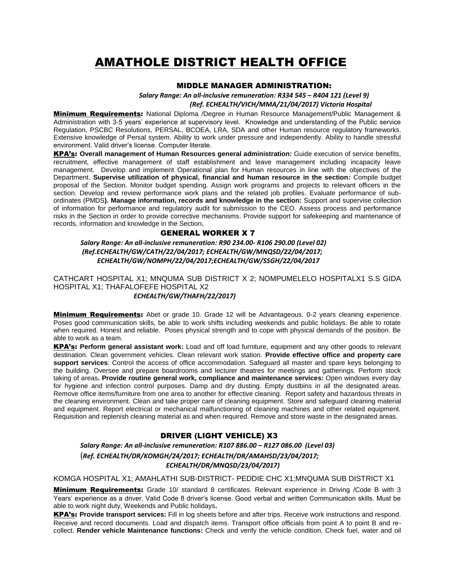# AMATHOLE DISTRICT HEALTH OFFICE

#### MIDDLE MANAGER ADMINISTRATION:

*Salary Range: An all-inclusive remuneration: R334 545 – R404 121 (Level 9)*

*(Ref. ECHEALTH/VICH/MMA/21/04/2017) Victoria Hospital*

**Minimum Requirements:** National Diploma /Degree in Human Resource Management/Public Management & Administration with 3-5 years' experience at supervisory level. Knowledge and understanding of the Public service Regulation, PSCBC Resolutions, PERSAL, BCOEA, LRA, SDA and other Human resource regulatory frameworks. Extensive knowledge of Persal system. Ability to work under pressure and independently. Ability to handle stressful environment. Valid driver's license. Computer literate.

KPA's: **Overall management of Human Resources general administration:** Guide execution of service benefits, recruitment, effective management of staff establishment and leave management including incapacity leave management. Develop and implement Operational plan for Human resources in line with the objectives of the Department. **Supervise utilization of physical, financial and human resource in the section:** Compile budget proposal of the Section. Monitor budget spending. Assign work programs and projects to relevant officers in the section. Develop and review performance work plans and the related job profiles. Evaluate performance of subordinates (PMDS**). Manage information, records and knowledge in the section:** Support and supervise collection of information for performance and regulatory audit for submission to the CEO. Assess process and performance risks in the Section in order to provide corrective mechanisms. Provide support for safekeeping and maintenance of records, information and knowledge in the Section**.**

#### GENERAL WORKER X 7

 *Salary Range: An all-inclusive remuneration: R90 234.00- R106 290.00 (Level 02) (Ref.ECHEALTH/GW/CATH/22/04/2017; ECHEALTH/GW/MNQSD/22/04/2017; ECHEALTH/GW/NOMPH/22/04/2017;ECHEALTH/GW/SSGH/22/04/2017*

CATHCART HOSPITAL X1; MNQUMA SUB DISTRICT X 2; NOMPUMELELO HOSPITALX1 S.S GIDA HOSPITAL X1; THAFALOFEFE HOSPITAL X2 *ECHEALTH/GW/THAFH/22/2017)*

**Minimum Requirements:** Abet or grade 10. Grade 12 will be Advantageous. 0-2 years cleaning experience. Poses good communication skills, be able to work shifts including weekends and public holidays. Be able to rotate when required. Honest and reliable. Poses physical strength and to cope with physical demands of the position. Be able to work as a team.

KPA's: **Perform general assistant work:** Load and off load furniture, equipment and any other goods to relevant destination. Clean government vehicles. Clean relevant work station. **Provide effective office and property care support services**: Control the access of office accommodation. Safeguard all master and spare keys belonging to the building. Oversee and prepare boardrooms and lecturer theatres for meetings and gatherings. Perform stock taking of areas**. Provide routine general work, compliance and maintenance services:** Open windows every day for hygiene and infection control purposes. Damp and dry dusting. Empty dustbins in all the designated areas. Remove office items/furniture from one area to another for effective cleaning. Report safety and hazardous threats in the cleaning environment. Clean and take proper care of cleaning equipment. Store and safeguard cleaning material and equipment. Report electrical or mechanical malfunctioning of cleaning machines and other related equipment. Requisition and replenish cleaning material as and when required. Remove and store waste in the designated areas.

### DRIVER (LIGHT VEHICLE) X3

*Salary Range: An all-inclusive remuneration: R107 886.00 – R127 086.00 (Level 03)* (*Ref. ECHEALTH/DR/KOMGH/24/2017; ECHEALTH/DR/AMAHSD/23/04/2017; ECHEALTH/DR/MNQSD/23/04/2017)*

KOMGA HOSPITAL X1; AMAHLATHI SUB-DISTRICT- PEDDIE CHC X1;MNQUMA SUB DISTRICT X1

**Minimum Requirements:** Grade 10/ standard 8 certificates. Relevant experience in Driving /Code B with 3 Years' experience as a driver. Valid Code 8 driver's license. Good verbal and written Communication skills. Must be able to work night duty, Weekends and Public holidays**.**

KPA's: **Provide transport services:** Fill in log sheets before and after trips. Receive work instructions and respond. Receive and record documents. Load and dispatch items. Transport office officials from point A to point B and recollect. **Render vehicle Maintenance functions:** Check and verify the vehicle condition. Check fuel, water and oil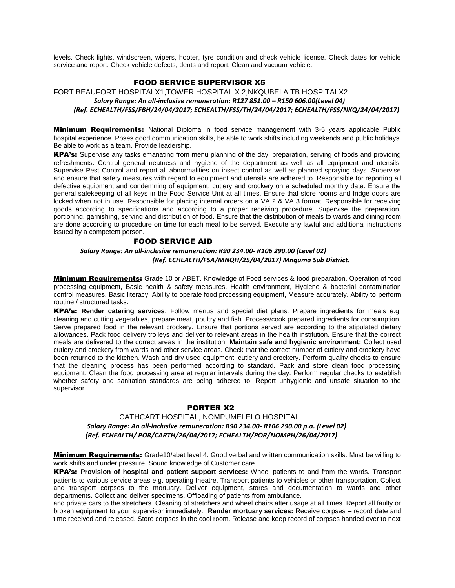levels. Check lights, windscreen, wipers, hooter, tyre condition and check vehicle license. Check dates for vehicle service and report. Check vehicle defects, dents and report. Clean and vacuum vehicle.

## FOOD SERVICE SUPERVISOR X5

FORT BEAUFORT HOSPITALX1;TOWER HOSPITAL X 2;NKQUBELA TB HOSPITALX2  *Salary Range: An all-inclusive remuneration: R127 851.00 – R150 606.00(Level 04) (Ref. ECHEALTH/FSS/FBH/24/04/2017; ECHEALTH/FSS/TH/24/04/2017; ECHEALTH/FSS/NKQ/24/04/2017)*

**Minimum Requirements:** National Diploma in food service management with 3-5 years applicable Public hospital experience. Poses good communication skills, be able to work shifts including weekends and public holidays. Be able to work as a team. Provide leadership.

KPA's: Supervise any tasks emanating from menu planning of the day, preparation, serving of foods and providing refreshments. Control general neatness and hygiene of the department as well as all equipment and utensils. Supervise Pest Control and report all abnormalities on insect control as well as planned spraying days. Supervise and ensure that safety measures with regard to equipment and utensils are adhered to. Responsible for reporting all defective equipment and condemning of equipment, cutlery and crockery on a scheduled monthly date. Ensure the general safekeeping of all keys in the Food Service Unit at all times. Ensure that store rooms and fridge doors are locked when not in use. Responsible for placing internal orders on a VA 2 & VA 3 format. Responsible for receiving goods according to specifications and according to a proper receiving procedure. Supervise the preparation, portioning, garnishing, serving and distribution of food. Ensure that the distribution of meals to wards and dining room are done according to procedure on time for each meal to be served. Execute any lawful and additional instructions issued by a competent person.

#### FOOD SERVICE AID

*Salary Range: An all-inclusive remuneration: R90 234.00- R106 290.00 (Level 02) (Ref. ECHEALTH/FSA/MNQH/25/04/2017) Mnquma Sub District.*

**Minimum Requirements:** Grade 10 or ABET. Knowledge of Food services & food preparation, Operation of food processing equipment, Basic health & safety measures, Health environment, Hygiene & bacterial contamination control measures. Basic literacy, Ability to operate food processing equipment, Measure accurately. Ability to perform routine / structured tasks.

KPA's: **Render catering services**: Follow menus and special diet plans. Prepare ingredients for meals e.g. cleaning and cutting vegetables, prepare meat, poultry and fish. Process/cook prepared ingredients for consumption. Serve prepared food in the relevant crockery. Ensure that portions served are according to the stipulated dietary allowances. Pack food delivery trolleys and deliver to relevant areas in the health institution. Ensure that the correct meals are delivered to the correct areas in the institution. **Maintain safe and hygienic environment:** Collect used cutlery and crockery from wards and other service areas. Check that the correct number of cutlery and crockery have been returned to the kitchen. Wash and dry used equipment, cutlery and crockery. Perform quality checks to ensure that the cleaning process has been performed according to standard. Pack and store clean food processing equipment. Clean the food processing area at regular intervals during the day. Perform regular checks to establish whether safety and sanitation standards are being adhered to. Report unhygienic and unsafe situation to the supervisor.

### PORTER X2

### CATHCART HOSPITAL; NOMPUMELELO HOSPITAL  *Salary Range: An all-inclusive remuneration: R90 234.00- R106 290.00 p.a. (Level 02) (Ref. ECHEALTH/ POR/CARTH/26/04/2017; ECHEALTH/POR/NOMPH/26/04/2017)*

**Minimum Requirements:** Grade10/abet level 4. Good verbal and written communication skills. Must be willing to work shifts and under pressure. Sound knowledge of Customer care.

KPA's: **Provision of hospital and patient support services:** Wheel patients to and from the wards. Transport patients to various service areas e.g. operating theatre. Transport patients to vehicles or other transportation. Collect and transport corpses to the mortuary. Deliver equipment, stores and documentation to wards and other departments. Collect and deliver specimens. Offloading of patients from ambulance.

and private cars to the stretchers. Cleaning of stretchers and wheel chairs after usage at all times. Report all faulty or broken equipment to your supervisor immediately. **Render mortuary services:** Receive corpses – record date and time received and released. Store corpses in the cool room. Release and keep record of corpses handed over to next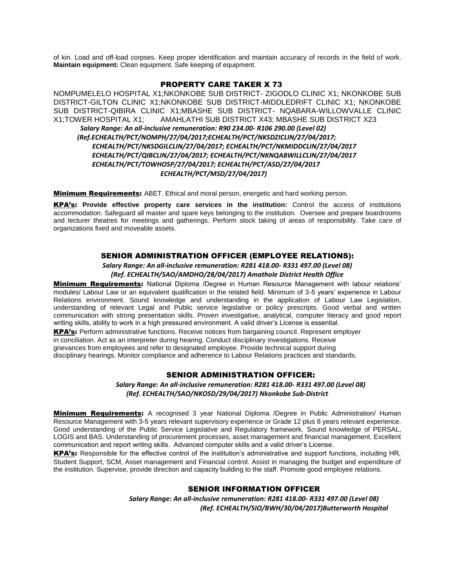of kin. Load and off-load corpses. Keep proper identification and maintain accuracy of records in the field of work. **Maintain equipment:** Clean equipment. Safe keeping of equipment.

#### PROPERTY CARE TAKER X 73

NOMPUMELELO HOSPITAL X1;NKONKOBE SUB DISTRICT- ZIGODLO CLINIC X1; NKONKOBE SUB DISTRICT-GILTON CLINIC X1;NKONKOBE SUB DISTRICT-MIDDLEDRIFT CLINIC X1; NKONKOBE SUB DISTRICT-QIBIRA CLINIC X1;MBASHE SUB DISTRICT- NQABARA-WILLOWVALLE CLINIC X1;TOWER HOSPITAL X1; AMAHLATHI SUB DISTRICT X43; MBASHE SUB DISTRICT X23 *Salary Range: An all-inclusive remuneration: R90 234.00- R106 290.00 (Level 02) (Ref.ECHEALTH/PCT/NOMPH/27/04/2017;ECHEALTH/PCT/NKSDZICLIN/27/04/2017; ECHEALTH/PCT/NKSDGILCLIN/27/04/2017; ECHEALTH/PCT/NKMIDDCLIN/27/04/2017 ECHEALTH/PCT/QIBCLIN/27/04/2017; ECHEALTH/PCT/NKNQABWILLCLIN/27/04/2017 ECHEALTH/PCT/TOWHOSP/27/04/2017; ECHEALTH/PCT/ASD/27/04/2017 ECHEALTH/PCT/MSD/27/04/2017)*

**Minimum Requirements:** ABET. Ethical and moral person, energetic and hard working person.

KPA's: **Provide effective property care services in the institution:** Control the access of institutions accommodation. Safeguard all master and spare keys belonging to the institution. Oversee and prepare boardrooms and lecturer theatres for meetings and gatherings. Perform stock taking of areas of responsibility. Take care of organizations fixed and moveable assets.

#### SENIOR ADMINISTRATION OFFICER (EMPLOYEE RELATIONS):

*Salary Range: An all-inclusive remuneration: R281 418.00- R331 497.00 (Level 08) (Ref. ECHEALTH/SAO/AMDHO/28/04/2017) Amathole District Health Office*

**Minimum Requirements:** National Diploma /Degree in Human Resource Management with labour relations' modules/ Labour Law or an equivalent qualification in the related field. Minimum of 3-5 years' experience in Labour Relations environment. Sound knowledge and understanding in the application of Labour Law Legislation, understanding of relevant Legal and Public service legislative or policy prescripts. Good verbal and written communication with strong presentation skills. Proven investigative, analytical, computer literacy and good report writing skills, ability to work in a high pressured environment. A valid driver's License is essential.

KPA's: Perform administrative functions. Receive notices from bargaining council. Represent employer in conciliation. Act as an interpreter during hearing. Conduct disciplinary investigations. Receive grievances from employees and refer to designated employee. Provide technical support during disciplinary hearings. Monitor compliance and adherence to Labour Relations practices and standards.

#### SENIOR ADMINISTRATION OFFICER:

*Salary Range: An all-inclusive remuneration: R281 418.00- R331 497.00 (Level 08) (Ref. ECHEALTH/SAO/NKOSD/29/04/2017) Nkonkobe Sub-District*

**Minimum Requirements:** A recognised 3 year National Diploma /Degree in Public Administration/ Human Resource Management with 3-5 years relevant supervisory experience or Grade 12 plus 8 years relevant experience. Good understanding of the Public Service Legislative and Regulatory framework. Sound knowledge of PERSAL, LOGIS and BAS. Understanding of procurement processes, asset management and financial management. Excellent communication and report writing skills. Advanced computer skills and a valid driver's License.

KPA's: Responsible for the effective control of the institution's administrative and support functions, including HR, Student Support, SCM, Asset management and Financial control. Assist in managing the budget and expenditure of the institution. Supervise, provide direction and capacity building to the staff. Promote good employee relations.

#### SENIOR INFORMATION OFFICER

*Salary Range: An all-inclusive remuneration: R281 418.00- R331 497.00 (Level 08) (Ref. ECHEALTH/SIO/BWH/30/04/2017)Butterworth Hospital*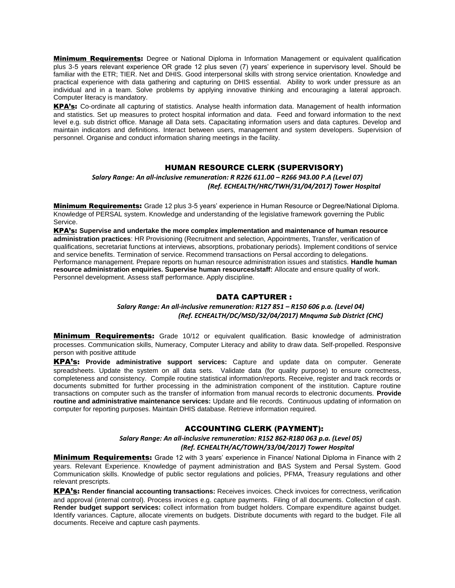**Minimum Requirements:** Degree or National Diploma in Information Management or equivalent qualification plus 3-5 years relevant experience OR grade 12 plus seven (7) years' experience in supervisory level. Should be familiar with the ETR; TIER. Net and DHIS. Good interpersonal skills with strong service orientation. Knowledge and practical experience with data gathering and capturing on DHIS essential. Ability to work under pressure as an individual and in a team. Solve problems by applying innovative thinking and encouraging a lateral approach. Computer literacy is mandatory.

KPA's: Co-ordinate all capturing of statistics. Analyse health information data. Management of health information and statistics. Set up measures to protect hospital information and data. Feed and forward information to the next level e.g. sub district office. Manage all Data sets. Capacitating information users and data captures. Develop and maintain indicators and definitions. Interact between users, management and system developers. Supervision of personnel. Organise and conduct information sharing meetings in the facility.

## HUMAN RESOURCE CLERK (SUPERVISORY)

*Salary Range: An all-inclusive remuneration: R R226 611.00 – R266 943.00 P.A (Level 07) (Ref. ECHEALTH/HRC/TWH/31/04/2017) Tower Hospital*

**Minimum Requirements:** Grade 12 plus 3-5 years' experience in Human Resource or Degree/National Diploma. Knowledge of PERSAL system. Knowledge and understanding of the legislative framework governing the Public Service.

KPA's: **Supervise and undertake the more complex implementation and maintenance of human resource administration practices**: HR Provisioning (Recruitment and selection, Appointments, Transfer, verification of qualifications, secretariat functions at interviews, absorptions, probationary periods). Implement conditions of service and service benefits. Termination of service. Recommend transactions on Persal according to delegations. Performance management. Prepare reports on human resource administration issues and statistics. **Handle human resource administration enquiries. Supervise human resources/staff:** Allocate and ensure quality of work. Personnel development. Assess staff performance. Apply discipline.

### DATA CAPTURER :

### *Salary Range: An all-inclusive remuneration: R127 851 – R150 606 p.a. (Level 04) (Ref. ECHEALTH/DC/MSD/32/04/2017) Mnquma Sub District (CHC)*

**Minimum Requirements:** Grade 10/12 or equivalent qualification. Basic knowledge of administration processes. Communication skills, Numeracy, Computer Literacy and ability to draw data. Self-propelled. Responsive person with positive attitude

KPA's: **Provide administrative support services:** Capture and update data on computer. Generate spreadsheets. Update the system on all data sets. Validate data (for quality purpose) to ensure correctness, completeness and consistency. Compile routine statistical information/reports. Receive, register and track records or documents submitted for further processing in the administration component of the institution. Capture routine transactions on computer such as the transfer of information from manual records to electronic documents. **Provide routine and administrative maintenance services:** Update and file records. Continuous updating of information on computer for reporting purposes. Maintain DHIS database. Retrieve information required.

### ACCOUNTING CLERK (PAYMENT):

## *Salary Range: An all-inclusive remuneration: R152 862-R180 063 p.a. (Level 05) (Ref. ECHEALTH/AC/TOWH/33/04/2017) Tower Hospital*

**Minimum Requirements:** Grade 12 with 3 years' experience in Finance/ National Diploma in Finance with 2 years. Relevant Experience. Knowledge of payment administration and BAS System and Persal System. Good Communication skills. Knowledge of public sector regulations and policies, PFMA, Treasury regulations and other relevant prescripts.

KPA's: **Render financial accounting transactions:** Receives invoices. Check invoices for correctness, verification and approval (internal control). Process invoices e.g. capture payments. Filing of all documents. Collection of cash. **Render budget support services:** collect information from budget holders. Compare expenditure against budget. Identify variances. Capture, allocate virements on budgets. Distribute documents with regard to the budget. File all documents. Receive and capture cash payments.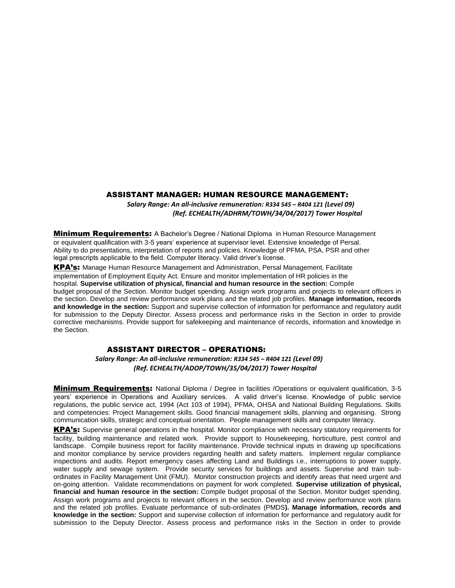#### ASSISTANT MANAGER: HUMAN RESOURCE MANAGEMENT:

*Salary Range: An all-inclusive remuneration: R334 545 – R404 121 (Level 09) (Ref. ECHEALTH/ADHRM/TOWH/34/04/2017) Tower Hospital*

**Minimum Requirements:** A Bachelor's Degree / National Diploma in Human Resource Management or equivalent qualification with 3-5 years' experience at supervisor level. Extensive knowledge of Persal. Ability to do presentations, interpretation of reports and policies. Knowledge of PFMA, PSA, PSR and other legal prescripts applicable to the field. Computer literacy. Valid driver's license.

KPA's: Manage Human Resource Management and Administration, Persal Management, Facilitate implementation of Employment Equity Act. Ensure and monitor implementation of HR policies in the hospital. **Supervise utilization of physical, financial and human resource in the section:** Compile budget proposal of the Section. Monitor budget spending. Assign work programs and projects to relevant officers in the section. Develop and review performance work plans and the related job profiles. **Manage information, records and knowledge in the section:** Support and supervise collection of information for performance and regulatory audit for submission to the Deputy Director. Assess process and performance risks in the Section in order to provide corrective mechanisms. Provide support for safekeeping and maintenance of records, information and knowledge in the Section.

### ASSISTANT DIRECTOR – OPERATIONS:

 *Salary Range: An all-inclusive remuneration: R334 545 – R404 121 (Level 09) (Ref. ECHEALTH/ADOP/TOWH/35/04/2017) Tower Hospital*

**Minimum Requirements:** National Diploma / Degree in facilities / Operations or equivalent qualification, 3-5 years' experience in Operations and Auxiliary services. A valid driver's license. Knowledge of public service regulations, the public service act, 1994 (Act 103 of 1994), PFMA, OHSA and National Building Regulations. Skills and competencies: Project Management skills. Good financial management skills, planning and organising. Strong communication skills, strategic and conceptual orientation. People management skills and computer literacy.

KPA's: Supervise general operations in the hospital. Monitor compliance with necessary statutory requirements for facility, building maintenance and related work. Provide support to Housekeeping, horticulture, pest control and landscape. Compile business report for facility maintenance. Provide technical inputs in drawing up specifications and monitor compliance by service providers regarding health and safety matters. Implement regular compliance inspections and audits. Report emergency cases affecting Land and Buildings i.e., interruptions to power supply, water supply and sewage system. Provide security services for buildings and assets. Supervise and train subordinates in Facility Management Unit (FMU). Monitor construction projects and identify areas that need urgent and on-going attention. Validate recommendations on payment for work completed. **Supervise utilization of physical, financial and human resource in the section:** Compile budget proposal of the Section. Monitor budget spending. Assign work programs and projects to relevant officers in the section. Develop and review performance work plans and the related job profiles. Evaluate performance of sub-ordinates (PMDS**). Manage information, records and knowledge in the section:** Support and supervise collection of information for performance and regulatory audit for submission to the Deputy Director. Assess process and performance risks in the Section in order to provide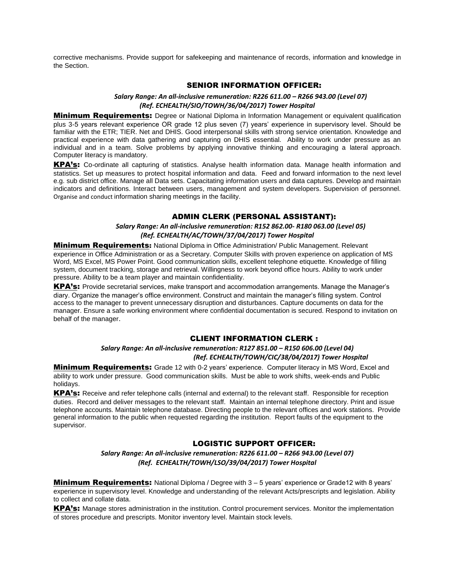corrective mechanisms. Provide support for safekeeping and maintenance of records, information and knowledge in the Section.

## SENIOR INFORMATION OFFICER:

#### *Salary Range: An all-inclusive remuneration: R226 611.00 – R266 943.00 (Level 07) (Ref. ECHEALTH/SIO/TOWH/36/04/2017) Tower Hospital*

**Minimum Requirements:** Degree or National Diploma in Information Management or equivalent qualification plus 3-5 years relevant experience OR grade 12 plus seven (7) years' experience in supervisory level. Should be familiar with the ETR; TIER. Net and DHIS. Good interpersonal skills with strong service orientation. Knowledge and practical experience with data gathering and capturing on DHIS essential. Ability to work under pressure as an individual and in a team. Solve problems by applying innovative thinking and encouraging a lateral approach. Computer literacy is mandatory.

KPA's: Co-ordinate all capturing of statistics. Analyse health information data. Manage health information and statistics. Set up measures to protect hospital information and data. Feed and forward information to the next level e.g. sub district office. Manage all Data sets. Capacitating information users and data captures. Develop and maintain indicators and definitions. Interact between users, management and system developers. Supervision of personnel. Organise and conduct information sharing meetings in the facility.

## ADMIN CLERK (PERSONAL ASSISTANT):

#### *Salary Range: An all-inclusive remuneration: R152 862.00- R180 063.00 (Level 05) (Ref. ECHEALTH/AC/TOWH/37/04/2017) Tower Hospital*

**Minimum Requirements:** National Diploma in Office Administration/ Public Management. Relevant experience in Office Administration or as a Secretary. Computer Skills with proven experience on application of MS Word, MS Excel, MS Power Point. Good communication skills, excellent telephone etiquette. Knowledge of filling system, document tracking, storage and retrieval. Willingness to work beyond office hours. Ability to work under pressure. Ability to be a team player and maintain confidentiality.

KPA's: Provide secretarial services, make transport and accommodation arrangements. Manage the Manager's diary. Organize the manager's office environment. Construct and maintain the manager's filling system. Control access to the manager to prevent unnecessary disruption and disturbances. Capture documents on data for the manager. Ensure a safe working environment where confidential documentation is secured. Respond to invitation on behalf of the manager.

## CLIENT INFORMATION CLERK :

## *Salary Range: An all-inclusive remuneration: R127 851.00 – R150 606.00 (Level 04) (Ref. ECHEALTH/TOWH/CIC/38/04/2017) Tower Hospital*

**Minimum Requirements:** Grade 12 with 0-2 years' experience. Computer literacy in MS Word, Excel and ability to work under pressure. Good communication skills. Must be able to work shifts, week-ends and Public holidays.

KPA's: Receive and refer telephone calls (internal and external) to the relevant staff. Responsible for reception duties. Record and deliver messages to the relevant staff. Maintain an internal telephone directory. Print and issue telephone accounts. Maintain telephone database. Directing people to the relevant offices and work stations. Provide general information to the public when requested regarding the institution. Report faults of the equipment to the supervisor.

## LOGISTIC SUPPORT OFFICER:

*Salary Range: An all-inclusive remuneration: R226 611.00 – R266 943.00 (Level 07) (Ref. ECHEALTH/TOWH/LSO/39/04/2017) Tower Hospital*

**Minimum Requirements:** National Diploma / Degree with 3 – 5 years' experience or Grade12 with 8 years' experience in supervisory level. Knowledge and understanding of the relevant Acts/prescripts and legislation. Ability to collect and collate data.

KPA's: Manage stores administration in the institution. Control procurement services. Monitor the implementation of stores procedure and prescripts. Monitor inventory level. Maintain stock levels.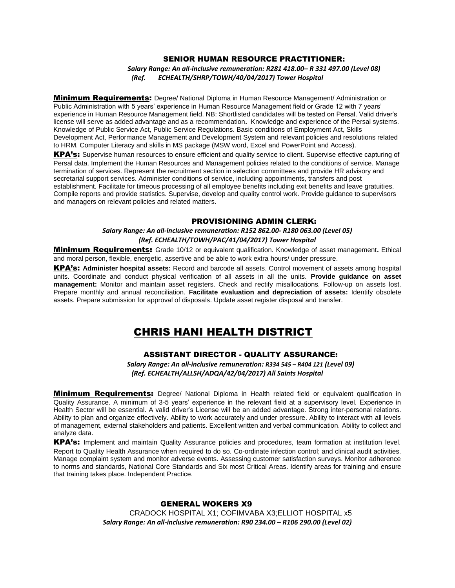## SENIOR HUMAN RESOURCE PRACTITIONER:

*Salary Range: An all-inclusive remuneration: R281 418.00– R 331 497.00 (Level 08) (Ref. ECHEALTH/SHRP/TOWH/40/04/2017) Tower Hospital*

**Minimum Requirements:** Degree/ National Diploma in Human Resource Management/ Administration or Public Administration with 5 years' experience in Human Resource Management field or Grade 12 with 7 years' experience in Human Resource Management field. NB: Shortlisted candidates will be tested on Persal. Valid driver's license will serve as added advantage and as a recommendation**.** Knowledge and experience of the Persal systems. Knowledge of Public Service Act, Public Service Regulations. Basic conditions of Employment Act, Skills Development Act, Performance Management and Development System and relevant policies and resolutions related to HRM. Computer Literacy and skills in MS package (MSW word, Excel and PowerPoint and Access).

KPA's: Supervise human resources to ensure efficient and quality service to client. Supervise effective capturing of Persal data. Implement the Human Resources and Management policies related to the conditions of service. Manage termination of services. Represent the recruitment section in selection committees and provide HR advisory and secretarial support services. Administer conditions of service, including appointments, transfers and post establishment. Facilitate for timeous processing of all employee benefits including exit benefits and leave gratuities. Compile reports and provide statistics. Supervise, develop and quality control work. Provide guidance to supervisors and managers on relevant policies and related matters.

#### PROVISIONING ADMIN CLERK:

*Salary Range: An all-inclusive remuneration: R152 862.00- R180 063.00 (Level 05) (Ref. ECHEALTH/TOWH/PAC/41/04/2017) Tower Hospital*

Minimum Requirements: Grade 10/12 or equivalent qualification. Knowledge of asset management**.** Ethical and moral person, flexible, energetic, assertive and be able to work extra hours/ under pressure.

KPA's: **Administer hospital assets:** Record and barcode all assets. Control movement of assets among hospital units. Coordinate and conduct physical verification of all assets in all the units. **Provide guidance on asset management:** Monitor and maintain asset registers. Check and rectify misallocations. Follow-up on assets lost. Prepare monthly and annual reconciliation. **Facilitate evaluation and depreciation of assets:** Identify obsolete assets. Prepare submission for approval of disposals. Update asset register disposal and transfer.

## CHRIS HANI HEALTH DISTRICT

### ASSISTANT DIRECTOR - QUALITY ASSURANCE:

*Salary Range: An all-inclusive remuneration: R334 545 – R404 121 (Level 09) (Ref. ECHEALTH/ALLSH/ADQA/42/04/2017) All Saints Hospital*

**Minimum Requirements:** Degree/ National Diploma in Health related field or equivalent qualification in Quality Assurance. A minimum of 3-5 years' experience in the relevant field at a supervisory level. Experience in Health Sector will be essential. A valid driver's License will be an added advantage. Strong inter-personal relations. Ability to plan and organize effectively. Ability to work accurately and under pressure. Ability to interact with all levels of management, external stakeholders and patients. Excellent written and verbal communication. Ability to collect and analyze data.

KPA's: Implement and maintain Quality Assurance policies and procedures, team formation at institution level. Report to Quality Health Assurance when required to do so. Co-ordinate infection control; and clinical audit activities. Manage complaint system and monitor adverse events. Assessing customer satisfaction surveys. Monitor adherence to norms and standards, National Core Standards and Six most Critical Areas. Identify areas for training and ensure that training takes place. Independent Practice.

### GENERAL WOKERS X9

CRADOCK HOSPITAL X1; COFIMVABA X3;ELLIOT HOSPITAL x5 *Salary Range: An all-inclusive remuneration: R90 234.00 – R106 290.00 (Level 02)*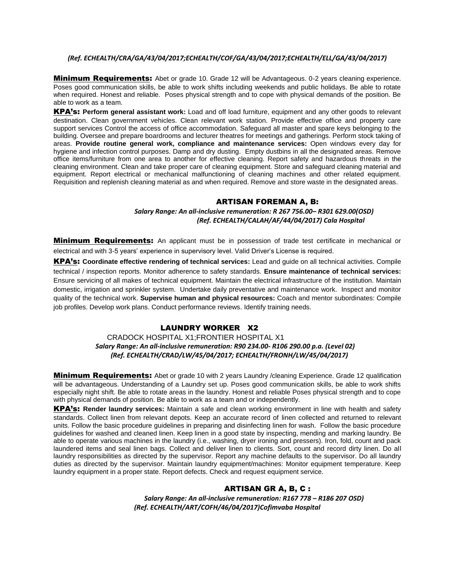#### *(Ref. ECHEALTH/CRA/GA/43/04/2017;ECHEALTH/COF/GA/43/04/2017;ECHEALTH/ELL/GA/43/04/2017)*

**Minimum Requirements:** Abet or grade 10. Grade 12 will be Advantageous. 0-2 years cleaning experience. Poses good communication skills, be able to work shifts including weekends and public holidays. Be able to rotate when required. Honest and reliable. Poses physical strength and to cope with physical demands of the position. Be able to work as a team.

KPA's: **Perform general assistant work:** Load and off load furniture, equipment and any other goods to relevant destination. Clean government vehicles. Clean relevant work station. Provide effective office and property care support services Control the access of office accommodation. Safeguard all master and spare keys belonging to the building. Oversee and prepare boardrooms and lecturer theatres for meetings and gatherings. Perform stock taking of areas. **Provide routine general work, compliance and maintenance services:** Open windows every day for hygiene and infection control purposes. Damp and dry dusting. Empty dustbins in all the designated areas. Remove office items/furniture from one area to another for effective cleaning. Report safety and hazardous threats in the cleaning environment. Clean and take proper care of cleaning equipment. Store and safeguard cleaning material and equipment. Report electrical or mechanical malfunctioning of cleaning machines and other related equipment. Requisition and replenish cleaning material as and when required. Remove and store waste in the designated areas.

## ARTISAN FOREMAN A, B:

## *Salary Range: An all-inclusive remuneration: R 267 756.00– R301 629.00(OSD) (Ref. ECHEALTH/CALAH/AF/44/04/2017) Cala Hospital*

**Minimum Requirements:** An applicant must be in possession of trade test certificate in mechanical or electrical and with 3-5 years' experience in supervisory level. Valid Driver's License is required.

KPA's: **Coordinate effective rendering of technical services:** Lead and guide on all technical activities. Compile technical / inspection reports. Monitor adherence to safety standards. **Ensure maintenance of technical services:**  Ensure servicing of all makes of technical equipment. Maintain the electrical infrastructure of the institution. Maintain domestic, irrigation and sprinkler system. Undertake daily preventative and maintenance work. Inspect and monitor quality of the technical work. **Supervise human and physical resources:** Coach and mentor subordinates: Compile job profiles. Develop work plans. Conduct performance reviews. Identify training needs.

## LAUNDRY WORKER X2

## CRADOCK HOSPITAL X1;FRONTIER HOSPITAL X1  *Salary Range: An all-inclusive remuneration: R90 234.00- R106 290.00 p.a. (Level 02) (Ref. ECHEALTH/CRAD/LW/45/04/2017; ECHEALTH/FRONH/LW/45/04/2017)*

**Minimum Requirements:** Abet or grade 10 with 2 years Laundry /cleaning Experience. Grade 12 qualification will be advantageous. Understanding of a Laundry set up. Poses good communication skills, be able to work shifts especially night shift. Be able to rotate areas in the laundry. Honest and reliable Poses physical strength and to cope with physical demands of position. Be able to work as a team and or independently.

KPA's: **Render laundry services:** Maintain a safe and clean working environment in line with health and safety standards. Collect linen from relevant depots. Keep an accurate record of linen collected and returned to relevant units. Follow the basic procedure guidelines in preparing and disinfecting linen for wash. Follow the basic procedure guidelines for washed and cleaned linen. Keep linen in a good state by inspecting, mending and marking laundry. Be able to operate various machines in the laundry (i.e., washing, dryer ironing and pressers). Iron, fold, count and pack laundered items and seal linen bags. Collect and deliver linen to clients. Sort, count and record dirty linen. Do all laundry responsibilities as directed by the supervisor. Report any machine defaults to the supervisor. Do all laundry duties as directed by the supervisor. Maintain laundry equipment/machines: Monitor equipment temperature. Keep laundry equipment in a proper state. Report defects. Check and request equipment service.

## ARTISAN GR A, B, C :

*Salary Range: An all-inclusive remuneration: R167 778 – R186 207 OSD) (Ref. ECHEALTH/ART/COFH/46/04/2017)Cofimvaba Hospital*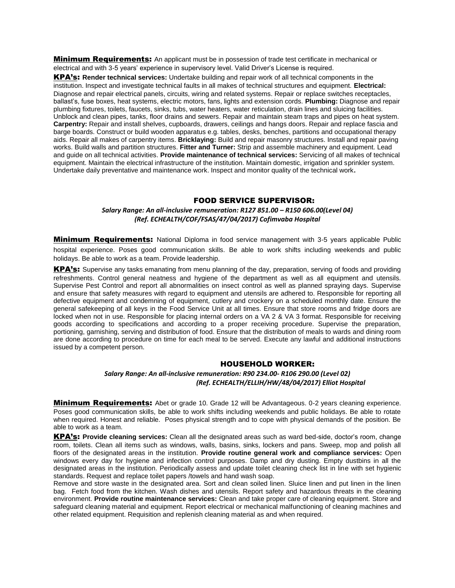**Minimum Requirements:** An applicant must be in possession of trade test certificate in mechanical or electrical and with 3-5 years' experience in supervisory level. Valid Driver's License is required.

KPA's: **Render technical services:** Undertake building and repair work of all technical components in the institution. Inspect and investigate technical faults in all makes of technical structures and equipment. **Electrical:**  Diagnose and repair electrical panels, circuits, wiring and related systems. Repair or replace switches receptacles, ballast's, fuse boxes, heat systems, electric motors, fans, lights and extension cords. **Plumbing:** Diagnose and repair plumbing fixtures, toilets, faucets, sinks, tubs, water heaters, water reticulation, drain lines and sluicing facilities. Unblock and clean pipes, tanks, floor drains and sewers. Repair and maintain steam traps and pipes on heat system. **Carpentry:** Repair and install shelves, cupboards, drawers, ceilings and hangs doors. Repair and replace fascia and barge boards. Construct or build wooden apparatus e.g. tables, desks, benches, partitions and occupational therapy aids. Repair all makes of carpentry items. **Bricklaying:** Build and repair masonry structures. Install and repair paving works. Build walls and partition structures. **Fitter and Turner:** Strip and assemble machinery and equipment. Lead and guide on all technical activities. **Provide maintenance of technical services:** Servicing of all makes of technical equipment. Maintain the electrical infrastructure of the institution. Maintain domestic, irrigation and sprinkler system. Undertake daily preventative and maintenance work. Inspect and monitor quality of the technical work**.**

#### FOOD SERVICE SUPERVISOR:

#### *Salary Range: An all-inclusive remuneration: R127 851.00 – R150 606.00(Level 04) (Ref. ECHEALTH/COF/FSAS/47/04/2017) Cofimvaba Hospital*

**Minimum Requirements:** National Diploma in food service management with 3-5 years applicable Public hospital experience. Poses good communication skills. Be able to work shifts including weekends and public holidays. Be able to work as a team. Provide leadership.

KPA's: Supervise any tasks emanating from menu planning of the day, preparation, serving of foods and providing refreshments. Control general neatness and hygiene of the department as well as all equipment and utensils. Supervise Pest Control and report all abnormalities on insect control as well as planned spraying days. Supervise and ensure that safety measures with regard to equipment and utensils are adhered to. Responsible for reporting all defective equipment and condemning of equipment, cutlery and crockery on a scheduled monthly date. Ensure the general safekeeping of all keys in the Food Service Unit at all times. Ensure that store rooms and fridge doors are locked when not in use. Responsible for placing internal orders on a VA 2 & VA 3 format. Responsible for receiving goods according to specifications and according to a proper receiving procedure. Supervise the preparation, portioning, garnishing, serving and distribution of food. Ensure that the distribution of meals to wards and dining room are done according to procedure on time for each meal to be served. Execute any lawful and additional instructions issued by a competent person.

#### HOUSEHOLD WORKER:

#### *Salary Range: An all-inclusive remuneration: R90 234.00- R106 290.00 (Level 02) (Ref. ECHEALTH/ELLIH/HW/48/04/2017) Elliot Hospital*

**Minimum Requirements:** Abet or grade 10. Grade 12 will be Advantageous. 0-2 years cleaning experience. Poses good communication skills, be able to work shifts including weekends and public holidays. Be able to rotate when required. Honest and reliable. Poses physical strength and to cope with physical demands of the position. Be able to work as a team.

KPA's: **Provide cleaning services:** Clean all the designated areas such as ward bed-side, doctor's room, change room, toilets. Clean all items such as windows, walls, basins, sinks, lockers and pans. Sweep, mop and polish all floors of the designated areas in the institution. **Provide routine general work and compliance services:** Open windows every day for hygiene and infection control purposes. Damp and dry dusting. Empty dustbins in all the designated areas in the institution. Periodically assess and update toilet cleaning check list in line with set hygienic standards. Request and replace toilet papers /towels and hand wash soap.

Remove and store waste in the designated area. Sort and clean soiled linen. Sluice linen and put linen in the linen bag. Fetch food from the kitchen. Wash dishes and utensils. Report safety and hazardous threats in the cleaning environment. **Provide routine maintenance services:** Clean and take proper care of cleaning equipment. Store and safeguard cleaning material and equipment. Report electrical or mechanical malfunctioning of cleaning machines and other related equipment. Requisition and replenish cleaning material as and when required.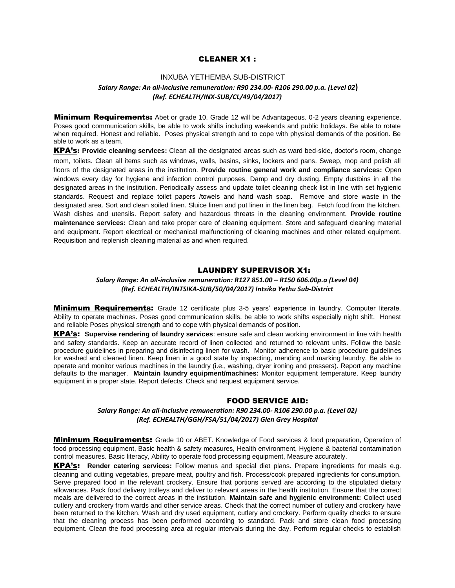#### CLEANER X1 :

## INXUBA YETHEMBA SUB-DISTRICT *Salary Range: An all-inclusive remuneration: R90 234.00- R106 290.00 p.a. (Level 02***)** *(Ref. ECHEALTH/INX-SUB/CL/49/04/2017)*

**Minimum Requirements:** Abet or grade 10. Grade 12 will be Advantageous. 0-2 years cleaning experience. Poses good communication skills, be able to work shifts including weekends and public holidays. Be able to rotate when required. Honest and reliable. Poses physical strength and to cope with physical demands of the position. Be able to work as a team.

KPA's: **Provide cleaning services:** Clean all the designated areas such as ward bed-side, doctor's room, change room, toilets. Clean all items such as windows, walls, basins, sinks, lockers and pans. Sweep, mop and polish all floors of the designated areas in the institution. **Provide routine general work and compliance services:** Open windows every day for hygiene and infection control purposes. Damp and dry dusting. Empty dustbins in all the designated areas in the institution. Periodically assess and update toilet cleaning check list in line with set hygienic standards. Request and replace toilet papers /towels and hand wash soap. Remove and store waste in the designated area. Sort and clean soiled linen. Sluice linen and put linen in the linen bag. Fetch food from the kitchen. Wash dishes and utensils. Report safety and hazardous threats in the cleaning environment. **Provide routine maintenance services:** Clean and take proper care of cleaning equipment. Store and safeguard cleaning material and equipment. Report electrical or mechanical malfunctioning of cleaning machines and other related equipment. Requisition and replenish cleaning material as and when required.

#### LAUNDRY SUPERVISOR X1:

#### *Salary Range: An all-inclusive remuneration: R127 851.00 – R150 606.00p.a (Level 04) (Ref. ECHEALTH/INTSIKA-SUB/50/04/2017) Intsika Yethu Sub-District*

**Minimum Requirements:** Grade 12 certificate plus 3-5 years' experience in laundry. Computer literate. Ability to operate machines. Poses good communication skills, be able to work shifts especially night shift. Honest and reliable Poses physical strength and to cope with physical demands of position.

KPA's: **Supervise rendering of laundry services**: ensure safe and clean working environment in line with health and safety standards. Keep an accurate record of linen collected and returned to relevant units. Follow the basic procedure guidelines in preparing and disinfecting linen for wash. Monitor adherence to basic procedure guidelines for washed and cleaned linen. Keep linen in a good state by inspecting, mending and marking laundry. Be able to operate and monitor various machines in the laundry (i.e., washing, dryer ironing and pressers). Report any machine defaults to the manager. **Maintain laundry equipment/machines:** Monitor equipment temperature. Keep laundry equipment in a proper state. Report defects. Check and request equipment service.

## FOOD SERVICE AID:

#### *Salary Range: An all-inclusive remuneration: R90 234.00- R106 290.00 p.a. (Level 02) (Ref. ECHEALTH/GGH/FSA/51/04/2017) Glen Grey Hospital*

**Minimum Requirements:** Grade 10 or ABET. Knowledge of Food services & food preparation, Operation of food processing equipment, Basic health & safety measures, Health environment, Hygiene & bacterial contamination control measures. Basic literacy, Ability to operate food processing equipment, Measure accurately.

KPA's: **Render catering services:** Follow menus and special diet plans. Prepare ingredients for meals e.g. cleaning and cutting vegetables, prepare meat, poultry and fish. Process/cook prepared ingredients for consumption. Serve prepared food in the relevant crockery. Ensure that portions served are according to the stipulated dietary allowances. Pack food delivery trolleys and deliver to relevant areas in the health institution. Ensure that the correct meals are delivered to the correct areas in the institution. **Maintain safe and hygienic environment:** Collect used cutlery and crockery from wards and other service areas. Check that the correct number of cutlery and crockery have been returned to the kitchen. Wash and dry used equipment, cutlery and crockery. Perform quality checks to ensure that the cleaning process has been performed according to standard. Pack and store clean food processing equipment. Clean the food processing area at regular intervals during the day. Perform regular checks to establish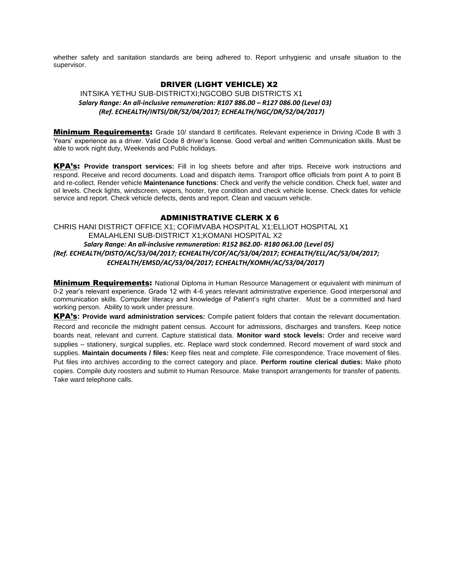whether safety and sanitation standards are being adhered to. Report unhygienic and unsafe situation to the supervisor.

## DRIVER (LIGHT VEHICLE) X2

INTSIKA YETHU SUB-DISTRICTXI;NGCOBO SUB DISTRICTS X1  *Salary Range: An all-inclusive remuneration: R107 886.00 – R127 086.00 (Level 03) (Ref. ECHEALTH/INTSI/DR/52/04/2017; ECHEALTH/NGC/DR/52/04/2017)*

**Minimum Requirements:** Grade 10/ standard 8 certificates. Relevant experience in Driving /Code B with 3 Years' experience as a driver. Valid Code 8 driver's license. Good verbal and written Communication skills. Must be able to work night duty, Weekends and Public holidays.

KPA's: **Provide transport services:** Fill in log sheets before and after trips. Receive work instructions and respond. Receive and record documents. Load and dispatch items. Transport office officials from point A to point B and re-collect. Render vehicle **Maintenance functions**: Check and verify the vehicle condition. Check fuel, water and oil levels. Check lights, windscreen, wipers, hooter, tyre condition and check vehicle license. Check dates for vehicle service and report. Check vehicle defects, dents and report. Clean and vacuum vehicle.

### ADMINISTRATIVE CLERK X 6

CHRIS HANI DISTRICT OFFICE X1; COFIMVABA HOSPITAL X1;ELLIOT HOSPITAL X1 EMALAHLENI SUB-DISTRICT X1;KOMANI HOSPITAL X2  *Salary Range: An all-inclusive remuneration: R152 862.00- R180 063.00 (Level 05) (Ref. ECHEALTH/DISTO/AC/53/04/2017; ECHEALTH/COF/AC/53/04/2017; ECHEALTH/ELL/AC/53/04/2017; ECHEALTH/EMSD/AC/53/04/2017; ECHEALTH/KOMH/AC/53/04/2017)*

**Minimum Requirements:** National Diploma in Human Resource Management or equivalent with minimum of 0-2 year's relevant experience. Grade 12 with 4-6 years relevant administrative experience. Good interpersonal and communication skills. Computer literacy and knowledge of Patient's right charter. Must be a committed and hard working person. Ability to work under pressure.

KPA's**: Provide ward administration services:** Compile patient folders that contain the relevant documentation. Record and reconcile the midnight patient census. Account for admissions, discharges and transfers. Keep notice boards neat, relevant and current. Capture statistical data. **Monitor ward stock levels:** Order and receive ward supplies – stationery, surgical supplies, etc. Replace ward stock condemned. Record movement of ward stock and supplies. **Maintain documents / files:** Keep files neat and complete. File correspondence. Trace movement of files. Put files into archives according to the correct category and place. **Perform routine clerical duties:** Make photo copies. Compile duty roosters and submit to Human Resource. Make transport arrangements for transfer of patients. Take ward telephone calls.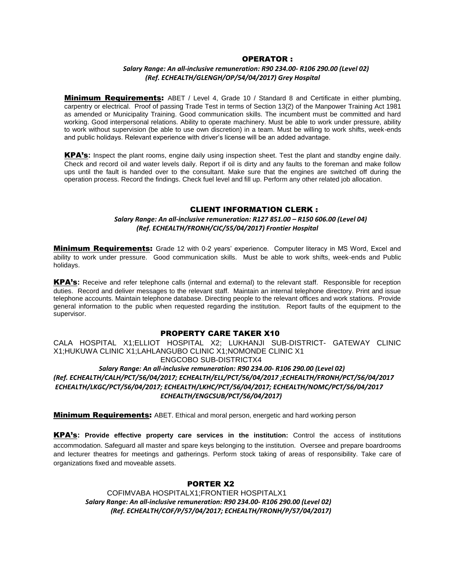#### OPERATOR :

### *Salary Range: An all-inclusive remuneration: R90 234.00- R106 290.00 (Level 02) (Ref. ECHEALTH/GLENGH/OP/54/04/2017) Grey Hospital*

**Minimum Requirements:** ABET / Level 4, Grade 10 / Standard 8 and Certificate in either plumbing, carpentry or electrical. Proof of passing Trade Test in terms of Section 13(2) of the Manpower Training Act 1981 as amended or Municipality Training. Good communication skills. The incumbent must be committed and hard working. Good interpersonal relations. Ability to operate machinery. Must be able to work under pressure, ability to work without supervision (be able to use own discretion) in a team. Must be willing to work shifts, week-ends and public holidays. Relevant experience with driver's license will be an added advantage.

KPA's**:** Inspect the plant rooms, engine daily using inspection sheet. Test the plant and standby engine daily. Check and record oil and water levels daily. Report if oil is dirty and any faults to the foreman and make follow ups until the fault is handed over to the consultant. Make sure that the engines are switched off during the operation process. Record the findings. Check fuel level and fill up. Perform any other related job allocation.

#### CLIENT INFORMATION CLERK :

### *Salary Range: An all-inclusive remuneration: R127 851.00 – R150 606.00 (Level 04) (Ref. ECHEALTH/FRONH/CIC/55/04/2017) Frontier Hospital*

**Minimum Requirements:** Grade 12 with 0-2 years' experience. Computer literacy in MS Word, Excel and ability to work under pressure. Good communication skills. Must be able to work shifts, week-ends and Public holidays.

KPA's**:** Receive and refer telephone calls (internal and external) to the relevant staff. Responsible for reception duties. Record and deliver messages to the relevant staff. Maintain an internal telephone directory. Print and issue telephone accounts. Maintain telephone database. Directing people to the relevant offices and work stations. Provide general information to the public when requested regarding the institution. Report faults of the equipment to the supervisor.

#### PROPERTY CARE TAKER X10

CALA HOSPITAL X1;ELLIOT HOSPITAL X2; LUKHANJI SUB-DISTRICT- GATEWAY CLINIC X1;HUKUWA CLINIC X1;LAHLANGUBO CLINIC X1;NOMONDE CLINIC X1 ENGCOBO SUB-DISTRICTX4  *Salary Range: An all-inclusive remuneration: R90 234.00- R106 290.00 (Level 02)*

*(Ref. ECHEALTH/CALH/PCT/56/04/2017; ECHEALTH/ELL/PCT/56/04/2017 ;ECHEALTH/FRONH/PCT/56/04/2017 ECHEALTH/LKGC/PCT/56/04/2017; ECHEALTH/LKHC/PCT/56/04/2017; ECHEALTH/NOMC/PCT/56/04/2017 ECHEALTH/ENGCSUB/PCT/56/04/2017)*

**Minimum Requirements:** ABET. Ethical and moral person, energetic and hard working person

KPA's**: Provide effective property care services in the institution:** Control the access of institutions accommodation. Safeguard all master and spare keys belonging to the institution. Oversee and prepare boardrooms and lecturer theatres for meetings and gatherings. Perform stock taking of areas of responsibility. Take care of organizations fixed and moveable assets.

## PORTER X2

COFIMVABA HOSPITALX1;FRONTIER HOSPITALX1  *Salary Range: An all-inclusive remuneration: R90 234.00- R106 290.00 (Level 02) (Ref. ECHEALTH/COF/P/57/04/2017; ECHEALTH/FRONH/P/57/04/2017)*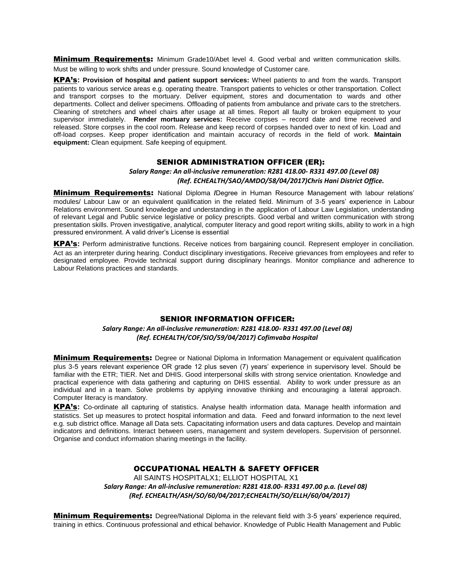**Minimum Requirements:** Minimum Grade10/Abet level 4. Good verbal and written communication skills. Must be willing to work shifts and under pressure. Sound knowledge of Customer care.

KPA's**: Provision of hospital and patient support services:** Wheel patients to and from the wards. Transport patients to various service areas e.g. operating theatre. Transport patients to vehicles or other transportation. Collect and transport corpses to the mortuary. Deliver equipment, stores and documentation to wards and other departments. Collect and deliver specimens. Offloading of patients from ambulance and private cars to the stretchers. Cleaning of stretchers and wheel chairs after usage at all times. Report all faulty or broken equipment to your supervisor immediately. **Render mortuary services:** Receive corpses – record date and time received and released. Store corpses in the cool room. Release and keep record of corpses handed over to next of kin. Load and off-load corpses. Keep proper identification and maintain accuracy of records in the field of work. **Maintain equipment:** Clean equipment. Safe keeping of equipment.

#### SENIOR ADMINISTRATION OFFICER (ER):

#### *Salary Range: An all-inclusive remuneration: R281 418.00- R331 497.00 (Level 08) (Ref. ECHEALTH/SAO/AMDO/58/04/2017)Chris Hani District Office.*

Minimum Requirements: National Diploma **/**Degree in Human Resource Management with labour relations' modules/ Labour Law or an equivalent qualification in the related field. Minimum of 3-5 years' experience in Labour Relations environment. Sound knowledge and understanding in the application of Labour Law Legislation, understanding of relevant Legal and Public service legislative or policy prescripts. Good verbal and written communication with strong presentation skills. Proven investigative, analytical, computer literacy and good report writing skills, ability to work in a high pressured environment. A valid driver's License is essential

KPA's**:** Perform administrative functions. Receive notices from bargaining council. Represent employer in conciliation. Act as an interpreter during hearing. Conduct disciplinary investigations. Receive grievances from employees and refer to designated employee. Provide technical support during disciplinary hearings. Monitor compliance and adherence to Labour Relations practices and standards.

#### SENIOR INFORMATION OFFICER:

*Salary Range: An all-inclusive remuneration: R281 418.00- R331 497.00 (Level 08) (Ref. ECHEALTH/COF/SIO/59/04/2017) Cofimvaba Hospital*

**Minimum Requirements:** Degree or National Diploma in Information Management or equivalent qualification plus 3-5 years relevant experience OR grade 12 plus seven (7) years' experience in supervisory level. Should be familiar with the ETR; TIER. Net and DHIS. Good interpersonal skills with strong service orientation. Knowledge and practical experience with data gathering and capturing on DHIS essential. Ability to work under pressure as an individual and in a team. Solve problems by applying innovative thinking and encouraging a lateral approach. Computer literacy is mandatory.

KPA's**:** Co-ordinate all capturing of statistics. Analyse health information data. Manage health information and statistics. Set up measures to protect hospital information and data. Feed and forward information to the next level e.g. sub district office. Manage all Data sets. Capacitating information users and data captures. Develop and maintain indicators and definitions. Interact between users, management and system developers. Supervision of personnel. Organise and conduct information sharing meetings in the facility.

### OCCUPATIONAL HEALTH & SAFETY OFFICER

All SAINTS HOSPITALX1; ELLIOT HOSPITAL X1  *Salary Range: An all-inclusive remuneration: R281 418.00- R331 497.00 p.a. (Level 08) (Ref. ECHEALTH/ASH/SO/60/04/2017;ECHEALTH/SO/ELLH/60/04/2017)*

**Minimum Requirements:** Degree/National Diploma in the relevant field with 3-5 years' experience required, training in ethics. Continuous professional and ethical behavior. Knowledge of Public Health Management and Public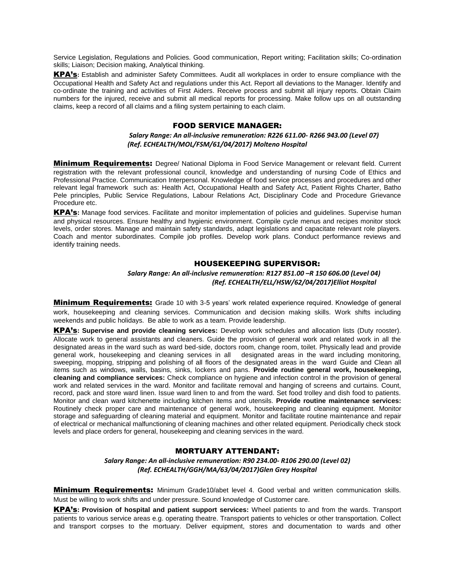Service Legislation, Regulations and Policies. Good communication, Report writing; Facilitation skills; Co-ordination skills; Liaison; Decision making, Analytical thinking.

KPA's**:** Establish and administer Safety Committees. Audit all workplaces in order to ensure compliance with the Occupational Health and Safety Act and regulations under this Act. Report all deviations to the Manager. Identify and co-ordinate the training and activities of First Aiders. Receive process and submit all injury reports. Obtain Claim numbers for the injured, receive and submit all medical reports for processing. Make follow ups on all outstanding claims, keep a record of all claims and a filing system pertaining to each claim.

#### FOOD SERVICE MANAGER:

#### *Salary Range: An all-inclusive remuneration: R226 611.00- R266 943.00 (Level 07) (Ref. ECHEALTH/MOL/FSM/61/04/2017) Molteno Hospital*

**Minimum Requirements:** Degree/ National Diploma in Food Service Management or relevant field. Current registration with the relevant professional council, knowledge and understanding of nursing Code of Ethics and Professional Practice. Communication Interpersonal. Knowledge of food service processes and procedures and other relevant legal framework such as: Health Act, Occupational Health and Safety Act, Patient Rights Charter, Batho Pele principles, Public Service Regulations, Labour Relations Act, Disciplinary Code and Procedure Grievance Procedure etc.

KPA's**:** Manage food services. Facilitate and monitor implementation of policies and guidelines. Supervise human and physical resources. Ensure healthy and hygienic environment. Compile cycle menus and recipes monitor stock levels, order stores. Manage and maintain safety standards, adapt legislations and capacitate relevant role players. Coach and mentor subordinates. Compile job profiles. Develop work plans. Conduct performance reviews and identify training needs.

### HOUSEKEEPING SUPERVISOR:

## *Salary Range: An all-inclusive remuneration: R127 851.00 –R 150 606.00 (Level 04) (Ref. ECHEALTH/ELL/HSW/62/04/2017)Elliot Hospital*

**Minimum Requirements:** Grade 10 with 3-5 years' work related experience required. Knowledge of general work, housekeeping and cleaning services. Communication and decision making skills. Work shifts including weekends and public holidays. Be able to work as a team. Provide leadership.

KPA's**: Supervise and provide cleaning services:** Develop work schedules and allocation lists (Duty rooster). Allocate work to general assistants and cleaners. Guide the provision of general work and related work in all the designated areas in the ward such as ward bed-side, doctors room, change room, toilet. Physically lead and provide general work, housekeeping and cleaning services in all designated areas in the ward including monitoring, sweeping, mopping, stripping and polishing of all floors of the designated areas in the ward Guide and Clean all items such as windows, walls, basins, sinks, lockers and pans. **Provide routine general work, housekeeping, cleaning and compliance services:** Check compliance on hygiene and infection control in the provision of general work and related services in the ward. Monitor and facilitate removal and hanging of screens and curtains. Count, record, pack and store ward linen. Issue ward linen to and from the ward. Set food trolley and dish food to patients. Monitor and clean ward kitchenette including kitchen items and utensils. **Provide routine maintenance services:** Routinely check proper care and maintenance of general work, housekeeping and cleaning equipment. Monitor storage and safeguarding of cleaning material and equipment. Monitor and facilitate routine maintenance and repair of electrical or mechanical malfunctioning of cleaning machines and other related equipment. Periodically check stock levels and place orders for general, housekeeping and cleaning services in the ward.

### MORTUARY ATTENDANT:

*Salary Range: An all-inclusive remuneration: R90 234.00- R106 290.00 (Level 02) (Ref. ECHEALTH/GGH/MA/63/04/2017)Glen Grey Hospital*

**Minimum Requirements:** Minimum Grade10/abet level 4. Good verbal and written communication skills. Must be willing to work shifts and under pressure. Sound knowledge of Customer care.

KPA's**: Provision of hospital and patient support services:** Wheel patients to and from the wards. Transport patients to various service areas e.g. operating theatre. Transport patients to vehicles or other transportation. Collect and transport corpses to the mortuary. Deliver equipment, stores and documentation to wards and other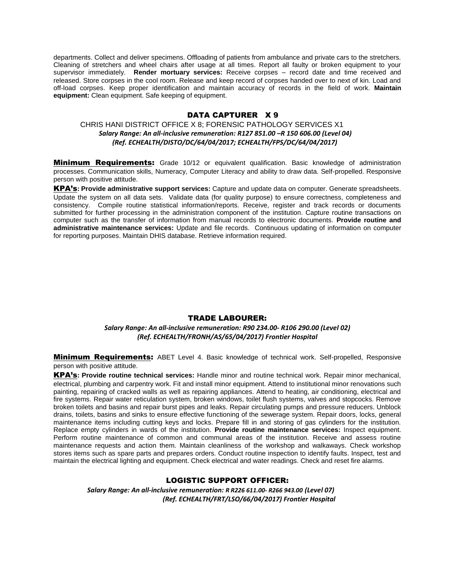departments. Collect and deliver specimens. Offloading of patients from ambulance and private cars to the stretchers. Cleaning of stretchers and wheel chairs after usage at all times. Report all faulty or broken equipment to your supervisor immediately. **Render mortuary services:** Receive corpses – record date and time received and released. Store corpses in the cool room. Release and keep record of corpses handed over to next of kin. Load and off-load corpses. Keep proper identification and maintain accuracy of records in the field of work. **Maintain equipment:** Clean equipment. Safe keeping of equipment.

## DATA CAPTURER X 9

## CHRIS HANI DISTRICT OFFICE X 8; FORENSIC PATHOLOGY SERVICES X1  *Salary Range: An all-inclusive remuneration: R127 851.00 –R 150 606.00 (Level 04) (Ref. ECHEALTH/DISTO/DC/64/04/2017; ECHEALTH/FPS/DC/64/04/2017)*

**Minimum Requirements:** Grade 10/12 or equivalent qualification. Basic knowledge of administration processes. Communication skills, Numeracy, Computer Literacy and ability to draw data. Self-propelled. Responsive person with positive attitude.

KPA's**: Provide administrative support services:** Capture and update data on computer. Generate spreadsheets. Update the system on all data sets. Validate data (for quality purpose) to ensure correctness, completeness and consistency. Compile routine statistical information/reports. Receive, register and track records or documents submitted for further processing in the administration component of the institution. Capture routine transactions on computer such as the transfer of information from manual records to electronic documents. **Provide routine and administrative maintenance services:** Update and file records. Continuous updating of information on computer for reporting purposes. Maintain DHIS database. Retrieve information required.

### TRADE LABOURER:

*Salary Range: An all-inclusive remuneration: R90 234.00- R106 290.00 (Level 02) (Ref. ECHEALTH/FRONH/AS/65/04/2017) Frontier Hospital*

**Minimum Requirements:** ABET Level 4. Basic knowledge of technical work. Self-propelled, Responsive person with positive attitude.

KPA's**: Provide routine technical services:** Handle minor and routine technical work. Repair minor mechanical, electrical, plumbing and carpentry work. Fit and install minor equipment. Attend to institutional minor renovations such painting, repairing of cracked walls as well as repairing appliances. Attend to heating, air conditioning, electrical and fire systems. Repair water reticulation system, broken windows, toilet flush systems, valves and stopcocks. Remove broken toilets and basins and repair burst pipes and leaks. Repair circulating pumps and pressure reducers. Unblock drains, toilets, basins and sinks to ensure effective functioning of the sewerage system. Repair doors, locks, general maintenance items including cutting keys and locks. Prepare fill in and storing of gas cylinders for the institution. Replace empty cylinders in wards of the institution. **Provide routine maintenance services:** Inspect equipment. Perform routine maintenance of common and communal areas of the institution. Receive and assess routine maintenance requests and action them. Maintain cleanliness of the workshop and walkaways. Check workshop stores items such as spare parts and prepares orders. Conduct routine inspection to identify faults. Inspect, test and maintain the electrical lighting and equipment. Check electrical and water readings. Check and reset fire alarms.

### LOGISTIC SUPPORT OFFICER:

 *Salary Range: An all-inclusive remuneration: R R226 611.00- R266 943.00 (Level 07) (Ref. ECHEALTH/FRT/LSO/66/04/2017) Frontier Hospital*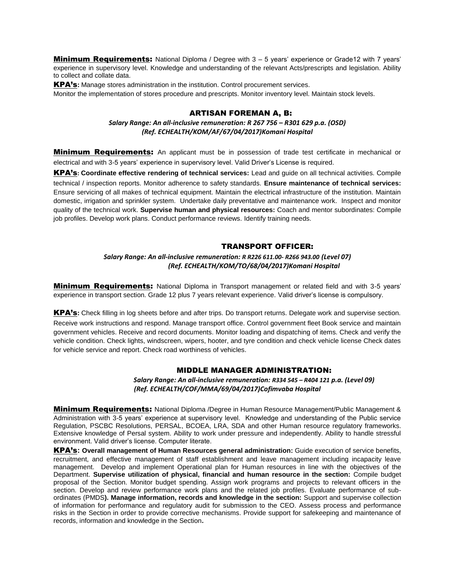**Minimum Requirements:** National Diploma / Degree with 3 – 5 years' experience or Grade12 with 7 years' experience in supervisory level. Knowledge and understanding of the relevant Acts/prescripts and legislation. Ability to collect and collate data.

KPA's**:** Manage stores administration in the institution. Control procurement services.

Monitor the implementation of stores procedure and prescripts. Monitor inventory level. Maintain stock levels.

#### ARTISAN FOREMAN A, B:

*Salary Range: An all-inclusive remuneration: R 267 756 – R301 629 p.a. (OSD) (Ref. ECHEALTH/KOM/AF/67/04/2017)Komani Hospital*

**Minimum Requirements:** An applicant must be in possession of trade test certificate in mechanical or electrical and with 3-5 years' experience in supervisory level. Valid Driver's License is required.

KPA's**: Coordinate effective rendering of technical services:** Lead and guide on all technical activities. Compile technical / inspection reports. Monitor adherence to safety standards. **Ensure maintenance of technical services:**  Ensure servicing of all makes of technical equipment. Maintain the electrical infrastructure of the institution. Maintain domestic, irrigation and sprinkler system. Undertake daily preventative and maintenance work. Inspect and monitor quality of the technical work. **Supervise human and physical resources:** Coach and mentor subordinates: Compile job profiles. Develop work plans. Conduct performance reviews. Identify training needs.

## TRANSPORT OFFICER:

*Salary Range: An all-inclusive remuneration: R R226 611.00- R266 943.00 (Level 07) (Ref. ECHEALTH/KOM/TO/68/04/2017)Komani Hospital*

**Minimum Requirements:** National Diploma in Transport management or related field and with 3-5 years' experience in transport section. Grade 12 plus 7 years relevant experience. Valid driver's license is compulsory.

KPA's**:** Check filling in log sheets before and after trips. Do transport returns. Delegate work and supervise section.

Receive work instructions and respond. Manage transport office. Control government fleet Book service and maintain government vehicles. Receive and record documents. Monitor loading and dispatching of items. Check and verify the vehicle condition. Check lights, windscreen, wipers, hooter, and tyre condition and check vehicle license Check dates for vehicle service and report. Check road worthiness of vehicles.

#### MIDDLE MANAGER ADMINISTRATION:

*Salary Range: An all-inclusive remuneration: R334 545 – R404 121 p.a. (Level 09) (Ref. ECHEALTH/COF/MMA/69/04/2017)Cofimvaba Hospital*

**Minimum Requirements:** National Diploma /Degree in Human Resource Management/Public Management & Administration with 3-5 years' experience at supervisory level. Knowledge and understanding of the Public service Regulation, PSCBC Resolutions, PERSAL, BCOEA, LRA, SDA and other Human resource regulatory frameworks. Extensive knowledge of Persal system. Ability to work under pressure and independently. Ability to handle stressful environment. Valid driver's license. Computer literate.

KPA's**: Overall management of Human Resources general administration:** Guide execution of service benefits, recruitment, and effective management of staff establishment and leave management including incapacity leave management. Develop and implement Operational plan for Human resources in line with the objectives of the Department. **Supervise utilization of physical, financial and human resource in the section:** Compile budget proposal of the Section. Monitor budget spending. Assign work programs and projects to relevant officers in the section. Develop and review performance work plans and the related job profiles. Evaluate performance of subordinates (PMDS**). Manage information, records and knowledge in the section:** Support and supervise collection of information for performance and regulatory audit for submission to the CEO. Assess process and performance risks in the Section in order to provide corrective mechanisms. Provide support for safekeeping and maintenance of records, information and knowledge in the Section**.**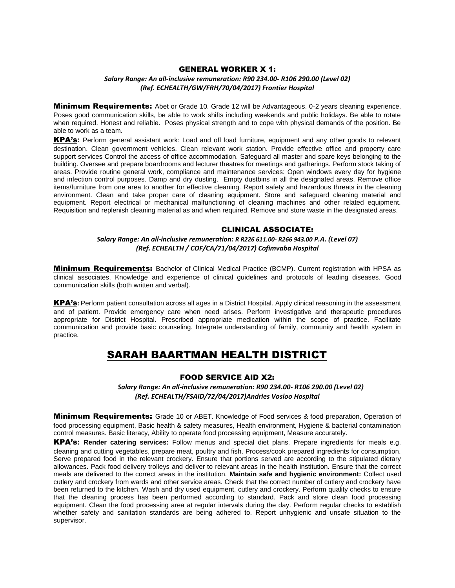### GENERAL WORKER X 1:

#### *Salary Range: An all-inclusive remuneration: R90 234.00- R106 290.00 (Level 02) (Ref. ECHEALTH/GW/FRH/70/04/2017) Frontier Hospital*

**Minimum Requirements:** Abet or Grade 10. Grade 12 will be Advantageous. 0-2 years cleaning experience. Poses good communication skills, be able to work shifts including weekends and public holidays. Be able to rotate when required. Honest and reliable. Poses physical strength and to cope with physical demands of the position. Be able to work as a team.

KPA's**:** Perform general assistant work: Load and off load furniture, equipment and any other goods to relevant destination. Clean government vehicles. Clean relevant work station. Provide effective office and property care support services Control the access of office accommodation. Safeguard all master and spare keys belonging to the building. Oversee and prepare boardrooms and lecturer theatres for meetings and gatherings. Perform stock taking of areas. Provide routine general work, compliance and maintenance services: Open windows every day for hygiene and infection control purposes. Damp and dry dusting. Empty dustbins in all the designated areas. Remove office items/furniture from one area to another for effective cleaning. Report safety and hazardous threats in the cleaning environment. Clean and take proper care of cleaning equipment. Store and safeguard cleaning material and equipment. Report electrical or mechanical malfunctioning of cleaning machines and other related equipment. Requisition and replenish cleaning material as and when required. Remove and store waste in the designated areas.

#### CLINICAL ASSOCIATE:

#### *Salary Range: An all-inclusive remuneration: R R226 611.00- R266 943.00 P.A. (Level 07) (Ref. ECHEALTH / COF/CA/71/04/2017) Cofimvaba Hospital*

**Minimum Requirements:** Bachelor of Clinical Medical Practice (BCMP). Current registration with HPSA as clinical associates. Knowledge and experience of clinical guidelines and protocols of leading diseases. Good communication skills (both written and verbal).

KPA's**:** Perform patient consultation across all ages in a District Hospital. Apply clinical reasoning in the assessment and of patient. Provide emergency care when need arises. Perform investigative and therapeutic procedures appropriate for District Hospital. Prescribed appropriate medication within the scope of practice. Facilitate communication and provide basic counseling. Integrate understanding of family, community and health system in practice.

## SARAH BAARTMAN HEALTH DISTRICT

#### FOOD SERVICE AID X2:

*Salary Range: An all-inclusive remuneration: R90 234.00- R106 290.00 (Level 02) (Ref. ECHEALTH/FSAID/72/04/2017)Andries Vosloo Hospital*

**Minimum Requirements:** Grade 10 or ABET. Knowledge of Food services & food preparation, Operation of food processing equipment, Basic health & safety measures, Health environment, Hygiene & bacterial contamination control measures. Basic literacy, Ability to operate food processing equipment, Measure accurately.

KPA's**: Render catering services:** Follow menus and special diet plans. Prepare ingredients for meals e.g. cleaning and cutting vegetables, prepare meat, poultry and fish. Process/cook prepared ingredients for consumption. Serve prepared food in the relevant crockery. Ensure that portions served are according to the stipulated dietary allowances. Pack food delivery trolleys and deliver to relevant areas in the health institution. Ensure that the correct meals are delivered to the correct areas in the institution. **Maintain safe and hygienic environment:** Collect used cutlery and crockery from wards and other service areas. Check that the correct number of cutlery and crockery have been returned to the kitchen. Wash and dry used equipment, cutlery and crockery. Perform quality checks to ensure that the cleaning process has been performed according to standard. Pack and store clean food processing equipment. Clean the food processing area at regular intervals during the day. Perform regular checks to establish whether safety and sanitation standards are being adhered to. Report unhygienic and unsafe situation to the supervisor.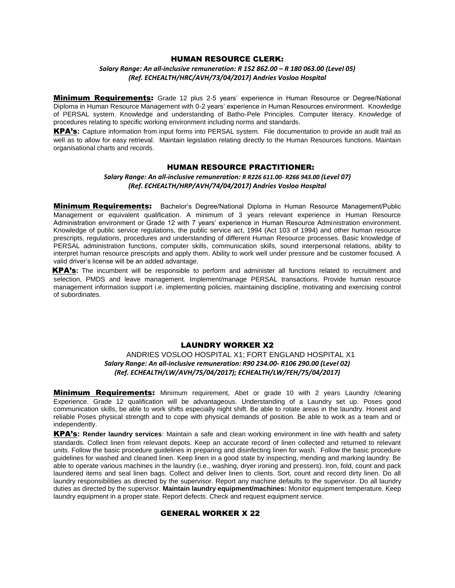#### HUMAN RESOURCE CLERK:

## *Salary Range: An all-inclusive remuneration: R 152 862.00 – R 180 063.00 (Level 05) (Ref. ECHEALTH/HRC/AVH/73/04/2017) Andries Vosloo Hospital*

**Minimum Requirements:** Grade 12 plus 2-5 years' experience in Human Resource or Degree/National Diploma in Human Resource Management with 0-2 years' experience in Human Resources environment. Knowledge of PERSAL system. Knowledge and understanding of Batho-Pele Principles. Computer literacy. Knowledge of procedures relating to specific working environment including norms and standards.

KPA's**:** Capture information from input forms into PERSAL system. File documentation to provide an audit trail as well as to allow for easy retrieval. Maintain legislation relating directly to the Human Resources functions. Maintain organisational charts and records.

## HUMAN RESOURCE PRACTITIONER:

*Salary Range: An all-inclusive remuneration: R R226 611.00- R266 943.00 (Level 07) (Ref. ECHEALTH/HRP/AVH/74/04/2017) Andries Vosloo Hospital*

**Minimum Requirements:** Bachelor's Degree/National Diploma in Human Resource Management/Public Management or equivalent qualification. A minimum of 3 years relevant experience in Human Resource Administration environment or Grade 12 with 7 years' experience in Human Resource Administration environment. Knowledge of public service regulations, the public service act, 1994 (Act 103 of 1994) and other human resource prescripts, regulations, procedures and understanding of different Human Resource processes. Basic knowledge of PERSAL administration functions, computer skills, communication skills, sound interpersonal relations, ability to interpret human resource prescripts and apply them. Ability to work well under pressure and be customer focused. A valid driver's license will be an added advantage.

KPA's**:** The incumbent will be responsible to perform and administer all functions related to recruitment and selection, PMDS and leave management. Implement/manage PERSAL transactions. Provide human resource management information support i.e. implementing policies, maintaining discipline, motivating and exercising control of subordinates.

### LAUNDRY WORKER X2

## ANDRIES VOSLOO HOSPITAL X1; FORT ENGLAND HOSPITAL X1 *Salary Range: An all-inclusive remuneration: R90 234.00- R106 290.00 (Level 02) (Ref. ECHEALTH/LW/AVH/75/04/2017); ECHEALTH/LW/FEH/75/04/2017)*

**Minimum Requirements:** Minimum requirement, Abet or grade 10 with 2 years Laundry /cleaning Experience. Grade 12 qualification will be advantageous. Understanding of a Laundry set up. Poses good communication skills, be able to work shifts especially night shift. Be able to rotate areas in the laundry. Honest and reliable Poses physical strength and to cope with physical demands of position. Be able to work as a team and or independently.

KPA's**: Render laundry services**: Maintain a safe and clean working environment in line with health and safety standards. Collect linen from relevant depots. Keep an accurate record of linen collected and returned to relevant units. Follow the basic procedure guidelines in preparing and disinfecting linen for wash. Follow the basic procedure guidelines for washed and cleaned linen. Keep linen in a good state by inspecting, mending and marking laundry. Be able to operate various machines in the laundry (i.e., washing, dryer ironing and pressers). Iron, fold, count and pack laundered items and seal linen bags. Collect and deliver linen to clients. Sort, count and record dirty linen. Do all laundry responsibilities as directed by the supervisor. Report any machine defaults to the supervisor. Do all laundry duties as directed by the supervisor. **Maintain laundry equipment/machines:** Monitor equipment temperature. Keep laundry equipment in a proper state. Report defects. Check and request equipment service.

### GENERAL WORKER X 22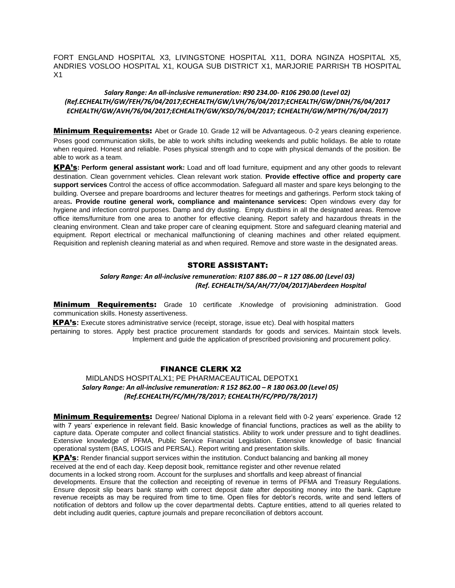FORT ENGLAND HOSPITAL X3, LIVINGSTONE HOSPITAL X11, DORA NGINZA HOSPITAL X5, ANDRIES VOSLOO HOSPITAL X1, KOUGA SUB DISTRICT X1, MARJORIE PARRISH TB HOSPITAL X1

## *Salary Range: An all-inclusive remuneration: R90 234.00- R106 290.00 (Level 02) (Ref.ECHEALTH/GW/FEH/76/04/2017;ECHEALTH/GW/LVH/76/04/2017;ECHEALTH/GW/DNH/76/04/2017 ECHEALTH/GW/AVH/76/04/2017;ECHEALTH/GW/KSD/76/04/2017; ECHEALTH/GW/MPTH/76/04/2017)*

**Minimum Requirements:** Abet or Grade 10. Grade 12 will be Advantageous. 0-2 years cleaning experience. Poses good communication skills, be able to work shifts including weekends and public holidays. Be able to rotate when required. Honest and reliable. Poses physical strength and to cope with physical demands of the position. Be able to work as a team.

KPA's**: Perform general assistant work:** Load and off load furniture, equipment and any other goods to relevant destination. Clean government vehicles. Clean relevant work station. **Provide effective office and property care support services** Control the access of office accommodation. Safeguard all master and spare keys belonging to the building. Oversee and prepare boardrooms and lecturer theatres for meetings and gatherings. Perform stock taking of areas**. Provide routine general work, compliance and maintenance services:** Open windows every day for hygiene and infection control purposes. Damp and dry dusting. Empty dustbins in all the designated areas. Remove office items/furniture from one area to another for effective cleaning. Report safety and hazardous threats in the cleaning environment. Clean and take proper care of cleaning equipment. Store and safeguard cleaning material and equipment. Report electrical or mechanical malfunctioning of cleaning machines and other related equipment. Requisition and replenish cleaning material as and when required. Remove and store waste in the designated areas.

## STORE ASSISTANT:

## *Salary Range: An all-inclusive remuneration: R107 886.00 – R 127 086.00 (Level 03) (Ref. ECHEALTH/SA/AH/77/04/2017)Aberdeen Hospital*

**Minimum Requirements:** Grade 10 certificate .Knowledge of provisioning administration. Good communication skills. Honesty assertiveness.

KPA's**:** Execute stores administrative service (receipt, storage, issue etc). Deal with hospital matters pertaining to stores. Apply best practice procurement standards for goods and services. Maintain stock levels. Implement and guide the application of prescribed provisioning and procurement policy.

## FINANCE CLERK X2

## MIDLANDS HOSPITALX1; PE PHARMACEAUTICAL DEPOTX1  *Salary Range: An all-inclusive remuneration: R 152 862.00 – R 180 063.00 (Level 05) (Ref.ECHEALTH/FC/MH/78/2017; ECHEALTH/FC/PPD/78/2017)*

**Minimum Requirements:** Degree/ National Diploma in a relevant field with 0-2 years' experience. Grade 12 with 7 years' experience in relevant field. Basic knowledge of financial functions, practices as well as the ability to capture data. Operate computer and collect financial statistics. Ability to work under pressure and to tight deadlines. Extensive knowledge of PFMA, Public Service Financial Legislation. Extensive knowledge of basic financial operational system (BAS, LOGIS and PERSAL). Report writing and presentation skills.

KPA's**:** Render financial support services within the institution. Conduct balancing and banking all money received at the end of each day. Keep deposit book, remittance register and other revenue related

documents in a locked strong room. Account for the surpluses and shortfalls and keep abreast of financial

developments. Ensure that the collection and receipting of revenue in terms of PFMA and Treasury Regulations. Ensure deposit slip bears bank stamp with correct deposit date after depositing money into the bank. Capture revenue receipts as may be required from time to time. Open files for debtor's records, write and send letters of notification of debtors and follow up the cover departmental debts. Capture entities, attend to all queries related to debt including audit queries, capture journals and prepare reconciliation of debtors account.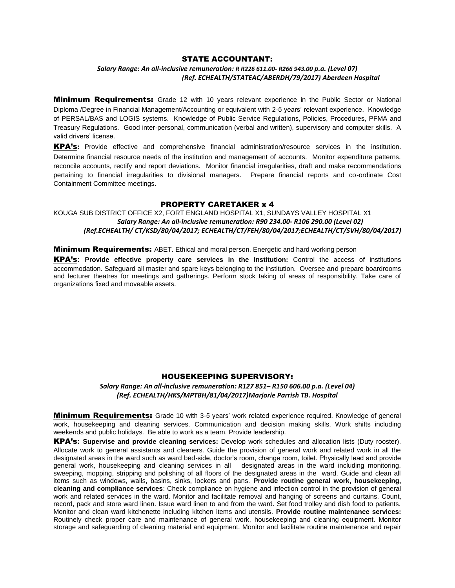#### STATE ACCOUNTANT:

#### *Salary Range: An all-inclusive remuneration: R R226 611.00- R266 943.00 p.a. (Level 07) (Ref. ECHEALTH/STATEAC/ABERDH/79/2017) Aberdeen Hospital*

**Minimum Requirements:** Grade 12 with 10 years relevant experience in the Public Sector or National Diploma /Degree in Financial Management/Accounting or equivalent with 2-5 years' relevant experience. Knowledge of PERSAL/BAS and LOGIS systems. Knowledge of Public Service Regulations, Policies, Procedures, PFMA and Treasury Regulations. Good inter-personal, communication (verbal and written), supervisory and computer skills. A valid drivers' license.

KPA's**:** Provide effective and comprehensive financial administration/resource services in the institution. Determine financial resource needs of the institution and management of accounts. Monitor expenditure patterns, reconcile accounts, rectify and report deviations. Monitor financial irregularities, draft and make recommendations pertaining to financial irregularities to divisional managers. Prepare financial reports and co-ordinate Cost Containment Committee meetings.

## PROPERTY CARETAKER x 4

## KOUGA SUB DISTRICT OFFICE X2, FORT ENGLAND HOSPITAL X1, SUNDAYS VALLEY HOSPITAL X1  *Salary Range: An all-inclusive remuneration: R90 234.00- R106 290.00 (Level 02) (Ref.ECHEALTH/ CT/KSD/80/04/2017; ECHEALTH/CT/FEH/80/04/2017;ECHEALTH/CT/SVH/80/04/2017)*

**Minimum Requirements:** ABET. Ethical and moral person. Energetic and hard working person

KPA's**: Provide effective property care services in the institution:** Control the access of institutions accommodation. Safeguard all master and spare keys belonging to the institution. Oversee and prepare boardrooms and lecturer theatres for meetings and gatherings. Perform stock taking of areas of responsibility. Take care of organizations fixed and moveable assets.

#### HOUSEKEEPING SUPERVISORY:

*Salary Range: An all-inclusive remuneration: R127 851– R150 606.00 p.a. (Level 04) (Ref. ECHEALTH/HKS/MPTBH/81/04/2017)Marjorie Parrish TB. Hospital*

**Minimum Requirements:** Grade 10 with 3-5 years' work related experience required. Knowledge of general work, housekeeping and cleaning services. Communication and decision making skills. Work shifts including weekends and public holidays. Be able to work as a team. Provide leadership.

KPA's**: Supervise and provide cleaning services:** Develop work schedules and allocation lists (Duty rooster). Allocate work to general assistants and cleaners. Guide the provision of general work and related work in all the designated areas in the ward such as ward bed-side, doctor's room, change room, toilet. Physically lead and provide general work, housekeeping and cleaning services in all designated areas in the ward including monitoring, sweeping, mopping, stripping and polishing of all floors of the designated areas in the ward. Guide and clean all items such as windows, walls, basins, sinks, lockers and pans. **Provide routine general work, housekeeping, cleaning and compliance services**: Check compliance on hygiene and infection control in the provision of general work and related services in the ward. Monitor and facilitate removal and hanging of screens and curtains. Count, record, pack and store ward linen. Issue ward linen to and from the ward. Set food trolley and dish food to patients. Monitor and clean ward kitchenette including kitchen items and utensils. **Provide routine maintenance services:**  Routinely check proper care and maintenance of general work, housekeeping and cleaning equipment. Monitor storage and safeguarding of cleaning material and equipment. Monitor and facilitate routine maintenance and repair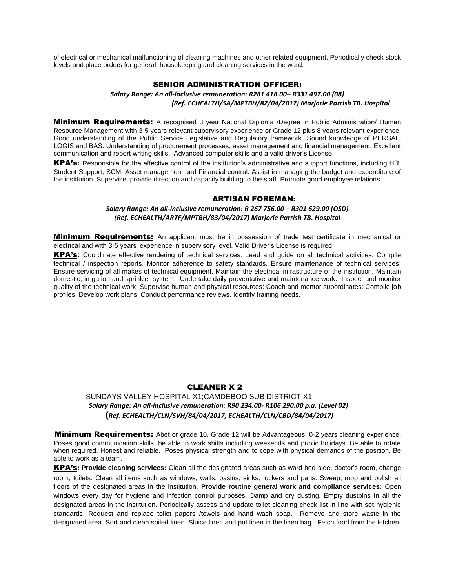of electrical or mechanical malfunctioning of cleaning machines and other related equipment. Periodically check stock levels and place orders for general, housekeeping and cleaning services in the ward.

#### SENIOR ADMINISTRATION OFFICER:

*Salary Range: An all-inclusive remuneration: R281 418.00– R331 497.00 (08) (Ref. ECHEALTH/SA/MPTBH/82/04/2017) Marjorie Parrish TB. Hospital*

**Minimum Requirements:** A recognised 3 year National Diploma /Degree in Public Administration/ Human Resource Management with 3-5 years relevant supervisory experience or Grade 12 plus 8 years relevant experience. Good understanding of the Public Service Legislative and Regulatory framework. Sound knowledge of PERSAL, LOGIS and BAS. Understanding of procurement processes, asset management and financial management. Excellent communication and report writing skills. Advanced computer skills and a valid driver's License.

KPA's**:** Responsible for the effective control of the institution's administrative and support functions, including HR, Student Support, SCM, Asset management and Financial control. Assist in managing the budget and expenditure of the institution. Supervise, provide direction and capacity building to the staff. Promote good employee relations.

#### ARTISAN FOREMAN:

#### *Salary Range: An all-inclusive remuneration: R 267 756.00 – R301 629.00 (OSD) (Ref. ECHEALTH/ARTF/MPTBH/83/04/2017) Marjorie Parrish TB. Hospital*

**Minimum Requirements:** An applicant must be in possession of trade test certificate in mechanical or electrical and with 3-5 years' experience in supervisory level. Valid Driver's License is required.

KPA's**:** Coordinate effective rendering of technical services: Lead and guide on all technical activities. Compile technical / inspection reports. Monitor adherence to safety standards. Ensure maintenance of technical services: Ensure servicing of all makes of technical equipment. Maintain the electrical infrastructure of the institution. Maintain domestic, irrigation and sprinkler system. Undertake daily preventative and maintenance work. Inspect and monitor quality of the technical work. Supervise human and physical resources: Coach and mentor subordinates: Compile job profiles. Develop work plans. Conduct performance reviews. Identify training needs.

### CLEANER X 2

## SUNDAYS VALLEY HOSPITAL X1;CAMDEBOO SUB DISTRICT X1  *Salary Range: An all-inclusive remuneration: R90 234.00- R106 290.00 p.a. (Level 02)*   **(***Ref. ECHEALTH/CLN/SVH/84/04/2017, ECHEALTH/CLN/CBD/84/04/2017)*

**Minimum Requirements:** Abet or grade 10. Grade 12 will be Advantageous. 0-2 years cleaning experience. Poses good communication skills, be able to work shifts including weekends and public holidays. Be able to rotate when required. Honest and reliable. Poses physical strength and to cope with physical demands of the position. Be able to work as a team.

KPA's**: Provide cleaning services:** Clean all the designated areas such as ward bed-side, doctor's room, change room, toilets. Clean all items such as windows, walls, basins, sinks, lockers and pans. Sweep, mop and polish all floors of the designated areas in the institution. **Provide routine general work and compliance services:** Open windows every day for hygiene and infection control purposes. Damp and dry dusting. Empty dustbins in all the designated areas in the institution. Periodically assess and update toilet cleaning check list in line with set hygienic standards. Request and replace toilet papers /towels and hand wash soap. Remove and store waste in the designated area. Sort and clean soiled linen. Sluice linen and put linen in the linen bag. Fetch food from the kitchen.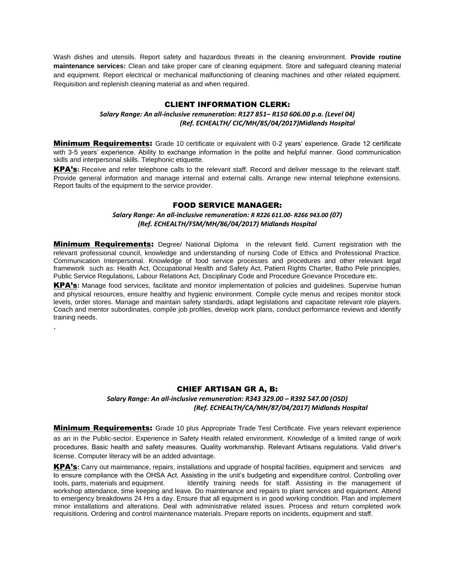Wash dishes and utensils. Report safety and hazardous threats in the cleaning environment. **Provide routine maintenance services:** Clean and take proper care of cleaning equipment. Store and safeguard cleaning material and equipment. Report electrical or mechanical malfunctioning of cleaning machines and other related equipment. Requisition and replenish cleaning material as and when required.

## CLIENT INFORMATION CLERK:

## *Salary Range: An all-inclusive remuneration: R127 851– R150 606.00 p.a. (Level 04) (Ref. ECHEALTH/ CIC/MH/85/04/2017)Midlands Hospital*

**Minimum Requirements:** Grade 10 certificate or equivalent with 0-2 years' experience. Grade 12 certificate with 3-5 years' experience. Ability to exchange information in the polite and helpful manner. Good communication skills and interpersonal skills. Telephonic etiquette.

KPA's**:** Receive and refer telephone calls to the relevant staff. Record and deliver message to the relevant staff. Provide general information and manage internal and external calls. Arrange new internal telephone extensions. Report faults of the equipment to the service provider.

## FOOD SERVICE MANAGER:

#### *Salary Range: An all-inclusive remuneration: R R226 611.00- R266 943.00 (07) (Ref. ECHEALTH/FSM/MH/86/04/2017) Midlands Hospital*

**Minimum Requirements:** Degree/ National Diploma in the relevant field. Current registration with the relevant professional council, knowledge and understanding of nursing Code of Ethics and Professional Practice. Communication Interpersonal. Knowledge of food service processes and procedures and other relevant legal framework such as: Health Act, Occupational Health and Safety Act, Patient Rights Charter, Batho Pele principles, Public Service Regulations, Labour Relations Act, Disciplinary Code and Procedure Grievance Procedure etc.

KPA's**:** Manage food services, facilitate and monitor implementation of policies and guidelines. Supervise human and physical resources, ensure healthy and hygienic environment. Compile cycle menus and recipes monitor stock levels, order stores. Manage and maintain safety standards, adapt legislations and capacitate relevant role players. Coach and mentor subordinates, compile job profiles, develop work plans, conduct performance reviews and identify training needs.

.

## CHIEF ARTISAN GR A, B:

#### *Salary Range: An all-inclusive remuneration: R343 329.00 – R392 547.00 (OSD) (Ref. ECHEALTH/CA/MH/87/04/2017) Midlands Hospital*

**Minimum Requirements:** Grade 10 plus Appropriate Trade Test Certificate. Five years relevant experience as an in the Public-sector. Experience in Safety Health related environment. Knowledge of a limited range of work procedures. Basic health and safety measures. Quality workmanship. Relevant Artisans regulations. Valid driver's license. Computer literacy will be an added advantage.

KPA's**:** Carry out maintenance, repairs, installations and upgrade of hospital facilities, equipment and services and to ensure compliance with the OHSA Act. Assisting in the unit's budgeting and expenditure control. Controlling over Identify training needs for staff. Assisting in the management of workshop attendance, time keeping and leave. Do maintenance and repairs to plant services and equipment. Attend to emergency breakdowns 24 Hrs a day. Ensure that all equipment is in good working condition. Plan and implement minor installations and alterations. Deal with administrative related issues. Process and return completed work requisitions. Ordering and control maintenance materials. Prepare reports on incidents, equipment and staff.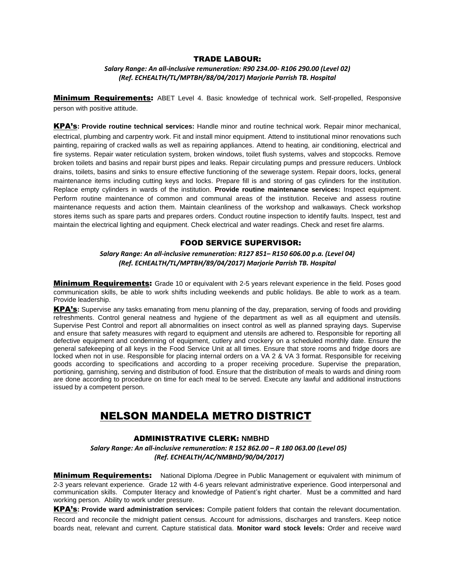#### TRADE LABOUR:

*Salary Range: An all-inclusive remuneration: R90 234.00- R106 290.00 (Level 02) (Ref. ECHEALTH/TL/MPTBH/88/04/2017) Marjorie Parrish TB. Hospital*

**Minimum Requirements:** ABET Level 4. Basic knowledge of technical work. Self-propelled, Responsive person with positive attitude.

KPA's**: Provide routine technical services:** Handle minor and routine technical work. Repair minor mechanical, electrical, plumbing and carpentry work. Fit and install minor equipment. Attend to institutional minor renovations such painting, repairing of cracked walls as well as repairing appliances. Attend to heating, air conditioning, electrical and fire systems. Repair water reticulation system, broken windows, toilet flush systems, valves and stopcocks. Remove broken toilets and basins and repair burst pipes and leaks. Repair circulating pumps and pressure reducers. Unblock drains, toilets, basins and sinks to ensure effective functioning of the sewerage system. Repair doors, locks, general maintenance items including cutting keys and locks. Prepare fill is and storing of gas cylinders for the institution. Replace empty cylinders in wards of the institution. **Provide routine maintenance services:** Inspect equipment. Perform routine maintenance of common and communal areas of the institution. Receive and assess routine maintenance requests and action them. Maintain cleanliness of the workshop and walkaways. Check workshop stores items such as spare parts and prepares orders. Conduct routine inspection to identify faults. Inspect, test and maintain the electrical lighting and equipment. Check electrical and water readings. Check and reset fire alarms.

#### FOOD SERVICE SUPERVISOR:

*Salary Range: An all-inclusive remuneration: R127 851– R150 606.00 p.a. (Level 04) (Ref. ECHEALTH/TL/MPTBH/89/04/2017) Marjorie Parrish TB. Hospital*

**Minimum Requirements:** Grade 10 or equivalent with 2-5 years relevant experience in the field. Poses good communication skills, be able to work shifts including weekends and public holidays. Be able to work as a team. Provide leadership.

KPA's**:** Supervise any tasks emanating from menu planning of the day, preparation, serving of foods and providing refreshments. Control general neatness and hygiene of the department as well as all equipment and utensils. Supervise Pest Control and report all abnormalities on insect control as well as planned spraying days. Supervise and ensure that safety measures with regard to equipment and utensils are adhered to. Responsible for reporting all defective equipment and condemning of equipment, cutlery and crockery on a scheduled monthly date. Ensure the general safekeeping of all keys in the Food Service Unit at all times. Ensure that store rooms and fridge doors are locked when not in use. Responsible for placing internal orders on a VA 2 & VA 3 format. Responsible for receiving goods according to specifications and according to a proper receiving procedure. Supervise the preparation, portioning, garnishing, serving and distribution of food. Ensure that the distribution of meals to wards and dining room are done according to procedure on time for each meal to be served. Execute any lawful and additional instructions issued by a competent person.

## NELSON MANDELA METRO DISTRICT

#### ADMINISTRATIVE CLERK: **NMBHD**

 *Salary Range: An all-inclusive remuneration: R 152 862.00 – R 180 063.00 (Level 05) (Ref. ECHEALTH/AC/NMBHD/90/04/2017)*

**Minimum Requirements:** National Diploma /Degree in Public Management or equivalent with minimum of 2-3 years relevant experience. Grade 12 with 4-6 years relevant administrative experience. Good interpersonal and communication skills. Computer literacy and knowledge of Patient's right charter. Must be a committed and hard working person. Ability to work under pressure.

KPA's**: Provide ward administration services:** Compile patient folders that contain the relevant documentation. Record and reconcile the midnight patient census. Account for admissions, discharges and transfers. Keep notice boards neat, relevant and current. Capture statistical data. **Monitor ward stock levels:** Order and receive ward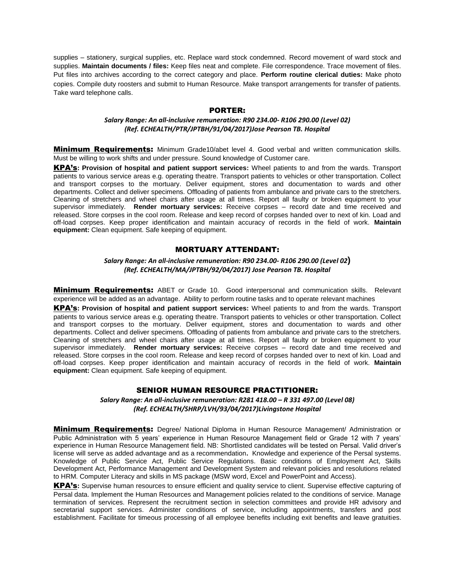supplies – stationery, surgical supplies, etc. Replace ward stock condemned. Record movement of ward stock and supplies. **Maintain documents / files:** Keep files neat and complete. File correspondence. Trace movement of files. Put files into archives according to the correct category and place. **Perform routine clerical duties:** Make photo copies. Compile duty roosters and submit to Human Resource. Make transport arrangements for transfer of patients. Take ward telephone calls.

## PORTER:

### *Salary Range: An all-inclusive remuneration: R90 234.00- R106 290.00 (Level 02) (Ref. ECHEALTH/PTR/JPTBH/91/04/2017)Jose Pearson TB. Hospital*

**Minimum Requirements:** Minimum Grade10/abet level 4. Good verbal and written communication skills. Must be willing to work shifts and under pressure. Sound knowledge of Customer care.

KPA's**: Provision of hospital and patient support services:** Wheel patients to and from the wards. Transport patients to various service areas e.g. operating theatre. Transport patients to vehicles or other transportation. Collect and transport corpses to the mortuary. Deliver equipment, stores and documentation to wards and other departments. Collect and deliver specimens. Offloading of patients from ambulance and private cars to the stretchers. Cleaning of stretchers and wheel chairs after usage at all times. Report all faulty or broken equipment to your supervisor immediately. **Render mortuary services:** Receive corpses – record date and time received and released. Store corpses in the cool room. Release and keep record of corpses handed over to next of kin. Load and off-load corpses. Keep proper identification and maintain accuracy of records in the field of work. **Maintain equipment:** Clean equipment. Safe keeping of equipment.

### MORTUARY ATTENDANT:

*Salary Range: An all-inclusive remuneration: R90 234.00- R106 290.00 (Level 02***)** *(Ref. ECHEALTH/MA/JPTBH/92/04/2017) Jose Pearson TB. Hospital*

**Minimum Requirements:** ABET or Grade 10. Good interpersonal and communication skills. Relevant experience will be added as an advantage. Ability to perform routine tasks and to operate relevant machines

KPA's**: Provision of hospital and patient support services:** Wheel patients to and from the wards. Transport patients to various service areas e.g. operating theatre. Transport patients to vehicles or other transportation. Collect and transport corpses to the mortuary. Deliver equipment, stores and documentation to wards and other departments. Collect and deliver specimens. Offloading of patients from ambulance and private cars to the stretchers. Cleaning of stretchers and wheel chairs after usage at all times. Report all faulty or broken equipment to your supervisor immediately. **Render mortuary services:** Receive corpses – record date and time received and released. Store corpses in the cool room. Release and keep record of corpses handed over to next of kin. Load and off-load corpses. Keep proper identification and maintain accuracy of records in the field of work. **Maintain equipment:** Clean equipment. Safe keeping of equipment.

### SENIOR HUMAN RESOURCE PRACTITIONER:

*Salary Range: An all-inclusive remuneration: R281 418.00 – R 331 497.00 (Level 08) (Ref. ECHEALTH/SHRP/LVH/93/04/2017)Livingstone Hospital*

**Minimum Requirements:** Degree/ National Diploma in Human Resource Management/ Administration or Public Administration with 5 years' experience in Human Resource Management field or Grade 12 with 7 years' experience in Human Resource Management field. NB: Shortlisted candidates will be tested on Persal. Valid driver's license will serve as added advantage and as a recommendation**.** Knowledge and experience of the Persal systems. Knowledge of Public Service Act, Public Service Regulations. Basic conditions of Employment Act, Skills Development Act, Performance Management and Development System and relevant policies and resolutions related to HRM. Computer Literacy and skills in MS package (MSW word, Excel and PowerPoint and Access).

KPA's**:** Supervise human resources to ensure efficient and quality service to client. Supervise effective capturing of Persal data. Implement the Human Resources and Management policies related to the conditions of service. Manage termination of services. Represent the recruitment section in selection committees and provide HR advisory and secretarial support services. Administer conditions of service, including appointments, transfers and post establishment. Facilitate for timeous processing of all employee benefits including exit benefits and leave gratuities.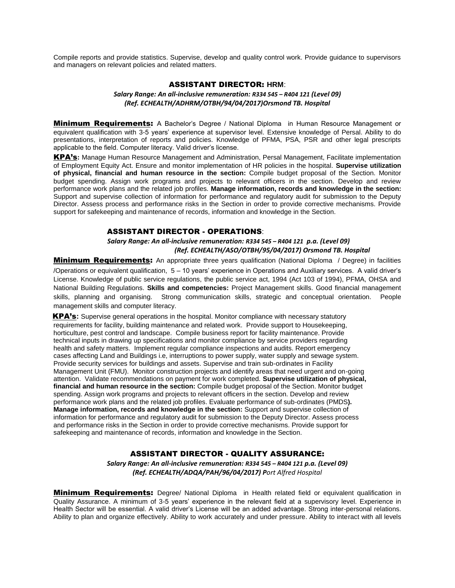Compile reports and provide statistics. Supervise, develop and quality control work. Provide guidance to supervisors and managers on relevant policies and related matters.

#### ASSISTANT DIRECTOR: **HRM**:

### *Salary Range: An all-inclusive remuneration: R334 545 – R404 121 (Level 09) (Ref. ECHEALTH/ADHRM/OTBH/94/04/2017)Orsmond TB. Hospital*

**Minimum Requirements:** A Bachelor's Degree / National Diploma in Human Resource Management or equivalent qualification with 3-5 years' experience at supervisor level. Extensive knowledge of Persal. Ability to do presentations, interpretation of reports and policies. Knowledge of PFMA, PSA, PSR and other legal prescripts applicable to the field. Computer literacy. Valid driver's license.

KPA's**:** Manage Human Resource Management and Administration, Persal Management, Facilitate implementation of Employment Equity Act. Ensure and monitor implementation of HR policies in the hospital. **Supervise utilization of physical, financial and human resource in the section:** Compile budget proposal of the Section. Monitor budget spending. Assign work programs and projects to relevant officers in the section. Develop and review performance work plans and the related job profiles. **Manage information, records and knowledge in the section:** Support and supervise collection of information for performance and regulatory audit for submission to the Deputy Director. Assess process and performance risks in the Section in order to provide corrective mechanisms. Provide support for safekeeping and maintenance of records, information and knowledge in the Section.

### ASSISTANT DIRECTOR - OPERATIONS:

## *Salary Range: An all-inclusive remuneration: R334 545 – R404 121 p.a. (Level 09) (Ref. ECHEALTH/ASO/OTBH/95/04/2017) Orsmond TB. Hospital*

**Minimum Requirements:** An appropriate three years qualification (National Diploma / Degree) in facilities /Operations or equivalent qualification, 5 – 10 years' experience in Operations and Auxiliary services. A valid driver's License. Knowledge of public service regulations, the public service act, 1994 (Act 103 of 1994), PFMA, OHSA and National Building Regulations. **Skills and competencies:** Project Management skills. Good financial management skills, planning and organising. Strong communication skills, strategic and conceptual orientation. People management skills and computer literacy.

**KPA's:** Supervise general operations in the hospital. Monitor compliance with necessary statutory requirements for facility, building maintenance and related work. Provide support to Housekeeping, horticulture, pest control and landscape. Compile business report for facility maintenance. Provide technical inputs in drawing up specifications and monitor compliance by service providers regarding health and safety matters. Implement regular compliance inspections and audits. Report emergency cases affecting Land and Buildings i.e, interruptions to power supply, water supply and sewage system. Provide security services for buildings and assets. Supervise and train sub-ordinates in Facility Management Unit (FMU). Monitor construction projects and identify areas that need urgent and on-going attention. Validate recommendations on payment for work completed. **Supervise utilization of physical, financial and human resource in the section:** Compile budget proposal of the Section. Monitor budget spending. Assign work programs and projects to relevant officers in the section. Develop and review performance work plans and the related job profiles. Evaluate performance of sub-ordinates (PMDS**). Manage information, records and knowledge in the section:** Support and supervise collection of information for performance and regulatory audit for submission to the Deputy Director. Assess process and performance risks in the Section in order to provide corrective mechanisms. Provide support for safekeeping and maintenance of records, information and knowledge in the Section.

### ASSISTANT DIRECTOR - QUALITY ASSURANCE:

*Salary Range: An all-inclusive remuneration: R334 545 – R404 121 p.a. (Level 09) (Ref. ECHEALTH/ADQA/PAH/96/04/2017) Port Alfred Hospital*

**Minimum Requirements:** Degree/ National Diploma in Health related field or equivalent qualification in Quality Assurance. A minimum of 3-5 years' experience in the relevant field at a supervisory level. Experience in Health Sector will be essential. A valid driver's License will be an added advantage. Strong inter-personal relations. Ability to plan and organize effectively. Ability to work accurately and under pressure. Ability to interact with all levels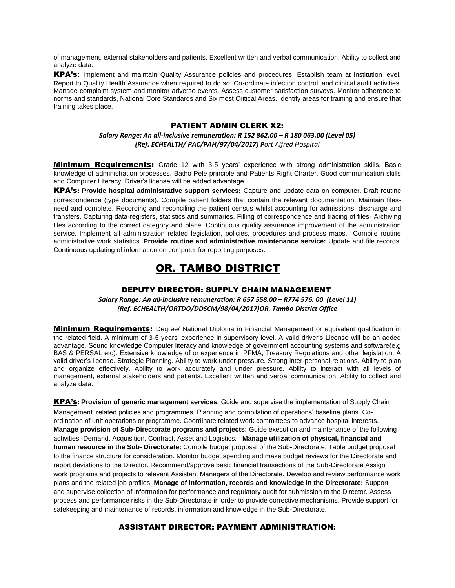of management, external stakeholders and patients. Excellent written and verbal communication. Ability to collect and analyze data.

KPA's**:** Implement and maintain Quality Assurance policies and procedures. Establish team at institution level. Report to Quality Health Assurance when required to do so. Co-ordinate infection control; and clinical audit activities. Manage complaint system and monitor adverse events. Assess customer satisfaction surveys. Monitor adherence to norms and standards, National Core Standards and Six most Critical Areas. Identify areas for training and ensure that training takes place.

## PATIENT ADMIN CLERK X2:

#### *Salary Range: An all-inclusive remuneration: R 152 862.00 – R 180 063.00 (Level 05) (Ref. ECHEALTH/ PAC/PAH/97/04/2017) Port Alfred Hospital*

**Minimum Requirements:** Grade 12 with 3-5 years' experience with strong administration skills. Basic knowledge of administration processes, Batho Pele principle and Patients Right Charter. Good communication skills and Computer Literacy. Driver's license will be added advantage.

KPA's**: Provide hospital administrative support services:** Capture and update data on computer. Draft routine correspondence (type documents). Compile patient folders that contain the relevant documentation. Maintain filesneed and complete. Recording and reconciling the patient census whilst accounting for admissions, discharge and transfers. Capturing data-registers, statistics and summaries. Filling of correspondence and tracing of files- Archiving files according to the correct category and place. Continuous quality assurance improvement of the administration service. Implement all administration related legislation, policies, procedures and process maps. Compile routine administrative work statistics. **Provide routine and administrative maintenance service:** Update and file records. Continuous updating of information on computer for reporting purposes.

## OR. TAMBO DISTRICT

#### DEPUTY DIRECTOR: SUPPLY CHAIN MANAGEMENT:

*Salary Range: An all-inclusive remuneration: R 657 558.00 – R774 576. 00 (Level 11) (Ref. ECHEALTH/ORTDO/DDSCM/98/04/2017)OR. Tambo District Office*

**Minimum Requirements:** Degree/ National Diploma in Financial Management or equivalent qualification in the related field. A minimum of 3-5 years' experience in supervisory level. A valid driver's License will be an added advantage. Sound knowledge Computer literacy and knowledge of government accounting systems and software(e.g BAS & PERSAL etc). Extensive knowledge of or experience in PFMA, Treasury Regulations and other legislation. A valid driver's license. Strategic Planning. Ability to work under pressure. Strong inter-personal relations. Ability to plan and organize effectively. Ability to work accurately and under pressure. Ability to interact with all levels of management, external stakeholders and patients. Excellent written and verbal communication. Ability to collect and analyze data.

KPA's**: Provision of generic management services.** Guide and supervise the implementation of Supply Chain Management related policies and programmes. Planning and compilation of operations' baseline plans. Coordination of unit operations or programme. Coordinate related work committees to advance hospital interests. **Manage provision of Sub-Directorate programs and projects:** Guide execution and maintenance of the following activities:-Demand, Acquisition, Contract, Asset and Logistics. **Manage utilization of physical, financial and human resource in the Sub- Directorate:** Compile budget proposal of the Sub-Directorate. Table budget proposal to the finance structure for consideration. Monitor budget spending and make budget reviews for the Directorate and report deviations to the Director. Recommend/approve basic financial transactions of the Sub-Directorate Assign work programs and projects to relevant Assistant Managers of the Directorate. Develop and review performance work plans and the related job profiles. **Manage of information, records and knowledge in the Directorate:** Support and supervise collection of information for performance and regulatory audit for submission to the Director. Assess process and performance risks in the Sub-Directorate in order to provide corrective mechanisms. Provide support for safekeeping and maintenance of records, information and knowledge in the Sub-Directorate.

## ASSISTANT DIRECTOR: PAYMENT ADMINISTRATION: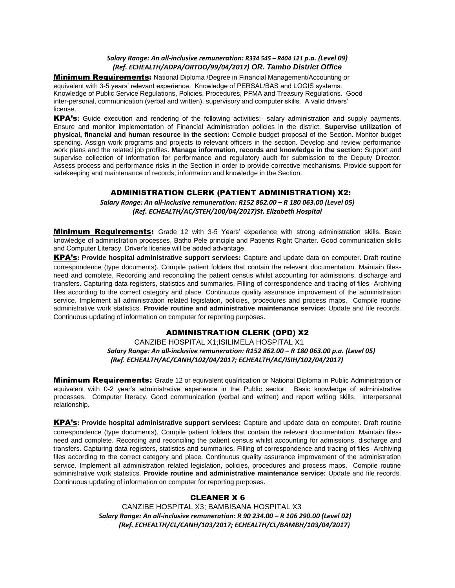#### *Salary Range: An all-inclusive remuneration: R334 545 – R404 121 p.a. (Level 09) (Ref. ECHEALTH/ADPA/ORTDO/99/04/2017) OR. Tambo District Office*

**Minimum Requirements:** National Diploma /Degree in Financial Management/Accounting or equivalent with 3-5 years' relevant experience. Knowledge of PERSAL/BAS and LOGIS systems. Knowledge of Public Service Regulations, Policies, Procedures, PFMA and Treasury Regulations. Good inter-personal, communication (verbal and written), supervisory and computer skills. A valid drivers' license.

KPA's**:** Guide execution and rendering of the following activities:- salary administration and supply payments. Ensure and monitor implementation of Financial Administration policies in the district. **Supervise utilization of physical, financial and human resource in the section:** Compile budget proposal of the Section. Monitor budget spending. Assign work programs and projects to relevant officers in the section. Develop and review performance work plans and the related job profiles. **Manage information, records and knowledge in the section:** Support and supervise collection of information for performance and regulatory audit for submission to the Deputy Director. Assess process and performance risks in the Section in order to provide corrective mechanisms. Provide support for safekeeping and maintenance of records, information and knowledge in the Section.

## ADMINISTRATION CLERK (PATIENT ADMINISTRATION) X2:

*Salary Range: An all-inclusive remuneration: R152 862.00 – R 180 063.00 (Level 05) (Ref. ECHEALTH/AC/STEH/100/04/2017)St. Elizabeth Hospital*

**Minimum Requirements:** Grade 12 with 3-5 Years' experience with strong administration skills. Basic knowledge of administration processes, Batho Pele principle and Patients Right Charter. Good communication skills and Computer Literacy. Driver's license will be added advantage.

KPA's**: Provide hospital administrative support services:** Capture and update data on computer. Draft routine correspondence (type documents). Compile patient folders that contain the relevant documentation. Maintain filesneed and complete. Recording and reconciling the patient census whilst accounting for admissions, discharge and transfers. Capturing data-registers, statistics and summaries. Filling of correspondence and tracing of files- Archiving files according to the correct category and place. Continuous quality assurance improvement of the administration service. Implement all administration related legislation, policies, procedures and process maps. Compile routine administrative work statistics. **Provide routine and administrative maintenance service:** Update and file records. Continuous updating of information on computer for reporting purposes.

## ADMINISTRATION CLERK (OPD) X2

## CANZIBE HOSPITAL X1;ISILIMELA HOSPITAL X1  *Salary Range: An all-inclusive remuneration: R152 862.00 – R 180 063.00 p.a. (Level 05) (Ref. ECHEALTH/AC/CANH/102/04/2017; ECHEALTH/AC/ISIH/102/04/2017)*

Minimum Requirements: Grade 12 or equivalent qualification or National Diploma in Public Administration or equivalent with 0-2 year's administrative experience in the Public sector. Basic knowledge of administrative processes. Computer literacy. Good communication (verbal and written) and report writing skills. Interpersonal relationship.

KPA's**: Provide hospital administrative support services:** Capture and update data on computer. Draft routine correspondence (type documents). Compile patient folders that contain the relevant documentation. Maintain filesneed and complete. Recording and reconciling the patient census whilst accounting for admissions, discharge and transfers. Capturing data-registers, statistics and summaries. Filling of correspondence and tracing of files- Archiving files according to the correct category and place. Continuous quality assurance improvement of the administration service. Implement all administration related legislation, policies, procedures and process maps. Compile routine administrative work statistics. **Provide routine and administrative maintenance service:** Update and file records. Continuous updating of information on computer for reporting purposes.

## CLEANER X 6

 CANZIBE HOSPITAL X3; BAMBISANA HOSPITAL X3  *Salary Range: An all-inclusive remuneration: R 90 234.00 – R 106 290.00 (Level 02) (Ref. ECHEALTH/CL/CANH/103/2017; ECHEALTH/CL/BAMBH/103/04/2017)*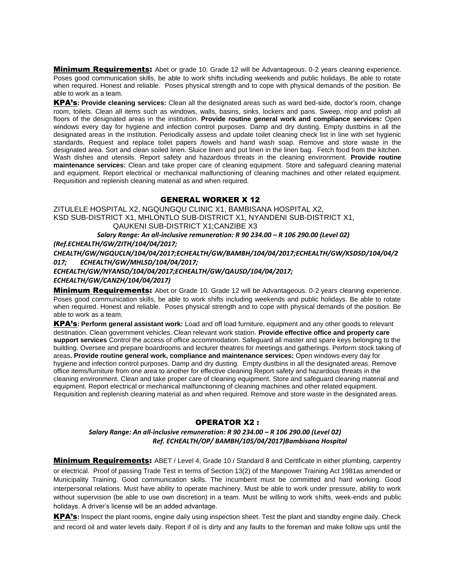**Minimum Requirements:** Abet or grade 10. Grade 12 will be Advantageous. 0-2 years cleaning experience. Poses good communication skills, be able to work shifts including weekends and public holidays. Be able to rotate when required. Honest and reliable. Poses physical strength and to cope with physical demands of the position. Be able to work as a team.

KPA's**: Provide cleaning services:** Clean all the designated areas such as ward bed-side, doctor's room, change room, toilets. Clean all items such as windows, walls, basins, sinks, lockers and pans. Sweep, mop and polish all floors of the designated areas in the institution. **Provide routine general work and compliance services:** Open windows every day for hygiene and infection control purposes. Damp and dry dusting. Empty dustbins in all the designated areas in the institution. Periodically assess and update toilet cleaning check list in line with set hygienic standards. Request and replace toilet papers /towels and hand wash soap. Remove and store waste in the designated area. Sort and clean soiled linen. Sluice linen and put linen in the linen bag. Fetch food from the kitchen. Wash dishes and utensils. Report safety and hazardous threats in the cleaning environment. **Provide routine maintenance services:** Clean and take proper care of cleaning equipment. Store and safeguard cleaning material and equipment. Report electrical or mechanical malfunctioning of cleaning machines and other related equipment. Requisition and replenish cleaning material as and when required.

## GENERAL WORKER X 12

ZITULELE HOSPITAL X2, NGQUNGQU CLINIC X1, BAMBISANA HOSPITAL X2, KSD SUB-DISTRICT X1, MHLONTLO SUB-DISTRICT X1, NYANDENI SUB-DISTRICT X1, QAUKENI SUB-DISTRICT X1;CANZIBE X3

 *Salary Range: An all-inclusive remuneration: R 90 234.00 – R 106 290.00 (Level 02)*

*(Ref.ECHEALTH/GW/ZITH/104/04/2017;* 

*CHEALTH/GW/NGQUCLN/104/04/2017;ECHEALTH/GW/BAMBH/104/04/2017;ECHEALTH/GW/KSDSD/104/04/2 017; ECHEALTH/GW/MHLSD/104/04/2017;*

## *ECHEALTH/GW/NYANSD/104/04/2017;ECHEALTH/GW/QAUSD/104/04/2017; ECHEALTH/GW/CANZH/104/04/2017)*

**Minimum Requirements:** Abet or Grade 10. Grade 12 will be Advantageous. 0-2 years cleaning experience. Poses good communication skills, be able to work shifts including weekends and public holidays. Be able to rotate when required. Honest and reliable. Poses physical strength and to cope with physical demands of the position. Be able to work as a team.

KPA's**: Perform general assistant work:** Load and off load furniture, equipment and any other goods to relevant destination. Clean government vehicles. Clean relevant work station. **Provide effective office and property care support services** Control the access of office accommodation. Safeguard all master and spare keys belonging to the building. Oversee and prepare boardrooms and lecturer theatres for meetings and gatherings. Perform stock taking of areas**. Provide routine general work, compliance and maintenance services:** Open windows every day for hygiene and infection control purposes. Damp and dry dusting. Empty dustbins in all the designated areas. Remove office items/furniture from one area to another for effective cleaning Report safety and hazardous threats in the cleaning environment. Clean and take proper care of cleaning equipment. Store and safeguard cleaning material and equipment. Report electrical or mechanical malfunctioning of cleaning machines and other related equipment. Requisition and replenish cleaning material as and when required. Remove and store waste in the designated areas.

## OPERATOR X2 :

### *Salary Range: An all-inclusive remuneration: R 90 234.00 – R 106 290.00 (Level 02) Ref. ECHEALTH/OP/ BAMBH/105/04/2017)Bambisana Hospital*

**Minimum Requirements:** ABET / Level 4, Grade 10 / Standard 8 and Certificate in either plumbing, carpentry or electrical. Proof of passing Trade Test in terms of Section 13(2) of the Manpower Training Act 1981as amended or Municipality Training. Good communication skills. The incumbent must be committed and hard working. Good interpersonal relations. Must have ability to operate machinery. Must be able to work under pressure, ability to work without supervision (be able to use own discretion) in a team. Must be willing to work shifts, week-ends and public holidays. A driver's license will be an added advantage.

KPA's**:** Inspect the plant rooms, engine daily using inspection sheet. Test the plant and standby engine daily. Check and record oil and water levels daily. Report if oil is dirty and any faults to the foreman and make follow ups until the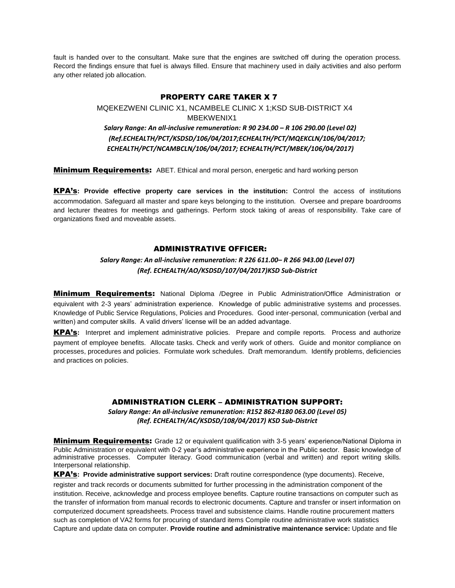fault is handed over to the consultant. Make sure that the engines are switched off during the operation process. Record the findings ensure that fuel is always filled. Ensure that machinery used in daily activities and also perform any other related job allocation.

#### PROPERTY CARE TAKER X 7

## MQEKEZWENI CLINIC X1, NCAMBELE CLINIC X 1;KSD SUB-DISTRICT X4 MBEKWENIX1  *Salary Range: An all-inclusive remuneration: R 90 234.00 – R 106 290.00 (Level 02) (Ref.ECHEALTH/PCT/KSDSD/106/04/2017;ECHEALTH/PCT/MQEKCLN/106/04/2017; ECHEALTH/PCT/NCAMBCLN/106/04/2017; ECHEALTH/PCT/MBEK/106/04/2017)*

**Minimum Requirements:** ABET. Ethical and moral person, energetic and hard working person

KPA's**: Provide effective property care services in the institution:** Control the access of institutions accommodation. Safeguard all master and spare keys belonging to the institution. Oversee and prepare boardrooms and lecturer theatres for meetings and gatherings. Perform stock taking of areas of responsibility. Take care of organizations fixed and moveable assets.

### ADMINISTRATIVE OFFICER:

## *Salary Range: An all-inclusive remuneration: R 226 611.00– R 266 943.00 (Level 07) (Ref. ECHEALTH/AO/KSDSD/107/04/2017)KSD Sub-District*

**Minimum Requirements:** National Diploma /Degree in Public Administration/Office Administration or equivalent with 2-3 years' administration experience. Knowledge of public administrative systems and processes. Knowledge of Public Service Regulations, Policies and Procedures. Good inter-personal, communication (verbal and written) and computer skills. A valid drivers' license will be an added advantage.

KPA's**:** Interpret and implement administrative policies. Prepare and compile reports. Process and authorize payment of employee benefits. Allocate tasks. Check and verify work of others. Guide and monitor compliance on processes, procedures and policies. Formulate work schedules. Draft memorandum. Identify problems, deficiencies and practices on policies.

## ADMINISTRATION CLERK – ADMINISTRATION SUPPORT:

*Salary Range: An all-inclusive remuneration: R152 862-R180 063.00 (Level 05) (Ref. ECHEALTH/AC/KSDSD/108/04/2017) KSD Sub-District*

**Minimum Requirements:** Grade 12 or equivalent qualification with 3-5 years' experience/National Diploma in Public Administration or equivalent with 0-2 year's administrative experience in the Public sector. Basic knowledge of administrative processes. Computer literacy. Good communication (verbal and written) and report writing skills. Interpersonal relationship.

KPA's**: Provide administrative support services:** Draft routine correspondence (type documents). Receive, register and track records or documents submitted for further processing in the administration component of the institution. Receive, acknowledge and process employee benefits. Capture routine transactions on computer such as the transfer of information from manual records to electronic documents. Capture and transfer or insert information on computerized document spreadsheets. Process travel and subsistence claims. Handle routine procurement matters such as completion of VA2 forms for procuring of standard items Compile routine administrative work statistics Capture and update data on computer. **Provide routine and administrative maintenance service:** Update and file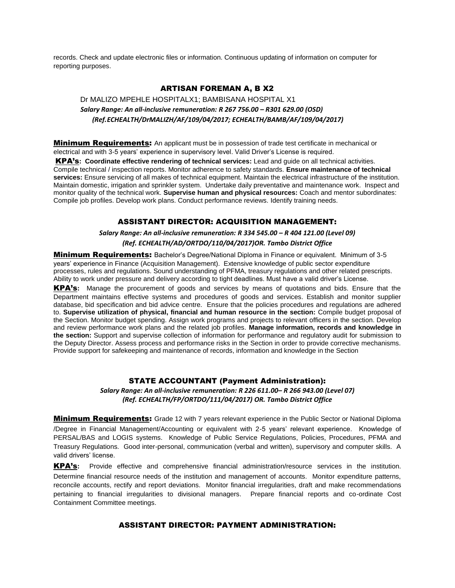records. Check and update electronic files or information. Continuous updating of information on computer for reporting purposes.

## ARTISAN FOREMAN A, B X2

## Dr MALIZO MPEHLE HOSPITALX1; BAMBISANA HOSPITAL X1  *Salary Range: An all-inclusive remuneration: R 267 756.00 – R301 629.00 (OSD) (Ref.ECHEALTH/DrMALIZH/AF/109/04/2017; ECHEALTH/BAMB/AF/109/04/2017)*

**Minimum Requirements:** An applicant must be in possession of trade test certificate in mechanical or electrical and with 3-5 years' experience in supervisory level. Valid Driver's License is required.

KPA's**: Coordinate effective rendering of technical services:** Lead and guide on all technical activities. Compile technical / inspection reports. Monitor adherence to safety standards. **Ensure maintenance of technical services:** Ensure servicing of all makes of technical equipment. Maintain the electrical infrastructure of the institution. Maintain domestic, irrigation and sprinkler system. Undertake daily preventative and maintenance work. Inspect and monitor quality of the technical work. **Supervise human and physical resources:** Coach and mentor subordinates: Compile job profiles. Develop work plans. Conduct performance reviews. Identify training needs.

### ASSISTANT DIRECTOR: ACQUISITION MANAGEMENT:

*Salary Range: An all-inclusive remuneration: R 334 545.00 – R 404 121.00 (Level 09) (Ref. ECHEALTH/AD/ORTDO/110/04/2017)OR. Tambo District Office*

**Minimum Requirements:** Bachelor's Degree/National Diploma in Finance or equivalent. Minimum of 3-5 years' experience in Finance (Acquisition Management). Extensive knowledge of public sector expenditure processes, rules and regulations. Sound understanding of PFMA, treasury regulations and other related prescripts. Ability to work under pressure and delivery according to tight deadlines. Must have a valid driver's License.

KPA's**:** Manage the procurement of goods and services by means of quotations and bids. Ensure that the Department maintains effective systems and procedures of goods and services. Establish and monitor supplier database, bid specification and bid advice centre. Ensure that the policies procedures and regulations are adhered to. **Supervise utilization of physical, financial and human resource in the section:** Compile budget proposal of the Section. Monitor budget spending. Assign work programs and projects to relevant officers in the section. Develop and review performance work plans and the related job profiles. **Manage information, records and knowledge in the section:** Support and supervise collection of information for performance and regulatory audit for submission to the Deputy Director. Assess process and performance risks in the Section in order to provide corrective mechanisms. Provide support for safekeeping and maintenance of records, information and knowledge in the Section

### STATE ACCOUNTANT (Payment Administration):

*Salary Range: An all-inclusive remuneration: R 226 611.00– R 266 943.00 (Level 07) (Ref. ECHEALTH/FP/ORTDO/111/04/2017) OR. Tambo District Office*

**Minimum Requirements:** Grade 12 with 7 years relevant experience in the Public Sector or National Diploma /Degree in Financial Management/Accounting or equivalent with 2-5 years' relevant experience. Knowledge of PERSAL/BAS and LOGIS systems. Knowledge of Public Service Regulations, Policies, Procedures, PFMA and Treasury Regulations. Good inter-personal, communication (verbal and written), supervisory and computer skills. A valid drivers' license.

KPA's**:** Provide effective and comprehensive financial administration/resource services in the institution. Determine financial resource needs of the institution and management of accounts. Monitor expenditure patterns, reconcile accounts, rectify and report deviations. Monitor financial irregularities, draft and make recommendations pertaining to financial irregularities to divisional managers. Prepare financial reports and co-ordinate Cost Containment Committee meetings.

### ASSISTANT DIRECTOR: PAYMENT ADMINISTRATION: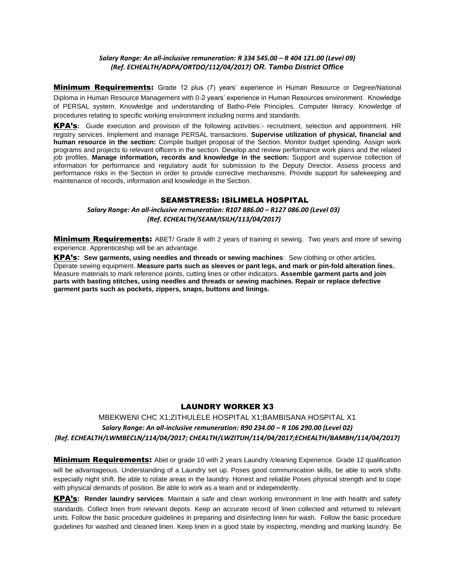#### *Salary Range: An all-inclusive remuneration: R 334 545.00 – R 404 121.00 (Level 09) (Ref. ECHEALTH/ADPA/ORTDO/112/04/2017) OR. Tambo District Office*

**Minimum Requirements:** Grade 12 plus (7) years' experience in Human Resource or Degree/National Diploma in Human Resource Management with 0-2 years' experience in Human Resources environment. Knowledge of PERSAL system. Knowledge and understanding of Batho-Pele Principles. Computer literacy. Knowledge of procedures relating to specific working environment including norms and standards.

KPA's**:** Guide execution and provision of the following activities:- recruitment, selection and appointment. HR registry services. Implement and manage PERSAL transactions. **Supervise utilization of physical, financial and human resource in the section:** Compile budget proposal of the Section. Monitor budget spending. Assign work programs and projects to relevant officers in the section. Develop and review performance work plans and the related job profiles. **Manage information, records and knowledge in the section:** Support and supervise collection of information for performance and regulatory audit for submission to the Deputy Director. Assess process and performance risks in the Section in order to provide corrective mechanisms. Provide support for safekeeping and maintenance of records, information and knowledge in the Section.

## **SEAMSTRESS: ISILIMELA HOSPITAL**

### *Salary Range: An all-inclusive remuneration: R107 886.00 – R127 086.00 (Level 03) (Ref. ECHEALTH/SEAM/ISILH/113/04/2017)*

**Minimum Requirements:** ABET/ Grade 8 with 2 years of training in sewing. Two years and more of sewing experience. Apprenticeship will be an advantage.

KPA's**: Sew garments, using needles and threads or sewing machines**: Sew clothing or other articles. Operate sewing equipment. **Measure parts such as sleeves or pant legs, and mark or pin-fold alteration lines.**  Measure materials to mark reference points, cutting lines or other indicators. **Assemble garment parts and join parts with basting stitches, using needles and threads or sewing machines. Repair or replace defective garment parts such as pockets, zippers, snaps, buttons and linings.**

## LAUNDRY WORKER X3

## MBEKWENI CHC X1;ZITHULELE HOSPITAL X1;BAMBISANA HOSPITAL X1 *Salary Range: An all-inclusive remuneration: R90 234.00 – R 106 290.00 (Level 02) (Ref. ECHEALTH/LWMBECLN/114/04/2017; CHEALTH/LWZITUH/114/04/2017;ECHEALTH/BAMBH/114/04/2017)*

**Minimum Requirements:** Abet or grade 10 with 2 years Laundry /cleaning Experience. Grade 12 qualification will be advantageous. Understanding of a Laundry set up. Poses good communication skills, be able to work shifts especially night shift. Be able to rotate areas in the laundry. Honest and reliable Poses physical strength and to cope with physical demands of position. Be able to work as a team and or independently.

KPA's**: Render laundry services**: Maintain a safe and clean working environment in line with health and safety standards. Collect linen from relevant depots. Keep an accurate record of linen collected and returned to relevant units. Follow the basic procedure guidelines in preparing and disinfecting linen for wash. Follow the basic procedure guidelines for washed and cleaned linen. Keep linen in a good state by inspecting, mending and marking laundry. Be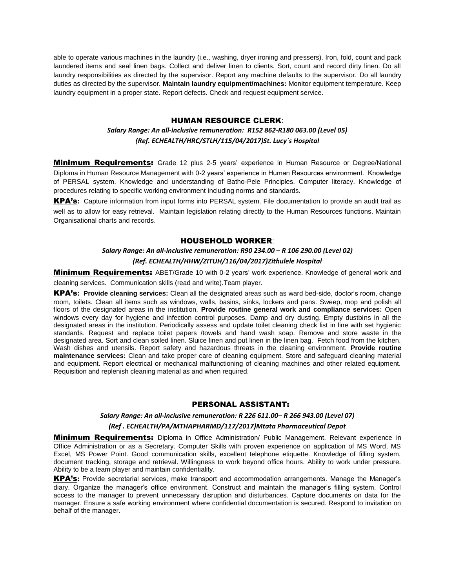able to operate various machines in the laundry (i.e., washing, dryer ironing and pressers). Iron, fold, count and pack laundered items and seal linen bags. Collect and deliver linen to clients. Sort, count and record dirty linen. Do all laundry responsibilities as directed by the supervisor. Report any machine defaults to the supervisor. Do all laundry duties as directed by the supervisor. **Maintain laundry equipment/machines:** Monitor equipment temperature. Keep laundry equipment in a proper state. Report defects. Check and request equipment service.

#### HUMAN RESOURCE CLERK:

### *Salary Range: An all-inclusive remuneration: R152 862-R180 063.00 (Level 05) (Ref. ECHEALTH/HRC/STLH/115/04/2017)St. Lucy`s Hospital*

**Minimum Requirements:** Grade 12 plus 2-5 years' experience in Human Resource or Degree/National Diploma in Human Resource Management with 0-2 years' experience in Human Resources environment. Knowledge of PERSAL system. Knowledge and understanding of Batho-Pele Principles. Computer literacy. Knowledge of procedures relating to specific working environment including norms and standards.

KPA's**:** Capture information from input forms into PERSAL system. File documentation to provide an audit trail as well as to allow for easy retrieval. Maintain legislation relating directly to the Human Resources functions. Maintain Organisational charts and records.

#### HOUSEHOLD WORKER:

## *Salary Range: An all-inclusive remuneration: R90 234.00 – R 106 290.00 (Level 02) (Ref. ECHEALTH/HHW/ZITUH/116/04/2017)Zithulele Hospital*

**Minimum Requirements:** ABET/Grade 10 with 0-2 years' work experience. Knowledge of general work and cleaning services. Communication skills (read and write).Team player.

KPA's**: Provide cleaning services:** Clean all the designated areas such as ward bed-side, doctor's room, change room, toilets. Clean all items such as windows, walls, basins, sinks, lockers and pans. Sweep, mop and polish all floors of the designated areas in the institution. **Provide routine general work and compliance services:** Open windows every day for hygiene and infection control purposes. Damp and dry dusting. Empty dustbins in all the designated areas in the institution. Periodically assess and update toilet cleaning check list in line with set hygienic standards. Request and replace toilet papers /towels and hand wash soap. Remove and store waste in the designated area. Sort and clean soiled linen. Sluice linen and put linen in the linen bag. Fetch food from the kitchen. Wash dishes and utensils. Report safety and hazardous threats in the cleaning environment. **Provide routine maintenance services:** Clean and take proper care of cleaning equipment. Store and safeguard cleaning material and equipment. Report electrical or mechanical malfunctioning of cleaning machines and other related equipment. Requisition and replenish cleaning material as and when required.

## PERSONAL ASSISTANT:

#### *Salary Range: An all-inclusive remuneration: R 226 611.00– R 266 943.00 (Level 07)*

#### *(Ref . ECHEALTH/PA/MTHAPHARMD/117/2017)Mtata Pharmaceutical Depot*

**Minimum Requirements:** Diploma in Office Administration/ Public Management. Relevant experience in Office Administration or as a Secretary. Computer Skills with proven experience on application of MS Word, MS Excel, MS Power Point. Good communication skills, excellent telephone etiquette. Knowledge of filling system, document tracking, storage and retrieval. Willingness to work beyond office hours. Ability to work under pressure. Ability to be a team player and maintain confidentiality.

KPA's**:** Provide secretarial services, make transport and accommodation arrangements. Manage the Manager's diary. Organize the manager's office environment. Construct and maintain the manager's filling system. Control access to the manager to prevent unnecessary disruption and disturbances. Capture documents on data for the manager. Ensure a safe working environment where confidential documentation is secured. Respond to invitation on behalf of the manager.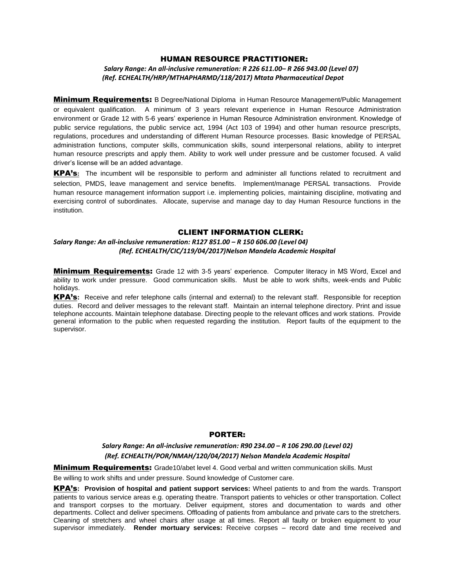#### HUMAN RESOURCE PRACTITIONER:

 *Salary Range: An all-inclusive remuneration: R 226 611.00– R 266 943.00 (Level 07) (Ref. ECHEALTH/HRP/MTHAPHARMD/118/2017) Mtata Pharmaceutical Depot*

**Minimum Requirements:** B Degree/National Diploma in Human Resource Management/Public Management or equivalent qualification. A minimum of 3 years relevant experience in Human Resource Administration environment or Grade 12 with 5-6 years' experience in Human Resource Administration environment. Knowledge of public service regulations, the public service act, 1994 (Act 103 of 1994) and other human resource prescripts, regulations, procedures and understanding of different Human Resource processes. Basic knowledge of PERSAL administration functions, computer skills, communication skills, sound interpersonal relations, ability to interpret human resource prescripts and apply them. Ability to work well under pressure and be customer focused. A valid driver's license will be an added advantage.

KPA's**:** The incumbent will be responsible to perform and administer all functions related to recruitment and selection, PMDS, leave management and service benefits. Implement/manage PERSAL transactions. Provide human resource management information support i.e. implementing policies, maintaining discipline, motivating and exercising control of subordinates. Allocate, supervise and manage day to day Human Resource functions in the institution.

## CLIENT INFORMATION CLERK:

#### *Salary Range: An all-inclusive remuneration: R127 851.00 – R 150 606.00 (Level 04) (Ref. ECHEALTH/CIC/119/04/2017)Nelson Mandela Academic Hospital*

**Minimum Requirements:** Grade 12 with 3-5 years' experience. Computer literacy in MS Word, Excel and ability to work under pressure. Good communication skills. Must be able to work shifts, week-ends and Public holidays.

KPA's**:** Receive and refer telephone calls (internal and external) to the relevant staff. Responsible for reception duties. Record and deliver messages to the relevant staff. Maintain an internal telephone directory. Print and issue telephone accounts. Maintain telephone database. Directing people to the relevant offices and work stations. Provide general information to the public when requested regarding the institution. Report faults of the equipment to the supervisor.

#### PORTER:

*Salary Range: An all-inclusive remuneration: R90 234.00 – R 106 290.00 (Level 02) (Ref. ECHEALTH/POR/NMAH/120/04/2017) Nelson Mandela Academic Hospital*

**Minimum Requirements:** Grade10/abet level 4. Good verbal and written communication skills. Must

Be willing to work shifts and under pressure. Sound knowledge of Customer care.

KPA's**: Provision of hospital and patient support services:** Wheel patients to and from the wards. Transport patients to various service areas e.g. operating theatre. Transport patients to vehicles or other transportation. Collect and transport corpses to the mortuary. Deliver equipment, stores and documentation to wards and other departments. Collect and deliver specimens. Offloading of patients from ambulance and private cars to the stretchers. Cleaning of stretchers and wheel chairs after usage at all times. Report all faulty or broken equipment to your supervisor immediately. **Render mortuary services:** Receive corpses – record date and time received and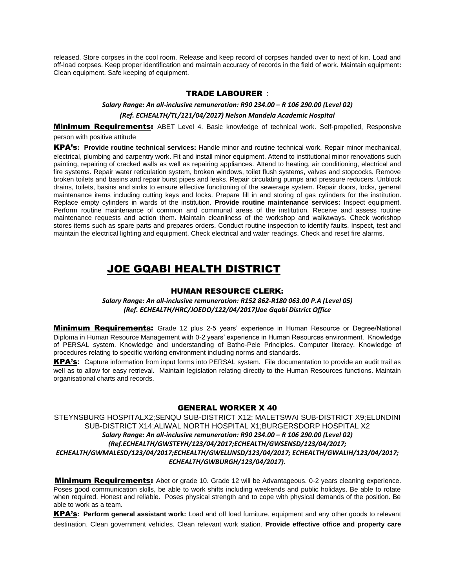released. Store corpses in the cool room. Release and keep record of corpses handed over to next of kin. Load and off-load corpses. Keep proper identification and maintain accuracy of records in the field of work. Maintain equipment**:**  Clean equipment. Safe keeping of equipment.

#### TRADE LABOURER :

### *Salary Range: An all-inclusive remuneration: R90 234.00 – R 106 290.00 (Level 02) (Ref. ECHEALTH/TL/121/04/2017) Nelson Mandela Academic Hospital*

**Minimum Requirements:** ABET Level 4. Basic knowledge of technical work. Self-propelled, Responsive person with positive attitude

KPA's**: Provide routine technical services:** Handle minor and routine technical work. Repair minor mechanical, electrical, plumbing and carpentry work. Fit and install minor equipment. Attend to institutional minor renovations such painting, repairing of cracked walls as well as repairing appliances. Attend to heating, air conditioning, electrical and fire systems. Repair water reticulation system, broken windows, toilet flush systems, valves and stopcocks. Remove broken toilets and basins and repair burst pipes and leaks. Repair circulating pumps and pressure reducers. Unblock drains, toilets, basins and sinks to ensure effective functioning of the sewerage system. Repair doors, locks, general maintenance items including cutting keys and locks. Prepare fill in and storing of gas cylinders for the institution. Replace empty cylinders in wards of the institution. **Provide routine maintenance services:** Inspect equipment. Perform routine maintenance of common and communal areas of the institution. Receive and assess routine maintenance requests and action them. Maintain cleanliness of the workshop and walkaways. Check workshop stores items such as spare parts and prepares orders. Conduct routine inspection to identify faults. Inspect, test and maintain the electrical lighting and equipment. Check electrical and water readings. Check and reset fire alarms.

## JOE GQABI HEALTH DISTRICT

### HUMAN RESOURCE CLERK:

*Salary Range: An all-inclusive remuneration: R152 862-R180 063.00 P.A (Level 05) (Ref. ECHEALTH/HRC/JOEDO/122/04/2017)Joe Gqabi District Office*

**Minimum Requirements:** Grade 12 plus 2-5 years' experience in Human Resource or Degree/National Diploma in Human Resource Management with 0-2 years' experience in Human Resources environment. Knowledge of PERSAL system. Knowledge and understanding of Batho-Pele Principles. Computer literacy. Knowledge of procedures relating to specific working environment including norms and standards.

KPA's**:** Capture information from input forms into PERSAL system. File documentation to provide an audit trail as well as to allow for easy retrieval. Maintain legislation relating directly to the Human Resources functions. Maintain organisational charts and records.

### GENERAL WORKER X 40

STEYNSBURG HOSPITALX2;SENQU SUB-DISTRICT X12; MALETSWAI SUB-DISTRICT X9;ELUNDINI SUB-DISTRICT X14;ALIWAL NORTH HOSPITAL X1;BURGERSDORP HOSPITAL X2 *Salary Range: An all-inclusive remuneration: R90 234.00 – R 106 290.00 (Level 02) (Ref.ECHEALTH/GWSTEYH/123/04/2017;ECHEALTH/GWSENSD/123/04/2017; ECHEALTH/GWMALESD/123/04/2017;ECHEALTH/GWELUNSD/123/04/2017; ECHEALTH/GWALIH/123/04/2017; ECHEALTH/GWBURGH/123/04/2017).*

**Minimum Requirements:** Abet or grade 10. Grade 12 will be Advantageous. 0-2 years cleaning experience. Poses good communication skills, be able to work shifts including weekends and public holidays. Be able to rotate when required. Honest and reliable. Poses physical strength and to cope with physical demands of the position. Be able to work as a team.

KPA's**: Perform general assistant work:** Load and off load furniture, equipment and any other goods to relevant destination. Clean government vehicles. Clean relevant work station. **Provide effective office and property care**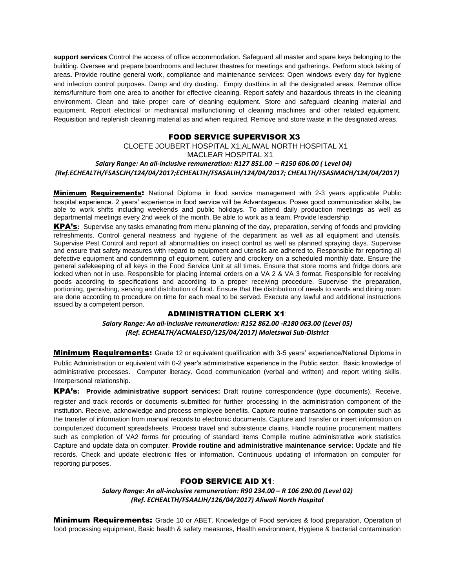**support services** Control the access of office accommodation. Safeguard all master and spare keys belonging to the building. Oversee and prepare boardrooms and lecturer theatres for meetings and gatherings. Perform stock taking of areas**.** Provide routine general work, compliance and maintenance services: Open windows every day for hygiene and infection control purposes. Damp and dry dusting. Empty dustbins in all the designated areas. Remove office items/furniture from one area to another for effective cleaning. Report safety and hazardous threats in the cleaning environment. Clean and take proper care of cleaning equipment. Store and safeguard cleaning material and equipment. Report electrical or mechanical malfunctioning of cleaning machines and other related equipment. Requisition and replenish cleaning material as and when required. Remove and store waste in the designated areas.

### FOOD SERVICE SUPERVISOR X3

## CLOETE JOUBERT HOSPITAL X1;ALIWAL NORTH HOSPITAL X1 MACLEAR HOSPITAL X1  *Salary Range: An all-inclusive remuneration: R127 851.00 – R150 606.00 ( Level 04) (Ref.ECHEALTH/FSASCJH/124/04/2017;ECHEALTH/FSASALIH/124/04/2017; CHEALTH/FSASMACH/124/04/2017)*

**Minimum Requirements:** National Diploma in food service management with 2-3 years applicable Public hospital experience. 2 years' experience in food service will be Advantageous. Poses good communication skills, be able to work shifts including weekends and public holidays. To attend daily production meetings as well as departmental meetings every 2nd week of the month. Be able to work as a team. Provide leadership.

KPA's**:** Supervise any tasks emanating from menu planning of the day, preparation, serving of foods and providing refreshments. Control general neatness and hygiene of the department as well as all equipment and utensils. Supervise Pest Control and report all abnormalities on insect control as well as planned spraying days. Supervise and ensure that safety measures with regard to equipment and utensils are adhered to. Responsible for reporting all defective equipment and condemning of equipment, cutlery and crockery on a scheduled monthly date. Ensure the general safekeeping of all keys in the Food Service Unit at all times. Ensure that store rooms and fridge doors are locked when not in use. Responsible for placing internal orders on a VA 2 & VA 3 format. Responsible for receiving goods according to specifications and according to a proper receiving procedure. Supervise the preparation, portioning, garnishing, serving and distribution of food. Ensure that the distribution of meals to wards and dining room are done according to procedure on time for each meal to be served. Execute any lawful and additional instructions issued by a competent person.

### ADMINISTRATION CLERK X1:

*Salary Range: An all-inclusive remuneration: R152 862.00 -R180 063.00 (Level 05) (Ref. ECHEALTH/ACMALESD/125/04/2017) Maletswai Sub-District*

**Minimum Requirements:** Grade 12 or equivalent qualification with 3-5 years' experience/National Diploma in Public Administration or equivalent with 0-2 year's administrative experience in the Public sector. Basic knowledge of administrative processes. Computer literacy. Good communication (verbal and written) and report writing skills. Interpersonal relationship.

KPA's**: Provide administrative support services:** Draft routine correspondence (type documents). Receive, register and track records or documents submitted for further processing in the administration component of the institution. Receive, acknowledge and process employee benefits. Capture routine transactions on computer such as the transfer of information from manual records to electronic documents. Capture and transfer or insert information on computerized document spreadsheets. Process travel and subsistence claims. Handle routine procurement matters such as completion of VA2 forms for procuring of standard items Compile routine administrative work statistics Capture and update data on computer. **Provide routine and administrative maintenance service:** Update and file records. Check and update electronic files or information. Continuous updating of information on computer for reporting purposes.

### FOOD SERVICE AID X1:

*Salary Range: An all-inclusive remuneration: R90 234.00 – R 106 290.00 (Level 02) (Ref. ECHEALTH/FSAALIH/126/04/2017) Aliwali North Hospital*

**Minimum Requirements:** Grade 10 or ABET. Knowledge of Food services & food preparation, Operation of food processing equipment, Basic health & safety measures, Health environment, Hygiene & bacterial contamination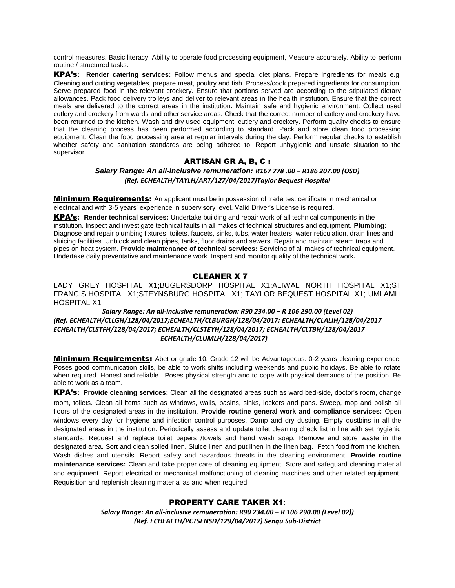control measures. Basic literacy, Ability to operate food processing equipment, Measure accurately. Ability to perform routine / structured tasks.

KPA's**: Render catering services:** Follow menus and special diet plans. Prepare ingredients for meals e.g. Cleaning and cutting vegetables, prepare meat, poultry and fish. Process/cook prepared ingredients for consumption. Serve prepared food in the relevant crockery. Ensure that portions served are according to the stipulated dietary allowances. Pack food delivery trolleys and deliver to relevant areas in the health institution. Ensure that the correct meals are delivered to the correct areas in the institution**.** Maintain safe and hygienic environment: Collect used cutlery and crockery from wards and other service areas. Check that the correct number of cutlery and crockery have been returned to the kitchen. Wash and dry used equipment, cutlery and crockery. Perform quality checks to ensure that the cleaning process has been performed according to standard. Pack and store clean food processing equipment. Clean the food processing area at regular intervals during the day. Perform regular checks to establish whether safety and sanitation standards are being adhered to. Report unhygienic and unsafe situation to the supervisor.

## ARTISAN GR A, B, C :

*Salary Range: An all-inclusive remuneration: R167 778 .00 – R186 207.00 (OSD) (Ref. ECHEALTH/TAYLH/ART/127/04/2017)Taylor Bequest Hospital*

**Minimum Requirements:** An applicant must be in possession of trade test certificate in mechanical or electrical and with 3-5 years' experience in supervisory level. Valid Driver's License is required.

KPA's**: Render technical services:** Undertake building and repair work of all technical components in the institution. Inspect and investigate technical faults in all makes of technical structures and equipment. **Plumbing:**  Diagnose and repair plumbing fixtures, toilets, faucets, sinks, tubs, water heaters, water reticulation, drain lines and sluicing facilities. Unblock and clean pipes, tanks, floor drains and sewers. Repair and maintain steam traps and pipes on heat system. **Provide maintenance of technical services:** Servicing of all makes of technical equipment. Undertake daily preventative and maintenance work. Inspect and monitor quality of the technical work**.**

## CLEANER X 7

LADY GREY HOSPITAL X1;BUGERSDORP HOSPITAL X1;ALIWAL NORTH HOSPITAL X1;ST FRANCIS HOSPITAL X1;STEYNSBURG HOSPITAL X1; TAYLOR BEQUEST HOSPITAL X1; UMLAMLI HOSPITAL X1

 *Salary Range: An all-inclusive remuneration: R90 234.00 – R 106 290.00 (Level 02) (Ref. ECHEALTH/CLLGH/128/04/2017;ECHEALTH/CLBURGH/128/04/2017; ECHEALTH/CLALIH/128/04/2017 ECHEALTH/CLSTFH/128/04/2017; ECHEALTH/CLSTEYH/128/04/2017; ECHEALTH/CLTBH/128/04/2017 ECHEALTH/CLUMLH/128/04/2017)*

**Minimum Requirements:** Abet or grade 10. Grade 12 will be Advantageous. 0-2 years cleaning experience. Poses good communication skills, be able to work shifts including weekends and public holidays. Be able to rotate when required. Honest and reliable. Poses physical strength and to cope with physical demands of the position. Be able to work as a team.

KPA's**: Provide cleaning services:** Clean all the designated areas such as ward bed-side, doctor's room, change room, toilets. Clean all items such as windows, walls, basins, sinks, lockers and pans. Sweep, mop and polish all floors of the designated areas in the institution. **Provide routine general work and compliance services:** Open windows every day for hygiene and infection control purposes. Damp and dry dusting. Empty dustbins in all the designated areas in the institution. Periodically assess and update toilet cleaning check list in line with set hygienic standards. Request and replace toilet papers /towels and hand wash soap. Remove and store waste in the designated area. Sort and clean soiled linen. Sluice linen and put linen in the linen bag. Fetch food from the kitchen. Wash dishes and utensils. Report safety and hazardous threats in the cleaning environment. **Provide routine maintenance services:** Clean and take proper care of cleaning equipment. Store and safeguard cleaning material and equipment. Report electrical or mechanical malfunctioning of cleaning machines and other related equipment. Requisition and replenish cleaning material as and when required.

### PROPERTY CARE TAKER X1:

*Salary Range: An all-inclusive remuneration: R90 234.00 – R 106 290.00 (Level 02)) (Ref. ECHEALTH/PCTSENSD/129/04/2017) Senqu Sub-District*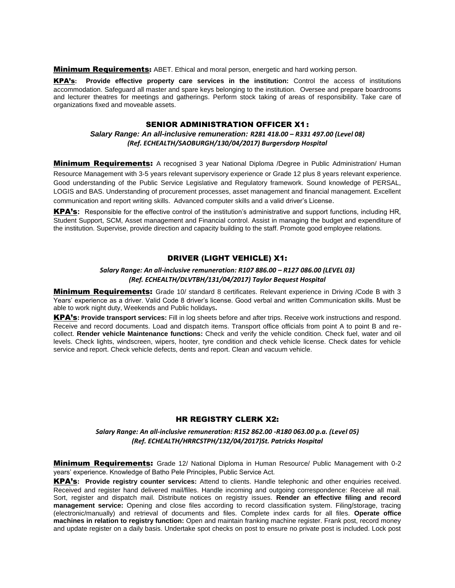**Minimum Requirements:** ABET. Ethical and moral person, energetic and hard working person.

KPA's**: Provide effective property care services in the institution:** Control the access of institutions accommodation. Safeguard all master and spare keys belonging to the institution. Oversee and prepare boardrooms and lecturer theatres for meetings and gatherings. Perform stock taking of areas of responsibility. Take care of organizations fixed and moveable assets.

#### SENIOR ADMINISTRATION OFFICER X1:

### *Salary Range: An all-inclusive remuneration: R281 418.00 – R331 497.00 (Level 08) (Ref. ECHEALTH/SAOBURGH/130/04/2017) Burgersdorp Hospital*

**Minimum Requirements:** A recognised 3 year National Diploma /Degree in Public Administration/ Human

Resource Management with 3-5 years relevant supervisory experience or Grade 12 plus 8 years relevant experience. Good understanding of the Public Service Legislative and Regulatory framework. Sound knowledge of PERSAL, LOGIS and BAS. Understanding of procurement processes, asset management and financial management. Excellent communication and report writing skills. Advanced computer skills and a valid driver's License.

KPA's**:** Responsible for the effective control of the institution's administrative and support functions, including HR, Student Support, SCM, Asset management and Financial control. Assist in managing the budget and expenditure of the institution. Supervise, provide direction and capacity building to the staff. Promote good employee relations.

## DRIVER (LIGHT VEHICLE) X1:

#### *Salary Range: An all-inclusive remuneration: R107 886.00 – R127 086.00 (LEVEL 03) (Ref. ECHEALTH/DLVTBH/131/04/2017) Taylor Bequest Hospital*

**Minimum Requirements:** Grade 10/ standard 8 certificates. Relevant experience in Driving /Code B with 3 Years' experience as a driver. Valid Code 8 driver's license. Good verbal and written Communication skills. Must be able to work night duty, Weekends and Public holidays**.**

KPA's**: Provide transport services:** Fill in log sheets before and after trips. Receive work instructions and respond. Receive and record documents. Load and dispatch items. Transport office officials from point A to point B and recollect. **Render vehicle Maintenance functions:** Check and verify the vehicle condition. Check fuel, water and oil levels. Check lights, windscreen, wipers, hooter, tyre condition and check vehicle license. Check dates for vehicle service and report. Check vehicle defects, dents and report. Clean and vacuum vehicle.

### HR REGISTRY CLERK X2:

*Salary Range: An all-inclusive remuneration: R152 862.00 -R180 063.00 p.a. (Level 05) (Ref. ECHEALTH/HRRCSTPH/132/04/2017)St. Patricks Hospital*

**Minimum Requirements:** Grade 12/ National Diploma in Human Resource/ Public Management with 0-2 years' experience. Knowledge of Batho Pele Principles, Public Service Act.

KPA's**: Provide registry counter services:** Attend to clients. Handle telephonic and other enquiries received. Received and register hand delivered mail/files. Handle incoming and outgoing correspondence: Receive all mail. Sort, register and dispatch mail. Distribute notices on registry issues. **Render an effective filing and record management service:** Opening and close files according to record classification system. Filing/storage, tracing (electronic/manually) and retrieval of documents and files. Complete index cards for all files. **Operate office machines in relation to registry function:** Open and maintain franking machine register. Frank post, record money and update register on a daily basis. Undertake spot checks on post to ensure no private post is included. Lock post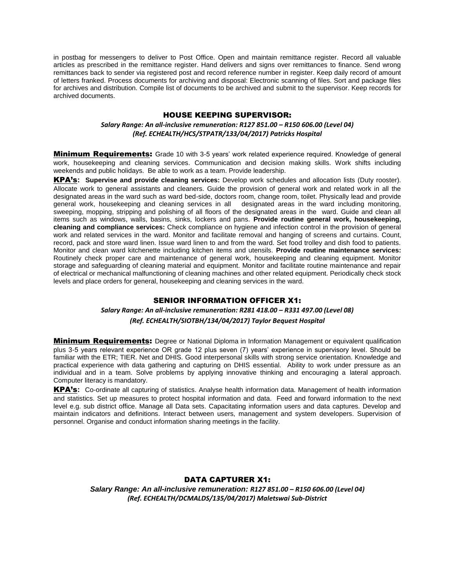in postbag for messengers to deliver to Post Office. Open and maintain remittance register. Record all valuable articles as prescribed in the remittance register. Hand delivers and signs over remittances to finance. Send wrong remittances back to sender via registered post and record reference number in register. Keep daily record of amount of letters franked. Process documents for archiving and disposal: Electronic scanning of files. Sort and package files for archives and distribution. Compile list of documents to be archived and submit to the supervisor. Keep records for archived documents.

### HOUSE KEEPING SUPERVISOR:

#### *Salary Range: An all-inclusive remuneration: R127 851.00 – R150 606.00 (Level 04) (Ref. ECHEALTH/HCS/STPATR/133/04/2017) Patricks Hospital*

**Minimum Requirements:** Grade 10 with 3-5 years' work related experience required. Knowledge of general work, housekeeping and cleaning services. Communication and decision making skills. Work shifts including weekends and public holidays. Be able to work as a team. Provide leadership.

KPA's**: Supervise and provide cleaning services:** Develop work schedules and allocation lists (Duty rooster). Allocate work to general assistants and cleaners. Guide the provision of general work and related work in all the designated areas in the ward such as ward bed-side, doctors room, change room, toilet. Physically lead and provide general work, housekeeping and cleaning services in all designated areas in the ward including monitoring, sweeping, mopping, stripping and polishing of all floors of the designated areas in the ward. Guide and clean all items such as windows, walls, basins, sinks, lockers and pans. **Provide routine general work, housekeeping, cleaning and compliance services:** Check compliance on hygiene and infection control in the provision of general work and related services in the ward. Monitor and facilitate removal and hanging of screens and curtains. Count, record, pack and store ward linen. Issue ward linen to and from the ward. Set food trolley and dish food to patients. Monitor and clean ward kitchenette including kitchen items and utensils. **Provide routine maintenance services:** Routinely check proper care and maintenance of general work, housekeeping and cleaning equipment. Monitor storage and safeguarding of cleaning material and equipment. Monitor and facilitate routine maintenance and repair of electrical or mechanical malfunctioning of cleaning machines and other related equipment. Periodically check stock levels and place orders for general, housekeeping and cleaning services in the ward.

### SENIOR INFORMATION OFFICER X1:

## *Salary Range: An all-inclusive remuneration: R281 418.00 – R331 497.00 (Level 08) (Ref. ECHEALTH/SIOTBH/134/04/2017) Taylor Bequest Hospital*

**Minimum Requirements:** Degree or National Diploma in Information Management or equivalent qualification plus 3-5 years relevant experience OR grade 12 plus seven (7) years' experience in supervisory level. Should be familiar with the ETR; TIER. Net and DHIS. Good interpersonal skills with strong service orientation. Knowledge and practical experience with data gathering and capturing on DHIS essential. Ability to work under pressure as an individual and in a team. Solve problems by applying innovative thinking and encouraging a lateral approach. Computer literacy is mandatory.

KPA's**:** Co-ordinate all capturing of statistics. Analyse health information data. Management of health information and statistics. Set up measures to protect hospital information and data. Feed and forward information to the next level e.g. sub district office. Manage all Data sets. Capacitating information users and data captures. Develop and maintain indicators and definitions. Interact between users, management and system developers. Supervision of personnel. Organise and conduct information sharing meetings in the facility.

### DATA CAPTURER X1:

*Salary Range: An all-inclusive remuneration: R127 851.00 – R150 606.00 (Level 04) (Ref. ECHEALTH/DCMALDS/135/04/2017) Maletswai Sub-District*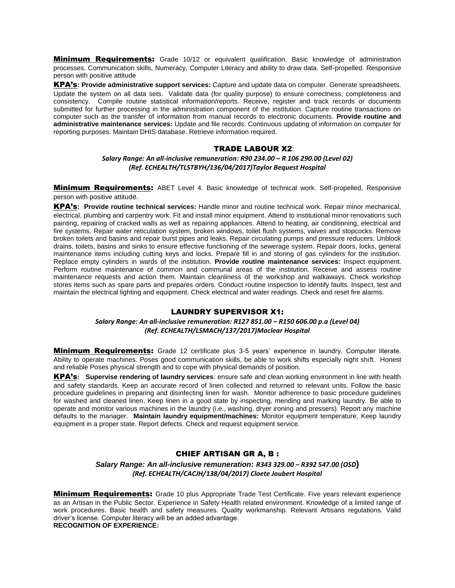**Minimum Requirements:** Grade 10/12 or equivalent qualification. Basic knowledge of administration processes. Communication skills, Numeracy, Computer Literacy and ability to draw data. Self-propelled. Responsive person with positive attitude

KPA's**: Provide administrative support services:** Capture and update data on computer. Generate spreadsheets. Update the system on all data sets. Validate data (for quality purpose) to ensure correctness, completeness and consistency. Compile routine statistical information/reports. Receive, register and track records or documents submitted for further processing in the administration component of the institution. Capture routine transactions on computer such as the transfer of information from manual records to electronic documents. **Provide routine and administrative maintenance services:** Update and file records. Continuous updating of information on computer for reporting purposes. Maintain DHIS database. Retrieve information required.

### TRADE LABOUR X2:

*Salary Range: An all-inclusive remuneration: R90 234.00 – R 106 290.00 (Level 02) (Ref. ECHEALTH/TLSTBYH/136/04/2017)Taylor Bequest Hospital*

**Minimum Requirements:** ABET Level 4. Basic knowledge of technical work. Self-propelled, Responsive person with positive attitude.

KPA's**: Provide routine technical services:** Handle minor and routine technical work. Repair minor mechanical, electrical, plumbing and carpentry work. Fit and install minor equipment. Attend to institutional minor renovations such painting, repairing of cracked walls as well as repairing appliances. Attend to heating, air conditioning, electrical and fire systems. Repair water reticulation system, broken windows, toilet flush systems, valves and stopcocks. Remove broken toilets and basins and repair burst pipes and leaks. Repair circulating pumps and pressure reducers. Unblock drains, toilets, basins and sinks to ensure effective functioning of the sewerage system. Repair doors, locks, general maintenance items including cutting keys and locks. Prepare fill in and storing of gas cylinders for the institution. Replace empty cylinders in wards of the institution. **Provide routine maintenance services:** Inspect equipment. Perform routine maintenance of common and communal areas of the institution. Receive and assess routine maintenance requests and action them. Maintain cleanliness of the workshop and walkaways. Check workshop stores items such as spare parts and prepares orders. Conduct routine inspection to identify faults. Inspect, test and maintain the electrical lighting and equipment. Check electrical and water readings. Check and reset fire alarms.

#### LAUNDRY SUPERVISOR X1:

*Salary Range: An all-inclusive remuneration: R127 851.00 – R150 606.00 p.a (Level 04) (Ref. ECHEALTH/LSMACH/137/2017)Maclear Hospital*

**Minimum Requirements:** Grade 12 certificate plus 3-5 years' experience in laundry. Computer literate. Ability to operate machines. Poses good communication skills, be able to work shifts especially night shift. Honest and reliable Poses physical strength and to cope with physical demands of position.

KPA's**: Supervise rendering of laundry services**: ensure safe and clean working environment in line with health and safety standards. Keep an accurate record of linen collected and returned to relevant units. Follow the basic procedure guidelines in preparing and disinfecting linen for wash. Monitor adherence to basic procedure guidelines for washed and cleaned linen. Keep linen in a good state by inspecting, mending and marking laundry. Be able to operate and monitor various machines in the laundry (i.e., washing, dryer ironing and pressers). Report any machine defaults to the manager. **Maintain laundry equipment/machines:** Monitor equipment temperature. Keep laundry equipment in a proper state. Report defects. Check and request equipment service.

### CHIEF ARTISAN GR A, B :

*Salary Range: An all-inclusive remuneration: R343 329.00 – R392 547.00 (OSD***)** *(Ref. ECHEALTH/CACJH/138/04/2017) Cloete Joubert Hospital*

**Minimum Requirements:** Grade 10 plus Appropriate Trade Test Certificate. Five years relevant experience as an Artisan in the Public Sector. Experience in Safety Health related environment. Knowledge of a limited range of work procedures. Basic health and safety measures. Quality workmanship. Relevant Artisans regulations. Valid driver's license. Computer literacy will be an added advantage. **RECOGNITION OF EXPERIENCE:**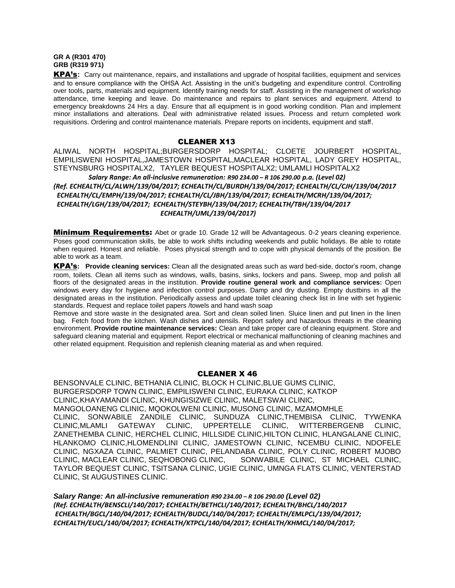#### **GR A (R301 470) GRB (R319 971)**

KPA's**:** Carry out maintenance, repairs, and installations and upgrade of hospital facilities, equipment and services and to ensure compliance with the OHSA Act. Assisting in the unit's budgeting and expenditure control. Controlling over tools, parts, materials and equipment. Identify training needs for staff. Assisting in the management of workshop attendance, time keeping and leave. Do maintenance and repairs to plant services and equipment. Attend to emergency breakdowns 24 Hrs a day. Ensure that all equipment is in good working condition. Plan and implement minor installations and alterations. Deal with administrative related issues. Process and return completed work requisitions. Ordering and control maintenance materials. Prepare reports on incidents, equipment and staff.

#### CLEANER X13

ALIWAL NORTH HOSPITAL;BURGERSDORP HOSPITAL; CLOETE JOURBERT HOSPITAL, EMPILISWENI HOSPITAL,JAMESTOWN HOSPITAL,MACLEAR HOSPITAL, LADY GREY HOSPITAL, STEYNSBURG HOSPITALX2, TAYLER BEQUEST HOSPITALX2; UMLAMLI HOSPITALX2

 *Salary Range: An all-inclusive remuneration: R90 234.00 – R 106 290.00 p.a. (Level 02) (Ref. ECHEALTH/CL/ALWH/139/04/2017; ECHEALTH/CL/BURDH/139/04/2017; ECHEALTH/CL/CJH/139/04/2017 ECHEALTH/CL/EMPH/139/04/2017; ECHEALTH/CL/JBH/139/04/2017; ECHEALTH/MCRH/139/04/2017; ECHEALTH/LGH/139/04/2017; ECHEALTH/STEYBH/139/04/2017; ECHEALTH/TBH/139/04/2017 ECHEALTH/UML/139/04/2017)*

Minimum Requirements: Abet or grade 10. Grade 12 will be Advantageous. 0-2 years cleaning experience. Poses good communication skills, be able to work shifts including weekends and public holidays. Be able to rotate when required. Honest and reliable. Poses physical strength and to cope with physical demands of the position. Be able to work as a team.

KPA's**: Provide cleaning services:** Clean all the designated areas such as ward bed-side, doctor's room, change room, toilets. Clean all items such as windows, walls, basins, sinks, lockers and pans. Sweep, mop and polish all floors of the designated areas in the institution. **Provide routine general work and compliance services:** Open windows every day for hygiene and infection control purposes. Damp and dry dusting. Empty dustbins in all the designated areas in the institution. Periodically assess and update toilet cleaning check list in line with set hygienic standards. Request and replace toilet papers /towels and hand wash soap

Remove and store waste in the designated area. Sort and clean soiled linen. Sluice linen and put linen in the linen bag. Fetch food from the kitchen. Wash dishes and utensils. Report safety and hazardous threats in the cleaning environment. **Provide routine maintenance services:** Clean and take proper care of cleaning equipment. Store and safeguard cleaning material and equipment. Report electrical or mechanical malfunctioning of cleaning machines and other related equipment. Requisition and replenish cleaning material as and when required.

### CLEANER X 46

BENSONVALE CLINIC, BETHANIA CLINIC, BLOCK H CLINIC,BLUE GUMS CLINIC, BURGERSDORP TOWN CLINIC, EMPILISWENI CLINIC, EURAKA CLINIC, KATKOP CLINIC,KHAYAMANDI CLINIC, KHUNGISIZWE CLINIC, MALETSWAI CLINIC, MANGOLOANENG CLINIC, MQOKOLWENI CLINIC, MUSONG CLINIC, MZAMOMHLE CLINIC, SONWABILE ZANDILE CLINIC, SUNDUZA CLINIC,THEMBISA CLINIC, TYWENKA<br>CLINIC.MLAMLI GATEWAY CLINIC, UPPERTELLE CLINIC, WITTERBERGENB CLINIC, GATEWAY CLINIC, UPPERTELLE CLINIC, WITTERBERGENB CLINIC, ZANETHEMBA CLINIC, HERCHEL CLINIC, HILLSIDE CLINIC,HILTON CLINIC, HLANGALANE CLINIC, HLANKOMO CLINIC,HLOMENDLINI CLINIC, JAMESTOWN CLINIC, NCEMBU CLINIC, NDOFELE CLINIC, NGXAZA CLINIC, PALMIET CLINIC, PELANDABA CLINIC, POLY CLINIC, ROBERT MJOBO CLINIC, MACLEAR CLINIC, SEQHOBONG CLINIC, SONWABILE CLINIC, ST MICHAEL CLINIC, TAYLOR BEQUEST CLINIC, TSITSANA CLINIC, UGIE CLINIC, UMNGA FLATS CLINIC, VENTERSTAD CLINIC, St AUGUSTINES CLINIC.

*Salary Range: An all-inclusive remuneration R90 234.00 – R 106 290.00 (Level 02) (Ref. ECHEALTH/BENSCLI/140/2017; ECHEALTH/BETHCLI/140/2017; ECHEALTH/BHCL/140/2017 ECHEALTH/BGCL/140/04/2017; ECHEALTH/BUDCL/140/04/2017; ECHEALTH/EMLPCL/139/04/2017; ECHEALTH/EUCL/140/04/2017; ECHEALTH/KTPCL/140/04/2017; ECHEALTH/KHMCL/140/04/2017;*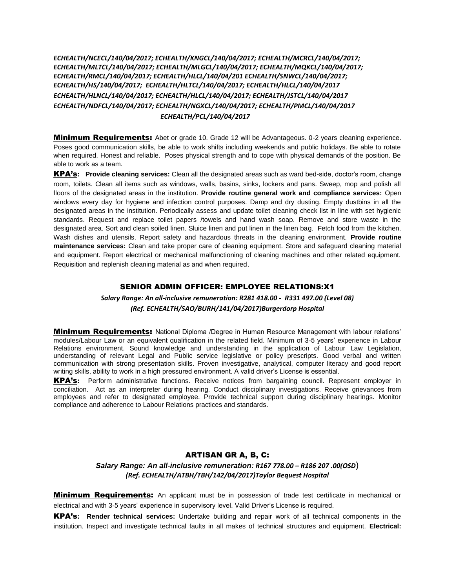*ECHEALTH/NCECL/140/04/2017; ECHEALTH/KNGCL/140/04/2017; ECHEALTH/MCRCL/140/04/2017; ECHEALTH/MLTCL/140/04/2017; ECHEALTH/MLGCL/140/04/2017; ECHEALTH/MQKCL/140/04/2017; ECHEALTH/RMCL/140/04/2017; ECHEALTH/HLCL/140/04/201 ECHEALTH/SNWCL/140/04/2017; ECHEALTH/HS/140/04/2017; ECHEALTH/HLTCL/140/04/2017; ECHEALTH/HLCL/140/04/2017 ECHEALTH/HLNCL/140/04/2017; ECHEALTH/HLCL/140/04/2017; ECHEALTH/JSTCL/140/04/2017 ECHEALTH/NDFCL/140/04/2017; ECHEALTH/NGXCL/140/04/2017; ECHEALTH/PMCL/140/04/2017 ECHEALTH/PCL/140/04/2017*

**Minimum Requirements:** Abet or grade 10. Grade 12 will be Advantageous. 0-2 years cleaning experience. Poses good communication skills, be able to work shifts including weekends and public holidays. Be able to rotate when required. Honest and reliable. Poses physical strength and to cope with physical demands of the position. Be able to work as a team.

KPA's**: Provide cleaning services:** Clean all the designated areas such as ward bed-side, doctor's room, change room, toilets. Clean all items such as windows, walls, basins, sinks, lockers and pans. Sweep, mop and polish all floors of the designated areas in the institution. **Provide routine general work and compliance services:** Open windows every day for hygiene and infection control purposes. Damp and dry dusting. Empty dustbins in all the designated areas in the institution. Periodically assess and update toilet cleaning check list in line with set hygienic standards. Request and replace toilet papers /towels and hand wash soap. Remove and store waste in the designated area. Sort and clean soiled linen. Sluice linen and put linen in the linen bag. Fetch food from the kitchen. Wash dishes and utensils. Report safety and hazardous threats in the cleaning environment. **Provide routine maintenance services:** Clean and take proper care of cleaning equipment. Store and safeguard cleaning material and equipment. Report electrical or mechanical malfunctioning of cleaning machines and other related equipment. Requisition and replenish cleaning material as and when required.

### SENIOR ADMIN OFFICER: EMPLOYEE RELATIONS:X1

*Salary Range: An all-inclusive remuneration: R281 418.00 - R331 497.00 (Level 08) (Ref. ECHEALTH/SAO/BURH/141/04/2017)Burgerdorp Hospital*

**Minimum Requirements:** National Diploma /Degree in Human Resource Management with labour relations' modules/Labour Law or an equivalent qualification in the related field. Minimum of 3-5 years' experience in Labour Relations environment. Sound knowledge and understanding in the application of Labour Law Legislation, understanding of relevant Legal and Public service legislative or policy prescripts. Good verbal and written communication with strong presentation skills. Proven investigative, analytical, computer literacy and good report writing skills, ability to work in a high pressured environment. A valid driver's License is essential.

KPA's**:** Perform administrative functions. Receive notices from bargaining council. Represent employer in conciliation. Act as an interpreter during hearing. Conduct disciplinary investigations. Receive grievances from employees and refer to designated employee. Provide technical support during disciplinary hearings. Monitor compliance and adherence to Labour Relations practices and standards.

### ARTISAN GR A, B, C:

*Salary Range: An all-inclusive remuneration: R167 778.00 – R186 207 .00(OSD*) *(Ref. ECHEALTH/ATBH/TBH/142/04/2017)Taylor Bequest Hospital*

**Minimum Requirements:** An applicant must be in possession of trade test certificate in mechanical or electrical and with 3-5 years' experience in supervisory level. Valid Driver's License is required.

KPA's**: Render technical services:** Undertake building and repair work of all technical components in the institution. Inspect and investigate technical faults in all makes of technical structures and equipment. **Electrical:**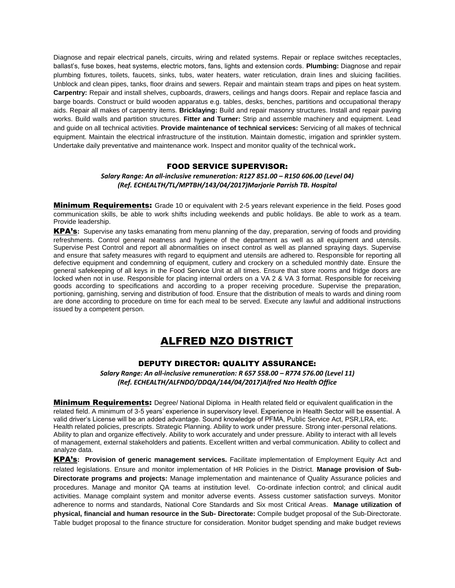Diagnose and repair electrical panels, circuits, wiring and related systems. Repair or replace switches receptacles, ballast's, fuse boxes, heat systems, electric motors, fans, lights and extension cords. **Plumbing:** Diagnose and repair plumbing fixtures, toilets, faucets, sinks, tubs, water heaters, water reticulation, drain lines and sluicing facilities. Unblock and clean pipes, tanks, floor drains and sewers. Repair and maintain steam traps and pipes on heat system. **Carpentry:** Repair and install shelves, cupboards, drawers, ceilings and hangs doors. Repair and replace fascia and barge boards. Construct or build wooden apparatus e.g. tables, desks, benches, partitions and occupational therapy aids. Repair all makes of carpentry items. **Bricklaying:** Build and repair masonry structures. Install and repair paving works. Build walls and partition structures. **Fitter and Turner:** Strip and assemble machinery and equipment. Lead and guide on all technical activities. **Provide maintenance of technical services:** Servicing of all makes of technical equipment. Maintain the electrical infrastructure of the institution. Maintain domestic, irrigation and sprinkler system. Undertake daily preventative and maintenance work. Inspect and monitor quality of the technical work**.**

#### FOOD SERVICE SUPERVISOR:

### *Salary Range: An all-inclusive remuneration: R127 851.00 – R150 606.00 (Level 04) (Ref. ECHEALTH/TL/MPTBH/143/04/2017)Marjorie Parrish TB. Hospital*

**Minimum Requirements:** Grade 10 or equivalent with 2-5 years relevant experience in the field. Poses good communication skills, be able to work shifts including weekends and public holidays. Be able to work as a team. Provide leadership.

KPA's**:** Supervise any tasks emanating from menu planning of the day, preparation, serving of foods and providing refreshments. Control general neatness and hygiene of the department as well as all equipment and utensils. Supervise Pest Control and report all abnormalities on insect control as well as planned spraying days. Supervise and ensure that safety measures with regard to equipment and utensils are adhered to. Responsible for reporting all defective equipment and condemning of equipment, cutlery and crockery on a scheduled monthly date. Ensure the general safekeeping of all keys in the Food Service Unit at all times. Ensure that store rooms and fridge doors are locked when not in use. Responsible for placing internal orders on a VA 2 & VA 3 format. Responsible for receiving goods according to specifications and according to a proper receiving procedure. Supervise the preparation, portioning, garnishing, serving and distribution of food. Ensure that the distribution of meals to wards and dining room are done according to procedure on time for each meal to be served. Execute any lawful and additional instructions issued by a competent person.

## ALFRED NZO DISTRICT

## DEPUTY DIRECTOR: QUALITY ASSURANCE:

*Salary Range: An all-inclusive remuneration: R 657 558.00 – R774 576.00 (Level 11) (Ref. ECHEALTH/ALFNDO/DDQA/144/04/2017)Alfred Nzo Health Office*

**Minimum Requirements:** Degree/ National Diploma in Health related field or equivalent qualification in the related field. A minimum of 3-5 years' experience in supervisory level. Experience in Health Sector will be essential. A valid driver's License will be an added advantage. Sound knowledge of PFMA, Public Service Act, PSR,LRA, etc. Health related policies, prescripts. Strategic Planning. Ability to work under pressure. Strong inter-personal relations. Ability to plan and organize effectively. Ability to work accurately and under pressure. Ability to interact with all levels of management, external stakeholders and patients. Excellent written and verbal communication. Ability to collect and analyze data.

KPA's**: Provision of generic management services.** Facilitate implementation of Employment Equity Act and related legislations. Ensure and monitor implementation of HR Policies in the District. **Manage provision of Sub-Directorate programs and projects:** Manage implementation and maintenance of Quality Assurance policies and procedures. Manage and monitor QA teams at institution level. Co-ordinate infection control; and clinical audit activities. Manage complaint system and monitor adverse events. Assess customer satisfaction surveys. Monitor adherence to norms and standards, National Core Standards and Six most Critical Areas. **Manage utilization of physical, financial and human resource in the Sub- Directorate:** Compile budget proposal of the Sub-Directorate. Table budget proposal to the finance structure for consideration. Monitor budget spending and make budget reviews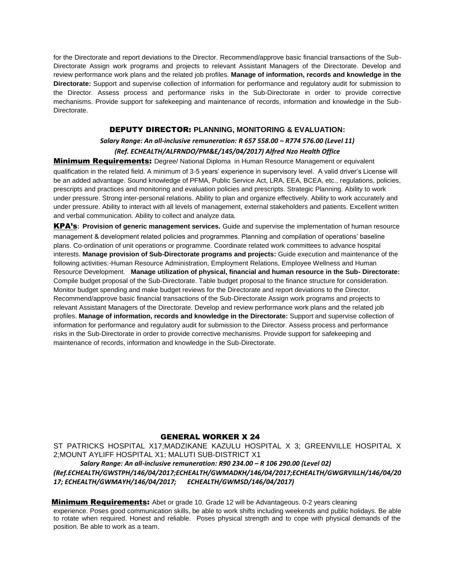for the Directorate and report deviations to the Director. Recommend/approve basic financial transactions of the Sub-Directorate Assign work programs and projects to relevant Assistant Managers of the Directorate. Develop and review performance work plans and the related job profiles. **Manage of information, records and knowledge in the Directorate:** Support and supervise collection of information for performance and regulatory audit for submission to the Director. Assess process and performance risks in the Sub-Directorate in order to provide corrective mechanisms. Provide support for safekeeping and maintenance of records, information and knowledge in the Sub-Directorate.

## DEPUTY DIRECTOR: **PLANNING, MONITORING & EVALUATION:**

## *Salary Range: An all-inclusive remuneration: R 657 558.00 – R774 576.00 (Level 11) (Ref. ECHEALTH/ALFRNDO/PM&E/145/04/2017) Alfred Nzo Health Office*

**Minimum Requirements:** Degree/ National Diploma in Human Resource Management or equivalent qualification in the related field. A minimum of 3-5 years' experience in supervisory level. A valid driver's License will be an added advantage. Sound knowledge of PFMA, Public Service Act, LRA, EEA, BCEA, etc., regulations, policies, prescripts and practices and monitoring and evaluation policies and prescripts. Strategic Planning. Ability to work under pressure. Strong inter-personal relations. Ability to plan and organize effectively. Ability to work accurately and under pressure. Ability to interact with all levels of management, external stakeholders and patients. Excellent written and verbal communication. Ability to collect and analyze data.

KPA's**: Provision of generic management services.** Guide and supervise the implementation of human resource management & development related policies and programmes. Planning and compilation of operations' baseline plans. Co-ordination of unit operations or programme. Coordinate related work committees to advance hospital interests. **Manage provision of Sub-Directorate programs and projects:** Guide execution and maintenance of the following activities:-Human Resource Administration, Employment Relations, Employee Wellness and Human Resource Development. **Manage utilization of physical, financial and human resource in the Sub- Directorate:**  Compile budget proposal of the Sub-Directorate. Table budget proposal to the finance structure for consideration. Monitor budget spending and make budget reviews for the Directorate and report deviations to the Director. Recommend/approve basic financial transactions of the Sub-Directorate Assign work programs and projects to relevant Assistant Managers of the Directorate. Develop and review performance work plans and the related job profiles. **Manage of information, records and knowledge in the Directorate:** Support and supervise collection of information for performance and regulatory audit for submission to the Director. Assess process and performance risks in the Sub-Directorate in order to provide corrective mechanisms. Provide support for safekeeping and maintenance of records, information and knowledge in the Sub-Directorate.

### GENERAL WORKER X 24

ST PATRICKS HOSPITAL X17;MADZIKANE KAZULU HOSPITAL X 3; GREENVILLE HOSPITAL X 2;MOUNT AYLIFF HOSPITAL X1; MALUTI SUB-DISTRICT X1

 *Salary Range: An all-inclusive remuneration: R90 234.00 – R 106 290.00 (Level 02) (Ref.ECHEALTH/GWSTPH/146/04/2017;ECHEALTH/GWMADKH/146/04/2017;ECHEALTH/GWGRVILLH/146/04/20 17; ECHEALTH/GWMAYH/146/04/2017; ECHEALTH/GWMSD/146/04/2017)*

**Minimum Requirements:** Abet or grade 10. Grade 12 will be Advantageous. 0-2 years cleaning

experience. Poses good communication skills, be able to work shifts including weekends and public holidays. Be able to rotate when required. Honest and reliable. Poses physical strength and to cope with physical demands of the position. Be able to work as a team.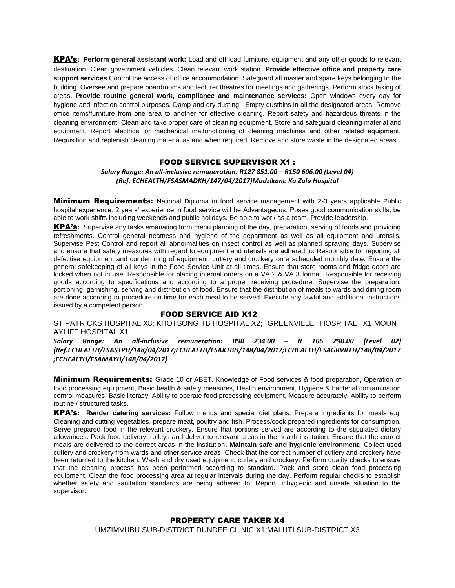KPA's**: Perform general assistant work:** Load and off load furniture, equipment and any other goods to relevant destination. Clean government vehicles. Clean relevant work station. **Provide effective office and property care support services** Control the access of office accommodation. Safeguard all master and spare keys belonging to the building. Oversee and prepare boardrooms and lecturer theatres for meetings and gatherings. Perform stock taking of areas**. Provide routine general work, compliance and maintenance services:** Open windows every day for hygiene and infection control purposes. Damp and dry dusting. Empty dustbins in all the designated areas. Remove office items/furniture from one area to another for effective cleaning. Report safety and hazardous threats in the cleaning environment. Clean and take proper care of cleaning equipment. Store and safeguard cleaning material and equipment. Report electrical or mechanical malfunctioning of cleaning machines and other related equipment. Requisition and replenish cleaning material as and when required. Remove and store waste in the designated areas.

#### FOOD SERVICE SUPERVISOR X1 :

*Salary Range: An all-inclusive remuneration: R127 851.00 – R150 606.00 (Level 04) (Ref. ECHEALTH/FSASMADKH/147/04/2017)Madzikane Ka Zulu Hospital*

**Minimum Requirements:** National Diploma in food service management with 2-3 years applicable Public hospital experience. 2 years' experience in food service will be Advantageous. Poses good communication skills, be able to work shifts including weekends and public holidays. Be able to work as a team. Provide leadership.

KPA's**:** Supervise any tasks emanating from menu planning of the day, preparation, serving of foods and providing refreshments. Control general neatness and hygiene of the department as well as all equipment and utensils. Supervise Pest Control and report all abnormalities on insect control as well as planned spraying days. Supervise and ensure that safety measures with regard to equipment and utensils are adhered to. Responsible for reporting all defective equipment and condemning of equipment, cutlery and crockery on a scheduled monthly date. Ensure the general safekeeping of all keys in the Food Service Unit at all times. Ensure that store rooms and fridge doors are locked when not in use. Responsible for placing internal orders on a VA 2 & VA 3 format. Responsible for receiving goods according to specifications and according to a proper receiving procedure. Supervise the preparation, portioning, garnishing, serving and distribution of food. Ensure that the distribution of meals to wards and dining room are done according to procedure on time for each meal to be served. Execute any lawful and additional instructions issued by a competent person.

## FOOD SERVICE AID X12

ST PATRICKS HOSPITAL X8; KHOTSONG TB HOSPITAL X2; GREENVILLE HOSPITAL X1;MOUNT AYLIFF HOSPITAL X1

*Salary Range: An all-inclusive remuneration: R90 234.00 – R 106 290.00 (Level 02) (Ref.ECHEALTH/FSASTPH/148/04/2017;ECHEALTH/FSAKTBH/148/04/2017;ECHEALTH/FSAGRVILLH/148/04/2017 ;ECHEALTH/FSAMAYH/148/04/2017)*

**Minimum Requirements:** Grade 10 or ABET. Knowledge of Food services & food preparation, Operation of food processing equipment, Basic health & safety measures, Health environment, Hygiene & bacterial contamination control measures. Basic literacy, Ability to operate food processing equipment, Measure accurately. Ability to perform routine / structured tasks.

KPA's**: Render catering services:** Follow menus and special diet plans. Prepare ingredients for meals e.g. Cleaning and cutting vegetables, prepare meat, poultry and fish. Process/cook prepared ingredients for consumption. Serve prepared food in the relevant crockery. Ensure that portions served are according to the stipulated dietary allowances. Pack food delivery trolleys and deliver to relevant areas in the health institution. Ensure that the correct meals are delivered to the correct areas in the institution**. Maintain safe and hygienic environment:** Collect used cutlery and crockery from wards and other service areas. Check that the correct number of cutlery and crockery have been returned to the kitchen. Wash and dry used equipment, cutlery and crockery. Perform quality checks to ensure that the cleaning process has been performed according to standard. Pack and store clean food processing equipment. Clean the food processing area at regular intervals during the day. Perform regular checks to establish whether safety and sanitation standards are being adhered to. Report unhygienic and unsafe situation to the supervisor.

## PROPERTY CARE TAKER X4 UMZIMVUBU SUB-DISTRICT DUNDEE CLINIC X1;MALUTI SUB-DISTRICT X3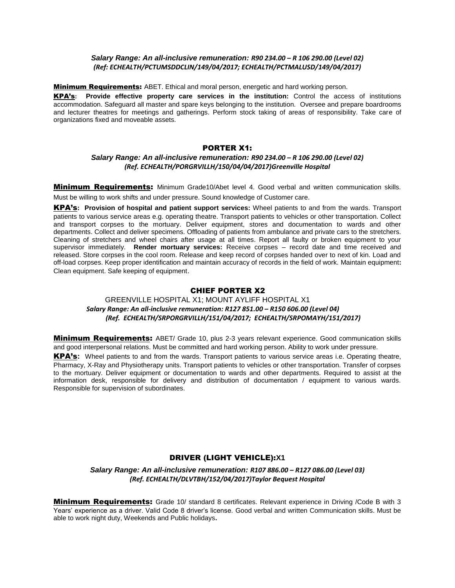#### *Salary Range: An all-inclusive remuneration: R90 234.00 – R 106 290.00 (Level 02) (Ref: ECHEALTH/PCTUMSDDCLIN/149/04/2017; ECHEALTH/PCTMALUSD/149/04/2017)*

**Minimum Requirements:** ABET. Ethical and moral person, energetic and hard working person.

KPA's**: Provide effective property care services in the institution:** Control the access of institutions accommodation. Safeguard all master and spare keys belonging to the institution. Oversee and prepare boardrooms and lecturer theatres for meetings and gatherings. Perform stock taking of areas of responsibility. Take care of organizations fixed and moveable assets.

## PORTER X1:

## *Salary Range: An all-inclusive remuneration: R90 234.00 – R 106 290.00 (Level 02) (Ref. ECHEALTH/PORGRVILLH/150/04/04/2017)Greenville Hospital*

**Minimum Requirements:** Minimum Grade10/Abet level 4. Good verbal and written communication skills. Must be willing to work shifts and under pressure. Sound knowledge of Customer care.

KPA's**: Provision of hospital and patient support services:** Wheel patients to and from the wards. Transport patients to various service areas e.g. operating theatre. Transport patients to vehicles or other transportation. Collect and transport corpses to the mortuary. Deliver equipment, stores and documentation to wards and other departments. Collect and deliver specimens. Offloading of patients from ambulance and private cars to the stretchers. Cleaning of stretchers and wheel chairs after usage at all times. Report all faulty or broken equipment to your supervisor immediately. **Render mortuary services:** Receive corpses – record date and time received and released. Store corpses in the cool room. Release and keep record of corpses handed over to next of kin. Load and off-load corpses. Keep proper identification and maintain accuracy of records in the field of work. Maintain equipment**:**  Clean equipment. Safe keeping of equipment.

## CHIEF PORTER X2

## GREENVILLE HOSPITAL X1; MOUNT AYLIFF HOSPITAL X1  *Salary Range: An all-inclusive remuneration: R127 851.00 – R150 606.00 (Level 04) (Ref. ECHEALTH/SRPORGRVILLH/151/04/2017; ECHEALTH/SRPOMAYH/151/2017)*

**Minimum Requirements:** ABET/ Grade 10, plus 2-3 years relevant experience. Good communication skills and good interpersonal relations. Must be committed and hard working person. Ability to work under pressure.

KPA's**:** Wheel patients to and from the wards. Transport patients to various service areas i.e. Operating theatre, Pharmacy, X-Ray and Physiotherapy units. Transport patients to vehicles or other transportation. Transfer of corpses to the mortuary. Deliver equipment or documentation to wards and other departments. Required to assist at the information desk, responsible for delivery and distribution of documentation / equipment to various wards. Responsible for supervision of subordinates.

## DRIVER (LIGHT VEHICLE):**X1**

*Salary Range: An all-inclusive remuneration: R107 886.00 – R127 086.00 (Level 03) (Ref. ECHEALTH/DLVTBH/152/04/2017)Taylor Bequest Hospital*

**Minimum Requirements:** Grade 10/ standard 8 certificates. Relevant experience in Driving /Code B with 3 Years' experience as a driver. Valid Code 8 driver's license. Good verbal and written Communication skills. Must be able to work night duty, Weekends and Public holidays**.**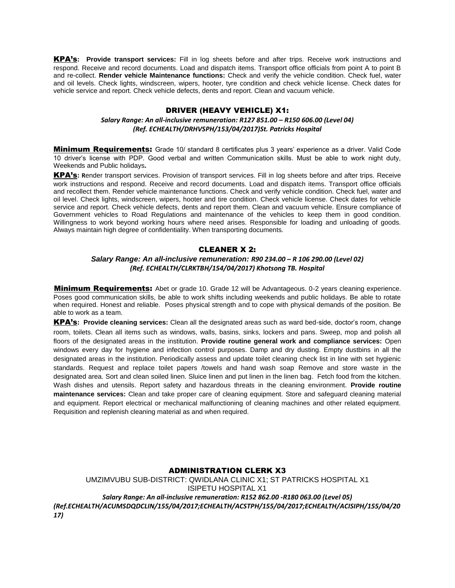KPA's**: Provide transport services:** Fill in log sheets before and after trips. Receive work instructions and respond. Receive and record documents. Load and dispatch items. Transport office officials from point A to point B and re-collect. **Render vehicle Maintenance functions:** Check and verify the vehicle condition. Check fuel, water and oil levels. Check lights, windscreen, wipers, hooter, tyre condition and check vehicle license. Check dates for vehicle service and report. Check vehicle defects, dents and report. Clean and vacuum vehicle.

#### DRIVER (HEAVY VEHICLE) X1:

#### *Salary Range: An all-inclusive remuneration: R127 851.00 – R150 606.00 (Level 04) (Ref. ECHEALTH/DRHVSPH/153/04/2017)St. Patricks Hospital*

**Minimum Requirements:** Grade 10/ standard 8 certificates plus 3 years' experience as a driver. Valid Code 10 driver's license with PDP. Good verbal and written Communication skills. Must be able to work night duty, Weekends and Public holidays**.**

KPA's**: R**ender transport services. Provision of transport services. Fill in log sheets before and after trips. Receive work instructions and respond. Receive and record documents. Load and dispatch items. Transport office officials and recollect them. Render vehicle maintenance functions. Check and verify vehicle condition. Check fuel, water and oil level. Check lights, windscreen, wipers, hooter and tire condition. Check vehicle license. Check dates for vehicle service and report. Check vehicle defects, dents and report them. Clean and vacuum vehicle. Ensure compliance of Government vehicles to Road Regulations and maintenance of the vehicles to keep them in good condition. Willingness to work beyond working hours where need arises. Responsible for loading and unloading of goods. Always maintain high degree of confidentiality. When transporting documents.

### CLEANER X 2:

#### *Salary Range: An all-inclusive remuneration: R90 234.00 – R 106 290.00 (Level 02) (Ref. ECHEALTH/CLRKTBH/154/04/2017) Khotsong TB. Hospital*

**Minimum Requirements:** Abet or grade 10. Grade 12 will be Advantageous. 0-2 years cleaning experience. Poses good communication skills, be able to work shifts including weekends and public holidays. Be able to rotate when required. Honest and reliable. Poses physical strength and to cope with physical demands of the position. Be able to work as a team.

KPA's**: Provide cleaning services:** Clean all the designated areas such as ward bed-side, doctor's room, change room, toilets. Clean all items such as windows, walls, basins, sinks, lockers and pans. Sweep, mop and polish all floors of the designated areas in the institution. **Provide routine general work and compliance services:** Open windows every day for hygiene and infection control purposes. Damp and dry dusting. Empty dustbins in all the designated areas in the institution. Periodically assess and update toilet cleaning check list in line with set hygienic standards. Request and replace toilet papers /towels and hand wash soap Remove and store waste in the designated area. Sort and clean soiled linen. Sluice linen and put linen in the linen bag. Fetch food from the kitchen. Wash dishes and utensils. Report safety and hazardous threats in the cleaning environment. **Provide routine maintenance services:** Clean and take proper care of cleaning equipment. Store and safeguard cleaning material and equipment. Report electrical or mechanical malfunctioning of cleaning machines and other related equipment. Requisition and replenish cleaning material as and when required.

#### ADMINISTRATION CLERK X3

UMZIMVUBU SUB-DISTRICT: QWIDLANA CLINIC X1; ST PATRICKS HOSPITAL X1 ISIPETU HOSPITAL X1 *Salary Range: An all-inclusive remuneration: R152 862.00 -R180 063.00 (Level 05) (Ref.ECHEALTH/ACUMSDQDCLIN/155/04/2017;ECHEALTH/ACSTPH/155/04/2017;ECHEALTH/ACISIPH/155/04/20 17)*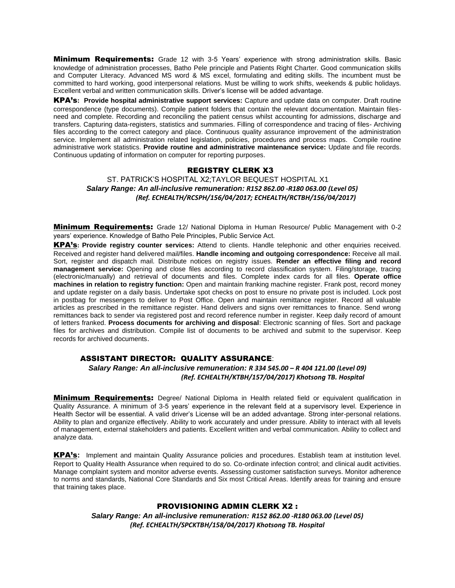**Minimum Requirements:** Grade 12 with 3-5 Years' experience with strong administration skills. Basic knowledge of administration processes, Batho Pele principle and Patients Right Charter. Good communication skills and Computer Literacy. Advanced MS word & MS excel, formulating and editing skills. The incumbent must be committed to hard working, good interpersonal relations. Must be willing to work shifts, weekends & public holidays. Excellent verbal and written communication skills. Driver's license will be added advantage.

KPA's**: Provide hospital administrative support services:** Capture and update data on computer. Draft routine correspondence (type documents). Compile patient folders that contain the relevant documentation. Maintain filesneed and complete. Recording and reconciling the patient census whilst accounting for admissions, discharge and transfers. Capturing data-registers, statistics and summaries. Filling of correspondence and tracing of files- Archiving files according to the correct category and place. Continuous quality assurance improvement of the administration service. Implement all administration related legislation, policies, procedures and process maps. Compile routine administrative work statistics. **Provide routine and administrative maintenance service:** Update and file records. Continuous updating of information on computer for reporting purposes.

#### REGISTRY CLERK X3

ST. PATRICK'S HOSPITAL X2;TAYLOR BEQUEST HOSPITAL X1  *Salary Range: An all-inclusive remuneration: R152 862.00 -R180 063.00 (Level 05) (Ref. ECHEALTH/RCSPH/156/04/2017; ECHEALTH/RCTBH/156/04/2017)* 

**Minimum Requirements:** Grade 12/ National Diploma in Human Resource/ Public Management with 0-2 years' experience. Knowledge of Batho Pele Principles, Public Service Act.

KPA's**: Provide registry counter services:** Attend to clients. Handle telephonic and other enquiries received. Received and register hand delivered mail/files. **Handle incoming and outgoing correspondence:** Receive all mail. Sort, register and dispatch mail. Distribute notices on registry issues. **Render an effective filing and record management service:** Opening and close files according to record classification system. Filing/storage, tracing (electronic/manually) and retrieval of documents and files. Complete index cards for all files. **Operate office machines in relation to registry function:** Open and maintain franking machine register. Frank post, record money and update register on a daily basis. Undertake spot checks on post to ensure no private post is included. Lock post in postbag for messengers to deliver to Post Office. Open and maintain remittance register. Record all valuable articles as prescribed in the remittance register. Hand delivers and signs over remittances to finance. Send wrong remittances back to sender via registered post and record reference number in register. Keep daily record of amount of letters franked. **Process documents for archiving and disposal**: Electronic scanning of files. Sort and package files for archives and distribution. Compile list of documents to be archived and submit to the supervisor. Keep records for archived documents.

#### ASSISTANT DIRECTOR: QUALITY ASSURANCE:

 *Salary Range: An all-inclusive remuneration: R 334 545.00 – R 404 121.00 (Level 09) (Ref. ECHEALTH/KTBH/157/04/2017) Khotsong TB. Hospital*

**Minimum Requirements:** Degree/ National Diploma in Health related field or equivalent qualification in Quality Assurance. A minimum of 3-5 years' experience in the relevant field at a supervisory level. Experience in Health Sector will be essential. A valid driver's License will be an added advantage. Strong inter-personal relations. Ability to plan and organize effectively. Ability to work accurately and under pressure. Ability to interact with all levels of management, external stakeholders and patients. Excellent written and verbal communication. Ability to collect and analyze data.

KPA's**:** Implement and maintain Quality Assurance policies and procedures. Establish team at institution level. Report to Quality Health Assurance when required to do so. Co-ordinate infection control; and clinical audit activities. Manage complaint system and monitor adverse events. Assessing customer satisfaction surveys. Monitor adherence to norms and standards, National Core Standards and Six most Critical Areas. Identify areas for training and ensure that training takes place.

## PROVISIONING ADMIN CLERK X2 :

*Salary Range: An all-inclusive remuneration: R152 862.00 -R180 063.00 (Level 05) (Ref. ECHEALTH/SPCKTBH/158/04/2017) Khotsong TB. Hospital*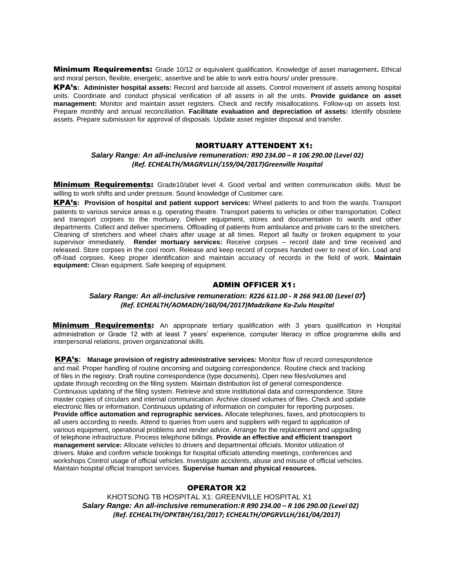Minimum Requirements: Grade 10/12 or equivalent qualification. Knowledge of asset management**.** Ethical and moral person, flexible, energetic, assertive and be able to work extra hours/ under pressure.

KPA's**: Administer hospital assets:** Record and barcode all assets. Control movement of assets among hospital units. Coordinate and conduct physical verification of all assets in all the units. **Provide guidance on asset management:** Monitor and maintain asset registers. Check and rectify misallocations. Follow-up on assets lost. Prepare monthly and annual reconciliation. **Facilitate evaluation and depreciation of assets:** Identify obsolete assets. Prepare submission for approval of disposals. Update asset register disposal and transfer.

#### MORTUARY ATTENDENT X1:

## *Salary Range: An all-inclusive remuneration: R90 234.00 – R 106 290.00 (Level 02) (Ref. ECHEALTH/MAGRVLLH/159/04/2017)Greenville Hospital*

**Minimum Requirements:** Grade10/abet level 4. Good verbal and written communication skills. Must be willing to work shifts and under pressure. Sound knowledge of Customer care.

KPA's**: Provision of hospital and patient support services:** Wheel patients to and from the wards. Transport patients to various service areas e.g. operating theatre. Transport patients to vehicles or other transportation. Collect and transport corpses to the mortuary. Deliver equipment, stores and documentation to wards and other departments. Collect and deliver specimens. Offloading of patients from ambulance and private cars to the stretchers. Cleaning of stretchers and wheel chairs after usage at all times. Report all faulty or broken equipment to your supervisor immediately. **Render mortuary services:** Receive corpses – record date and time received and released. Store corpses in the cool room. Release and keep record of corpses handed over to next of kin. Load and off-load corpses. Keep proper identification and maintain accuracy of records in the field of work. **Maintain equipment:** Clean equipment. Safe keeping of equipment.

#### ADMIN OFFICER X1:

#### *Salary Range: An all-inclusive remuneration: R226 611.00 - R 266 943.00 (Level 07***)** *(Ref. ECHEALTH/AOMADH/160/04/2017)Madzikane Ka-Zulu Hospital*

**Minimum Requirements:** An appropriate tertiary qualification with 3 years qualification in Hospital administration or Grade 12 with at least 7 years' experience, computer literacy in office programme skills and interpersonal relations, proven organizational skills.

KPA's**: Manage provision of registry administrative services:** Monitor flow of record correspondence and mail. Proper handling of routine oncoming and outgoing correspondence. Routine check and tracking of files in the registry. Draft routine correspondence (type documents). Open new files/volumes and update through recording on the filing system. Maintain distribution list of general correspondence. Continuous updating of the filing system. Retrieve and store institutional data and correspondence. Store master copies of circulars and internal communication. Archive closed volumes of files. Check and update electronic files or information. Continuous updating of information on computer for reporting purposes. **Provide office automation and reprographic services.** Allocate telephones, faxes, and photocopiers to all users according to needs. Attend to queries from users and suppliers with regard to application of various equipment, operational problems and render advice. Arrange for the replacement and upgrading of telephone infrastructure. Process telephone billings. **Provide an effective and efficient transport management service:** Allocate vehicles to drivers and departmental officials. Monitor utilization of drivers. Make and confirm vehicle bookings for hospital officials attending meetings, conferences and workshops Control usage of official vehicles. Investigate accidents, abuse and misuse of official vehicles. Maintain hospital official transport services. **Supervise human and physical resources.**

## OPERATOR X2

KHOTSONG TB HOSPITAL X1: GREENVILLE HOSPITAL X1  *Salary Range: An all-inclusive remuneration:R R90 234.00 – R 106 290.00 (Level 02) (Ref. ECHEALTH/OPKTBH/161/2017; ECHEALTH/OPGRVLLH/161/04/2017)*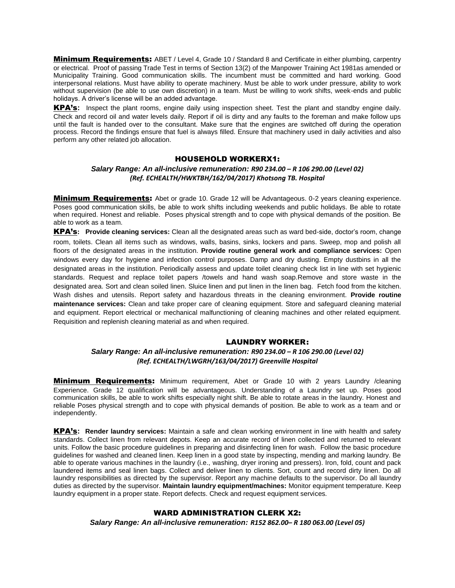**Minimum Requirements:** ABET / Level 4, Grade 10 / Standard 8 and Certificate in either plumbing, carpentry or electrical. Proof of passing Trade Test in terms of Section 13(2) of the Manpower Training Act 1981as amended or Municipality Training. Good communication skills. The incumbent must be committed and hard working. Good interpersonal relations. Must have ability to operate machinery. Must be able to work under pressure, ability to work without supervision (be able to use own discretion) in a team. Must be willing to work shifts, week-ends and public holidays. A driver's license will be an added advantage.

KPA's**:** Inspect the plant rooms, engine daily using inspection sheet. Test the plant and standby engine daily. Check and record oil and water levels daily. Report if oil is dirty and any faults to the foreman and make follow ups until the fault is handed over to the consultant. Make sure that the engines are switched off during the operation process. Record the findings ensure that fuel is always filled. Ensure that machinery used in daily activities and also perform any other related job allocation.

## HOUSEHOLD WORKERX1:

*Salary Range: An all-inclusive remuneration: R90 234.00 – R 106 290.00 (Level 02) (Ref. ECHEALTH/HWKTBH/162/04/2017) Khotsong TB. Hospital*

**Minimum Requirements:** Abet or grade 10. Grade 12 will be Advantageous. 0-2 years cleaning experience. Poses good communication skills, be able to work shifts including weekends and public holidays. Be able to rotate when required. Honest and reliable. Poses physical strength and to cope with physical demands of the position. Be able to work as a team.

KPA's**: Provide cleaning services:** Clean all the designated areas such as ward bed-side, doctor's room, change room, toilets. Clean all items such as windows, walls, basins, sinks, lockers and pans. Sweep, mop and polish all floors of the designated areas in the institution. **Provide routine general work and compliance services:** Open windows every day for hygiene and infection control purposes. Damp and dry dusting. Empty dustbins in all the designated areas in the institution. Periodically assess and update toilet cleaning check list in line with set hygienic standards. Request and replace toilet papers /towels and hand wash soap.Remove and store waste in the designated area. Sort and clean soiled linen. Sluice linen and put linen in the linen bag. Fetch food from the kitchen. Wash dishes and utensils. Report safety and hazardous threats in the cleaning environment. **Provide routine maintenance services:** Clean and take proper care of cleaning equipment. Store and safeguard cleaning material and equipment. Report electrical or mechanical malfunctioning of cleaning machines and other related equipment. Requisition and replenish cleaning material as and when required.

#### LAUNDRY WORKER:

## *Salary Range: An all-inclusive remuneration: R90 234.00 – R 106 290.00 (Level 02) (Ref. ECHEALTH/LWGRH/163/04/2017) Greenville Hospital*

**Minimum Requirements:** Minimum requirement, Abet or Grade 10 with 2 years Laundry /cleaning Experience. Grade 12 qualification will be advantageous. Understanding of a Laundry set up. Poses good communication skills, be able to work shifts especially night shift. Be able to rotate areas in the laundry. Honest and reliable Poses physical strength and to cope with physical demands of position. Be able to work as a team and or independently.

KPA's**: Render laundry services:** Maintain a safe and clean working environment in line with health and safety standards. Collect linen from relevant depots. Keep an accurate record of linen collected and returned to relevant units. Follow the basic procedure guidelines in preparing and disinfecting linen for wash. Follow the basic procedure guidelines for washed and cleaned linen. Keep linen in a good state by inspecting, mending and marking laundry. Be able to operate various machines in the laundry (i.e., washing, dryer ironing and pressers). Iron, fold, count and pack laundered items and seal linen bags. Collect and deliver linen to clients. Sort, count and record dirty linen. Do all laundry responsibilities as directed by the supervisor. Report any machine defaults to the supervisor. Do all laundry duties as directed by the supervisor. **Maintain laundry equipment/machines:** Monitor equipment temperature. Keep laundry equipment in a proper state. Report defects. Check and request equipment services.

#### WARD ADMINISTRATION CLERK X2:

*Salary Range: An all-inclusive remuneration: R152 862.00– R 180 063.00 (Level 05)*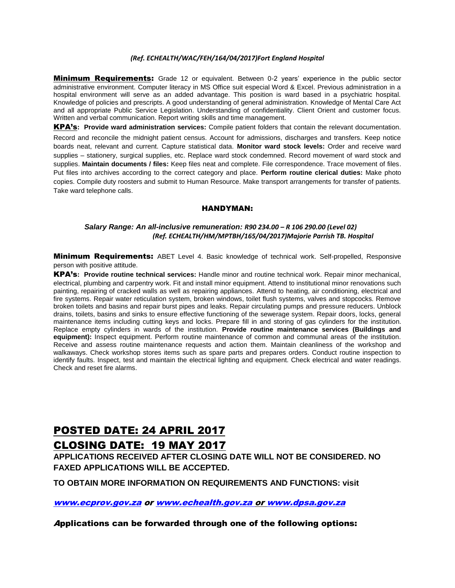#### *(Ref. ECHEALTH/WAC/FEH/164/04/2017)Fort England Hospital*

**Minimum Requirements:** Grade 12 or equivalent. Between 0-2 years' experience in the public sector administrative environment. Computer literacy in MS Office suit especial Word & Excel. Previous administration in a hospital environment will serve as an added advantage. This position is ward based in a psychiatric hospital. Knowledge of policies and prescripts. A good understanding of general administration. Knowledge of Mental Care Act and all appropriate Public Service Legislation. Understanding of confidentiality. Client Orient and customer focus. Written and verbal communication. Report writing skills and time management.

KPA's**: Provide ward administration services:** Compile patient folders that contain the relevant documentation. Record and reconcile the midnight patient census. Account for admissions, discharges and transfers. Keep notice boards neat, relevant and current. Capture statistical data. **Monitor ward stock levels:** Order and receive ward supplies – stationery, surgical supplies, etc. Replace ward stock condemned. Record movement of ward stock and supplies. **Maintain documents / files:** Keep files neat and complete. File correspondence. Trace movement of files. Put files into archives according to the correct category and place. **Perform routine clerical duties:** Make photo copies. Compile duty roosters and submit to Human Resource. Make transport arrangements for transfer of patients. Take ward telephone calls.

### HANDYMAN:

## *Salary Range: An all-inclusive remuneration: R90 234.00 – R 106 290.00 (Level 02) (Ref. ECHEALTH/HM/MPTBH/165/04/2017)Majorie Parrish TB. Hospital*

**Minimum Requirements:** ABET Level 4. Basic knowledge of technical work. Self-propelled, Responsive person with positive attitude.

KPA's**: Provide routine technical services:** Handle minor and routine technical work. Repair minor mechanical, electrical, plumbing and carpentry work. Fit and install minor equipment. Attend to institutional minor renovations such painting, repairing of cracked walls as well as repairing appliances. Attend to heating, air conditioning, electrical and fire systems. Repair water reticulation system, broken windows, toilet flush systems, valves and stopcocks. Remove broken toilets and basins and repair burst pipes and leaks. Repair circulating pumps and pressure reducers. Unblock drains, toilets, basins and sinks to ensure effective functioning of the sewerage system. Repair doors, locks, general maintenance items including cutting keys and locks. Prepare fill in and storing of gas cylinders for the institution. Replace empty cylinders in wards of the institution. **Provide routine maintenance services (Buildings and equipment):** Inspect equipment. Perform routine maintenance of common and communal areas of the institution. Receive and assess routine maintenance requests and action them. Maintain cleanliness of the workshop and walkaways. Check workshop stores items such as spare parts and prepares orders. Conduct routine inspection to identify faults. Inspect, test and maintain the electrical lighting and equipment. Check electrical and water readings. Check and reset fire alarms.

# POSTED DATE: 24 APRIL 2017 CLOSING DATE: 19 MAY 2017

**APPLICATIONS RECEIVED AFTER CLOSING DATE WILL NOT BE CONSIDERED. NO FAXED APPLICATIONS WILL BE ACCEPTED.** 

**TO OBTAIN MORE INFORMATION ON REQUIREMENTS AND FUNCTIONS: visit** 

[www.ecprov.gov.za](http://www.ecprov.gov.za/) or [www.echealth.gov.za](http://www.echealth.gov.za/) o[r www.dpsa.gov.za](http://www.dpsa.gov.za/)

Applications can be forwarded through one of the following options: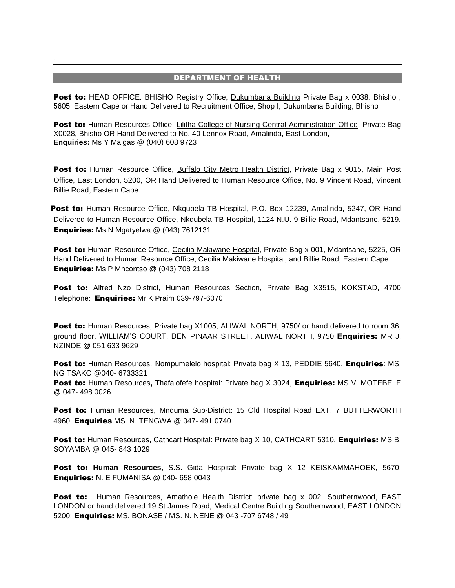## DEPARTMENT OF HEALTH

.

**Post to: HEAD OFFICE: BHISHO Registry Office, Dukumbana Building Private Bag x 0038, Bhisho**, 5605, Eastern Cape or Hand Delivered to Recruitment Office, Shop I, Dukumbana Building, Bhisho

**Post to:** Human Resources Office, Lilitha College of Nursing Central Administration Office, Private Bag X0028, Bhisho OR Hand Delivered to No. 40 Lennox Road, Amalinda, East London, **Enquiries:** Ms Y Malgas @ (040) 608 9723

Post to: Human Resource Office, Buffalo City Metro Health District, Private Bag x 9015, Main Post Office, East London, 5200, OR Hand Delivered to Human Resource Office, No. 9 Vincent Road, Vincent Billie Road, Eastern Cape.

Post to: Human Resource Office, Nkqubela TB Hospital, P.O. Box 12239, Amalinda, 5247, OR Hand Delivered to Human Resource Office, Nkqubela TB Hospital, 1124 N.U. 9 Billie Road, Mdantsane, 5219. Enquiries: Ms N Mgatyelwa @ (043) 7612131

Post to: Human Resource Office, Cecilia Makiwane Hospital, Private Bag x 001, Mdantsane, 5225, OR Hand Delivered to Human Resource Office, Cecilia Makiwane Hospital, and Billie Road, Eastern Cape. **Enquiries:** Ms P Mncontso @ (043) 708 2118

Post to: Alfred Nzo District, Human Resources Section, Private Bag X3515, KOKSTAD, 4700 Telephone: Enquiries: Mr K Praim 039-797-6070

Post to: Human Resources, Private bag X1005, ALIWAL NORTH, 9750/ or hand delivered to room 36, ground floor, WILLIAM'S COURT, DEN PINAAR STREET, ALIWAL NORTH, 9750 Enquiries: MR J. NZINDE @ 051 633 9629

Post to: Human Resources, Nompumelelo hospital: Private bag X 13, PEDDIE 5640, Enquiries: MS. NG TSAKO @040- 6733321

**Post to:** Human Resources, Thafalofefe hospital: Private bag X 3024, **Enquiries:** MS V. MOTEBELE @ 047- 498 0026

Post to: Human Resources, Mnquma Sub-District: 15 Old Hospital Road EXT. 7 BUTTERWORTH 4960, Enquiries MS. N. TENGWA @ 047- 491 0740

Post to: Human Resources, Cathcart Hospital: Private bag X 10, CATHCART 5310, Enquiries: MS B. SOYAMBA @ 045- 843 1029

Post to: **Human Resources,** S.S. Gida Hospital: Private bag X 12 KEISKAMMAHOEK, 5670: Enquiries: N. E FUMANISA @ 040- 658 0043

**Post to:** Human Resources, Amathole Health District: private bag x 002, Southernwood, EAST LONDON or hand delivered 19 St James Road, Medical Centre Building Southernwood, EAST LONDON 5200: Enquiries: MS. BONASE / MS. N. NENE @ 043 -707 6748 / 49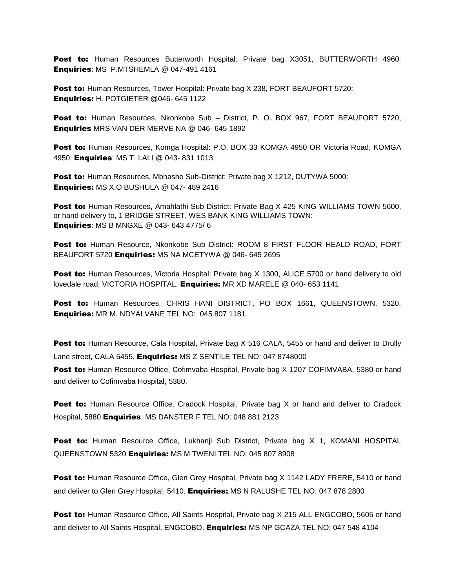Post to: Human Resources Butterworth Hospital: Private bag X3051, BUTTERWORTH 4960: Enquiries: MS P.MTSHEMLA @ 047-491 4161

**Post to:** Human Resources, Tower Hospital: Private bag X 238, FORT BEAUFORT 5720: Enquiries: H. POTGIETER @046- 645 1122

Post to: Human Resources, Nkonkobe Sub - District, P. O. BOX 967, FORT BEAUFORT 5720, Enquiries MRS VAN DER MERVE NA @ 046- 645 1892

Post to: Human Resources, Komga Hospital: P.O. BOX 33 KOMGA 4950 OR Victoria Road, KOMGA 4950: **Enquiries**: MS T. LALI @ 043-831 1013

Post to: Human Resources, Mbhashe Sub-District: Private bag X 1212, DUTYWA 5000: Enquiries: MS X.O BUSHULA @ 047- 489 2416

Post to: Human Resources, Amahlathi Sub District: Private Bag X 425 KING WILLIAMS TOWN 5600, or hand delivery to, 1 BRIDGE STREET, WES BANK KING WILLIAMS TOWN: Enquiries: MS B MNGXE @ 043- 643 4775/ 6

Post to: Human Resource, Nkonkobe Sub District: ROOM 8 FIRST FLOOR HEALD ROAD, FORT BEAUFORT 5720 **Enquiries:** MS NA MCETYWA @ 046- 645 2695

**Post to:** Human Resources, Victoria Hospital: Private bag X 1300, ALICE 5700 or hand delivery to old lovedale road, VICTORIA HOSPITAL: Enquiries: MR XD MARELE @ 040- 653 1141

**Post to:** Human Resources, CHRIS HANI DISTRICT, PO BOX 1661, QUEENSTOWN, 5320. Enquiries: MR M. NDYALVANE TEL NO: 045 807 1181

**Post to:** Human Resource, Cala Hospital, Private bag X 516 CALA, 5455 or hand and deliver to Drully Lane street, CALA 5455. Enquiries: MS Z SENTILE TEL NO: 047 8748000

**Post to:** Human Resource Office, Cofimvaba Hospital, Private bag X 1207 COFIMVABA, 5380 or hand and deliver to Cofimvaba Hospital, 5380.

**Post to:** Human Resource Office, Cradock Hospital, Private bag X or hand and deliver to Cradock Hospital, 5880 **Enquiries: MS DANSTER F TEL NO: 048 881 2123** 

Post to: Human Resource Office, Lukhanji Sub District, Private bag X 1, KOMANI HOSPITAL QUEENSTOWN 5320 Enquiries: MS M TWENI TEL NO: 045 807 8908

Post to: Human Resource Office, Glen Grey Hospital, Private bag X 1142 LADY FRERE, 5410 or hand and deliver to Glen Grey Hospital, 5410. Enquiries: MS N RALUSHE TEL NO: 047 878 2800

Post to: Human Resource Office, All Saints Hospital, Private bag X 215 ALL ENGCOBO, 5605 or hand and deliver to All Saints Hospital, ENGCOBO. Enquiries: MS NP GCAZA TEL NO: 047 548 4104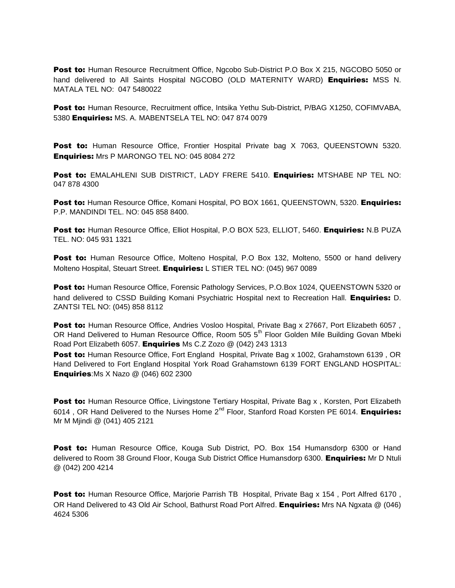Post to: Human Resource Recruitment Office, Ngcobo Sub-District P.O Box X 215, NGCOBO 5050 or hand delivered to All Saints Hospital NGCOBO (OLD MATERNITY WARD) **Enquiries:** MSS N. MATALA TEL NO: 047 5480022

Post to: Human Resource, Recruitment office, Intsika Yethu Sub-District, P/BAG X1250, COFIMVABA, 5380 Enquiries: MS. A. MABENTSELA TEL NO: 047 874 0079

Post to: Human Resource Office, Frontier Hospital Private bag X 7063, QUEENSTOWN 5320. Enquiries: Mrs P MARONGO TEL NO: 045 8084 272

Post to: EMALAHLENI SUB DISTRICT, LADY FRERE 5410. Enquiries: MTSHABE NP TEL NO: 047 878 4300

Post to: Human Resource Office, Komani Hospital, PO BOX 1661, QUEENSTOWN, 5320. Enquiries: P.P. MANDINDI TEL. NO: 045 858 8400.

Post to: Human Resource Office, Elliot Hospital, P.O BOX 523, ELLIOT, 5460. Enquiries: N.B PUZA TEL. NO: 045 931 1321

Post to: Human Resource Office, Molteno Hospital, P.O Box 132, Molteno, 5500 or hand delivery Molteno Hospital, Steuart Street. Enquiries: L STIER TEL NO: (045) 967 0089

Post to: Human Resource Office, Forensic Pathology Services, P.O.Box 1024, QUEENSTOWN 5320 or hand delivered to CSSD Building Komani Psychiatric Hospital next to Recreation Hall. Enquiries: D. ZANTSI TEL NO: (045) 858 8112

**Post to:** Human Resource Office, Andries Vosloo Hospital, Private Bag x 27667, Port Elizabeth 6057, OR Hand Delivered to Human Resource Office, Room 505 5<sup>th</sup> Floor Golden Mile Building Govan Mbeki Road Port Elizabeth 6057. Enquiries Ms C.Z Zozo @ (042) 243 1313

Post to: Human Resource Office, Fort England Hospital, Private Bag x 1002, Grahamstown 6139, OR Hand Delivered to Fort England Hospital York Road Grahamstown 6139 FORT ENGLAND HOSPITAL: **Enquiries:**Ms X Nazo @ (046) 602 2300

Post to: Human Resource Office, Livingstone Tertiary Hospital, Private Bag x, Korsten, Port Elizabeth 6014, OR Hand Delivered to the Nurses Home  $2^{nd}$  Floor, Stanford Road Korsten PE 6014. Enquiries: Mr M Mjindi @ (041) 405 2121

Post to: Human Resource Office, Kouga Sub District, PO. Box 154 Humansdorp 6300 or Hand delivered to Room 38 Ground Floor, Kouga Sub District Office Humansdorp 6300. Enquiries: Mr D Ntuli @ (042) 200 4214

**Post to:** Human Resource Office, Marjorie Parrish TB Hospital, Private Bag x 154, Port Alfred 6170, OR Hand Delivered to 43 Old Air School, Bathurst Road Port Alfred. Enquiries: Mrs NA Ngxata @ (046) 4624 5306